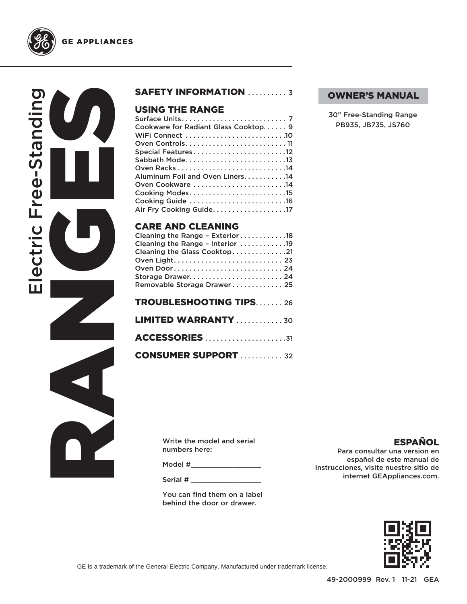

**GE APPLIANCES** 

#### SAFETY INFORMATION .......... 3

#### USING THE RANGE

| Cookware for Radiant Glass Cooktop 9 |  |
|--------------------------------------|--|
| WiFi Connect 10                      |  |
|                                      |  |
| Special Features12                   |  |
|                                      |  |
|                                      |  |
| Aluminum Foil and Oven Liners. 14    |  |
| Oven Cookware 14                     |  |
|                                      |  |
| Cooking Guide 16                     |  |
| Air Fry Cooking Guide. 17            |  |
|                                      |  |

#### CARE AND CLEANING

| Cleaning the Range - Exterior 18 |
|----------------------------------|
| Cleaning the Range - Interior 19 |
| Cleaning the Glass Cooktop21     |
|                                  |
| Oven Door 24                     |
|                                  |
| Removable Storage Drawer 25      |
|                                  |
| <b>TROUBLESHOOTING TIPS26</b>    |
|                                  |
| <b>LIMITED WARRANTY</b> 30       |
|                                  |
|                                  |
|                                  |
| <b>CONSUMER SUPPORT</b> 32       |

#### OWNER'S MANUAL

30" Free-Standing Range PB935, JB735, JS760

RANGES<br>RANGES

| Write the model and serial |
|----------------------------|
| numbers here:              |

Model #\_\_\_\_\_\_\_\_\_\_\_\_\_\_\_\_\_\_\_\_\_\_

Serial # \_\_\_\_\_\_\_\_\_\_\_\_\_\_\_\_\_

You can find them on a label behind the door or drawer.

#### **ESPAÑOL**

Para consultar una version en español de este manual de instrucciones, visite nuestro sitio de internet GEAppliances.com.



GE is a trademark of the General Electric Company. Manufactured under trademark license.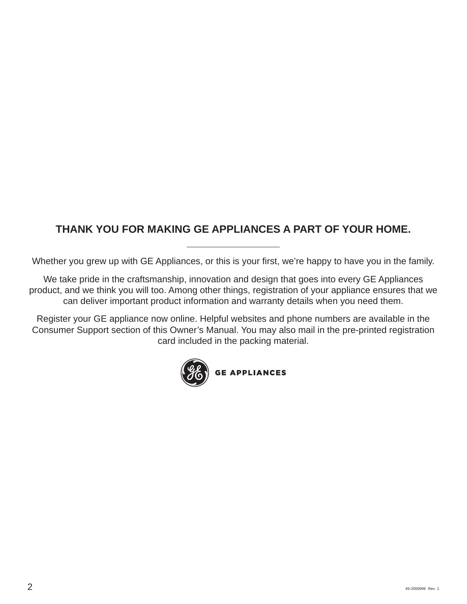## **THANK YOU FOR MAKING GE APPLIANCES A PART OF YOUR HOME.**

Whether you grew up with GE Appliances, or this is your first, we're happy to have you in the family.

We take pride in the craftsmanship, innovation and design that goes into every GE Appliances product, and we think you will too. Among other things, registration of your appliance ensures that we can deliver important product information and warranty details when you need them.

Register your GE appliance now online. Helpful websites and phone numbers are available in the Consumer Support section of this Owner's Manual. You may also mail in the pre-printed registration card included in the packing material.

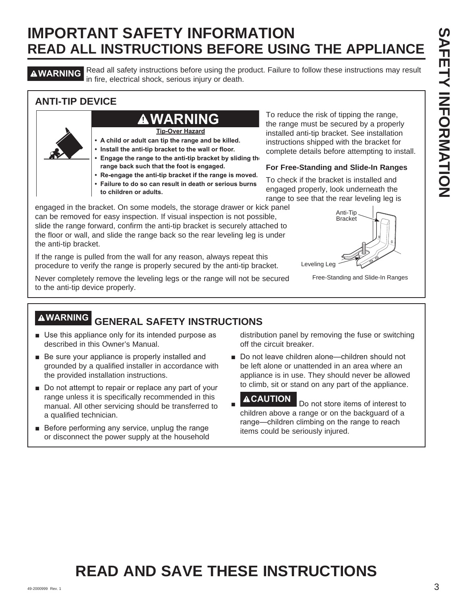**AWARNING** Read all safety instructions before using the product. Failure to follow these instructions may result in fire, electrical shock, serious injury or death.

#### **ANTI-TIP DEVICE**

## **WARNING**

**Tip-Over Hazard**

- **A child or adult can tip the range and be killed.**
- **Install the anti-tip bracket to the wall or floor.**
- **Engage the range to the anti-tip bracket by sliding the range back such that the foot is engaged.**
- **Re-engage the anti-tip bracket if the range is moved.**
- **Failure to do so can result in death or serious burns to children or adults.**

engaged in the bracket. On some models, the storage drawer or kick panel can be removed for easy inspection. If visual inspection is not possible, slide the range forward, confirm the anti-tip bracket is securely attached to the floor or wall, and slide the range back so the rear leveling leg is under the anti-tip bracket.

If the range is pulled from the wall for any reason, always repeat this procedure to verify the range is properly secured by the anti-tip bracket.

Never completely remove the leveling legs or the range will not be secured to the anti-tip device properly.

To reduce the risk of tipping the range, the range must be secured by a properly installed anti-tip bracket. See installation instructions shipped with the bracket for complete details before attempting to install.

#### **For Free-Standing and Slide-In Ranges**

To check if the bracket is installed and engaged properly, look underneath the range to see that the rear leveling leg is



Free-Standing and Slide-In Ranges

## **WARNING GENERAL SAFETY INSTRUCTIONS**

- Use this appliance only for its intended purpose as described in this Owner's Manual.
- $\blacksquare$  Be sure your appliance is properly installed and grounded by a qualified installer in accordance with the provided installation instructions.
- $\blacksquare$  Do not attempt to repair or replace any part of your range unless it is specifically recommended in this manual. All other servicing should be transferred to a qualified technician.
- $\blacksquare$  Before performing any service, unplug the range or disconnect the power supply at the household

distribution panel by removing the fuse or switching off the circuit breaker.

Do not leave children alone—children should not be left alone or unattended in an area where an appliance is in use. They should never be allowed to climb, sit or stand on any part of the appliance.

Ŷ **ACAUTION** Do not store items of interest to children above a range or on the backguard of a range—children climbing on the range to reach items could be seriously injured.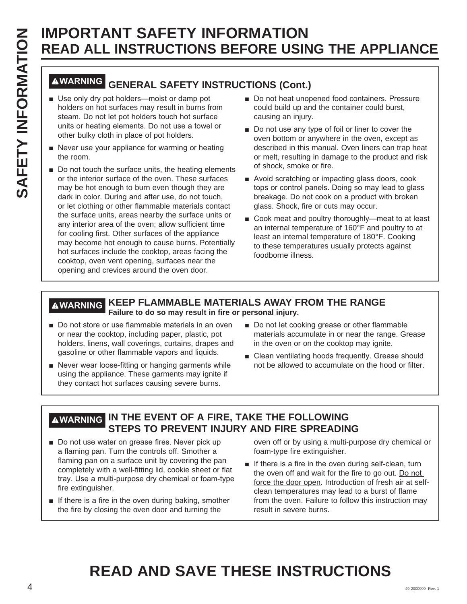# **WARNING GENERAL SAFETY INSTRUCTIONS (Cont.)**

- $\blacksquare$  Use only dry pot holders—moist or damp pot holders on hot surfaces may result in burns from steam. Do not let pot holders touch hot surface units or heating elements. Do not use a towel or other bulky cloth in place of pot holders.
- $\blacksquare$  Never use your appliance for warming or heating the room.
- $\blacksquare$  Do not touch the surface units, the heating elements or the interior surface of the oven. These surfaces may be hot enough to burn even though they are dark in color. During and after use, do not touch, or let clothing or other flammable materials contact the surface units, areas nearby the surface units or any interior area of the oven; allow sufficient time for cooling first. Other surfaces of the appliance may become hot enough to cause burns. Potentially hot surfaces include the cooktop, areas facing the cooktop, oven vent opening, surfaces near the opening and crevices around the oven door.
- Do not heat unopened food containers. Pressure could build up and the container could burst, causing an injury.
- Do not use any type of foil or liner to cover the oven bottom or anywhere in the oven, except as described in this manual. Oven liners can trap heat or melt, resulting in damage to the product and risk of shock, smoke or fire.
- Avoid scratching or impacting glass doors, cook tops or control panels. Doing so may lead to glass breakage. Do not cook on a product with broken glass. Shock, fire or cuts may occur.
- Cook meat and poultry thoroughly—meat to at least an internal temperature of 160°F and poultry to at least an internal temperature of 180°F. Cooking to these temperatures usually protects against foodborne illness.

#### **WARNING KEEP FLAMMABLE MATERIALS AWAY FROM THE RANGE Failure to do so may result in fire or personal injury.**

- Do not store or use flammable materials in an oven or near the cooktop, including paper, plastic, pot holders, linens, wall coverings, curtains, drapes and gasoline or other flammable vapors and liquids.
- Never wear loose-fitting or hanging garments while using the appliance. These garments may ignite if they contact hot surfaces causing severe burns.
- Do not let cooking grease or other flammable materials accumulate in or near the range. Grease in the oven or on the cooktop may ignite.
- Clean ventilating hoods frequently. Grease should not be allowed to accumulate on the hood or filter.

#### **WARNING IN THE EVENT OF A FIRE, TAKE THE FOLLOWING STEPS TO PREVENT INJURY AND FIRE SPREADING**

- Do not use water on grease fires. Never pick up a flaming pan. Turn the controls off. Smother a flaming pan on a surface unit by covering the pan completely with a well-fitting lid, cookie sheet or flat tray. Use a multi-purpose dry chemical or foam-type fire extinguisher.
- $\blacksquare$  If there is a fire in the oven during baking, smother the fire by closing the oven door and turning the

oven off or by using a multi-purpose dry chemical or foam-type fire extinguisher.

 $\blacksquare$  If there is a fire in the oven during self-clean, turn the oven off and wait for the fire to go out. Do not force the door open. Introduction of fresh air at selfclean temperatures may lead to a burst of flame from the oven. Failure to follow this instruction may result in severe burns.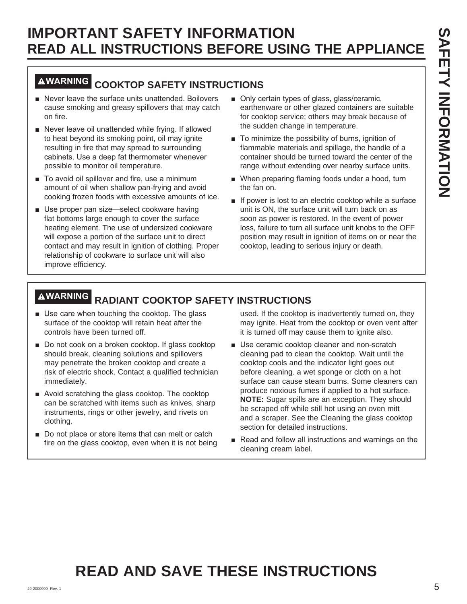## **WARNING COOKTOP SAFETY INSTRUCTIONS**

- Never leave the surface units unattended. Boilovers cause smoking and greasy spillovers that may catch on fire.
- Never leave oil unattended while frying. If allowed to heat beyond its smoking point, oil may ignite resulting in fire that may spread to surrounding cabinets. Use a deep fat thermometer whenever possible to monitor oil temperature.
- To avoid oil spillover and fire, use a minimum amount of oil when shallow pan-frying and avoid cooking frozen foods with excessive amounts of ice.
- **B** Use proper pan size-select cookware having flat bottoms large enough to cover the surface heating element. The use of undersized cookware will expose a portion of the surface unit to direct contact and may result in ignition of clothing. Proper relationship of cookware to surface unit will also improve efficiency.
- Only certain types of glass, glass/ceramic, earthenware or other glazed containers are suitable for cooktop service; others may break because of the sudden change in temperature.
- $\blacksquare$  To minimize the possibility of burns, ignition of flammable materials and spillage, the handle of a container should be turned toward the center of the range without extending over nearby surface units.
- When preparing flaming foods under a hood, turn the fan on.
- **If power is lost to an electric cooktop while a surface** unit is ON, the surface unit will turn back on as soon as power is restored. In the event of power loss, failure to turn all surface unit knobs to the OFF position may result in ignition of items on or near the cooktop, leading to serious injury or death.

## **WARNING RADIANT COOKTOP SAFETY INSTRUCTIONS**

- $\blacksquare$  Use care when touching the cooktop. The glass surface of the cooktop will retain heat after the controls have been turned off.
- $\blacksquare$  Do not cook on a broken cooktop. If glass cooktop should break, cleaning solutions and spillovers may penetrate the broken cooktop and create a risk of electric shock. Contact a qualified technician immediately.
- $\blacksquare$  Avoid scratching the glass cooktop. The cooktop can be scratched with items such as knives, sharp instruments, rings or other jewelry, and rivets on clothing.
- $\blacksquare$  Do not place or store items that can melt or catch fire on the glass cooktop, even when it is not being

used. If the cooktop is inadvertently turned on, they may ignite. Heat from the cooktop or oven vent after it is turned off may cause them to ignite also.

- Use ceramic cooktop cleaner and non-scratch cleaning pad to clean the cooktop. Wait until the cooktop cools and the indicator light goes out before cleaning. a wet sponge or cloth on a hot surface can cause steam burns. Some cleaners can produce noxious fumes if applied to a hot surface. **NOTE:** Sugar spills are an exception. They should be scraped off while still hot using an oven mitt and a scraper. See the Cleaning the glass cooktop section for detailed instructions.
- Read and follow all instructions and warnings on the cleaning cream label.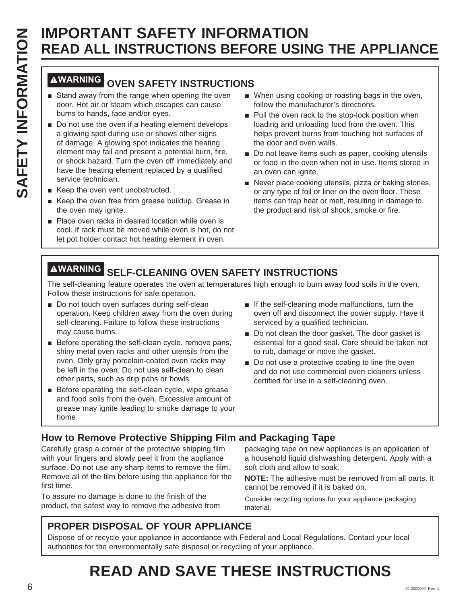## **WARNING OVEN SAFETY INSTRUCTIONS**

- Stand away from the range when opening the oven door. Hot air or steam which escapes can cause burns to hands, face and/or eyes.
- $\blacksquare$  Do not use the oven if a heating element develops a glowing spot during use or shows other signs of damage. A glowing spot indicates the heating element may fail and present a potential burn, fire, or shock hazard. Turn the oven off immediately and have the heating element replaced by a qualified service technician.
- $\blacksquare$  Keep the oven vent unobstructed.
- Keep the oven free from grease buildup. Grease in the oven may ignite.
- $\blacksquare$  Place oven racks in desired location while oven is cool. If rack must be moved while oven is hot, do not let pot holder contact hot heating element in oven.
- When using cooking or roasting bags in the oven, follow the manufacturer's directions.
- $\blacksquare$  Pull the oven rack to the stop-lock position when loading and unloading food from the oven. This helps prevent burns from touching hot surfaces of the door and oven walls.
- Do not leave items such as paper, cooking utensils or food in the oven when not in use. Items stored in an oven can ignite.
- Never place cooking utensils, pizza or baking stones, or any type of foil or liner on the oven floor. These items can trap heat or melt, resulting in damage to the product and risk of shock, smoke or fire.

## **WARNING SELF-CLEANING OVEN SAFETY INSTRUCTIONS**

The self-cleaning feature operates the oven at temperatures high enough to burn away food soils in the oven. Follow these instructions for safe operation.

- Do not touch oven surfaces during self-clean operation. Keep children away from the oven during self-cleaning. Failure to follow these instructions may cause burns.
- $\blacksquare$  Before operating the self-clean cycle, remove pans, shiny metal oven racks and other utensils from the oven. Only gray porcelain-coated oven racks may be left in the oven. Do not use self-clean to clean other parts, such as drip pans or bowls.
- $\blacksquare$  Before operating the self-clean cycle, wipe grease and food soils from the oven. Excessive amount of grease may ignite leading to smoke damage to your home.
- $\blacksquare$  If the self-cleaning mode malfunctions, turn the oven off and disconnect the power supply. Have it serviced by a qualified technician.
- Do not clean the door gasket. The door gasket is essential for a good seal. Care should be taken not to rub, damage or move the gasket.
- Do not use a protective coating to line the oven and do not use commercial oven cleaners unless certified for use in a self-cleaning oven.

#### **How to Remove Protective Shipping Film and Packaging Tape**

Carefully grasp a corner of the protective shipping film with your fingers and slowly peel it from the appliance surface. Do not use any sharp items to remove the film. Remove all of the film before using the appliance for the first time.

To assure no damage is done to the finish of the product, the safest way to remove the adhesive from packaging tape on new appliances is an application of a household liquid dishwashing detergent. Apply with a soft cloth and allow to soak.

**NOTE:** The adhesive must be removed from all parts. It cannot be removed if it is baked on.

Consider recycling options for your appliance packaging material.

#### **PROPER DISPOSAL OF YOUR APPLIANCE**

Dispose of or recycle your appliance in accordance with Federal and Local Regulations. Contact your local authorities for the environmentally safe disposal or recycling of your appliance.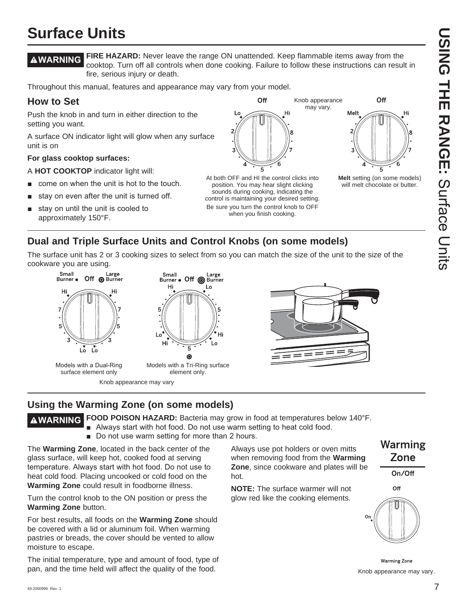# **USING THE RANGE:DOING THE RANGE:** Surface Chits Surface Units

**Melt** setting (on some models) will melt chocolate or butter.

Off

Hi

Melt

## **Surface Units**

**WARNING FIRE HAZARD:** Never leave the range ON unattended. Keep flammable items away from the cooktop. Turn off all controls when done cooking. Failure to follow these instructions can result in fire, serious injury or death.

> At both OFF and HI the control clicks into position. You may hear slight clicking sounds during cooking, indicating the control is maintaining your desired setting. Be sure you turn the control knob to OFF when you finish cooking.

Off

Hi

Throughout this manual, features and appearance may vary from your model.

#### **How to Set**

Push the knob in and turn in either direction to the setting you want.

A surface ON indicator light will glow when any surface unit is on

#### **For glass cooktop surfaces:**

A **HOT COOKTOP** indicator light will:

- come on when the unit is hot to the touch.
- stay on even after the unit is turned off.
- stay on until the unit is cooled to approximately 150°F.



Burner • Off @ Burner

Small

Hi

Hi

Models with a Tri-Ring surface element only.

5  $\odot$ 

The surface unit has 2 or 3 cooking sizes to select from so you can match the size of the unit to the size of the cookware you are using. Large

Lo

L٥



Models with a Dual-Ring surface element only

Knob appearance may vary



Knob appearance may vary.

#### **Using the Warming Zone (on some models)**

**WARNING FOOD POISON HAZARD:** Bacteria may grow in food at temperatures below 140°F.

- Always start with hot food. Do not use warm setting to heat cold food.
- Do not use warm setting for more than 2 hours.

The **Warming Zone**, located in the back center of the glass surface, will keep hot, cooked food at serving temperature. Always start with hot food. Do not use to heat cold food. Placing uncooked or cold food on the **Warming Zone** could result in foodborne illness.

Turn the control knob to the ON position or press the **Warming Zone** button.

For best results, all foods on the **Warming Zone** should be covered with a lid or aluminum foil. When warming pastries or breads, the cover should be vented to allow moisture to escape.

The initial temperature, type and amount of food, type of pan, and the time held will affect the quality of the food.

Always use pot holders or oven mitts when removing food from the **Warming Zone**, since cookware and plates will be hot.

**NOTE:** The surface warmer will not glow red like the cooking elements.



On/Off





**Warming Zone** Knob appearance may vary.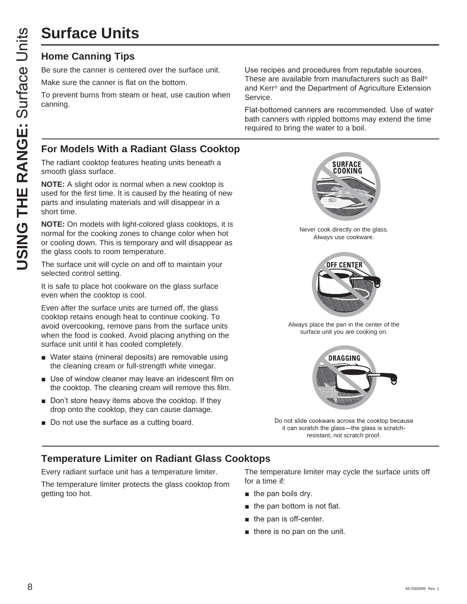# **Surface Units**

#### **Home Canning Tips**

Be sure the canner is centered over the surface unit.

Make sure the canner is flat on the bottom.

To prevent burns from steam or heat, use caution when canning.

Use recipes and procedures from reputable sources. These are available from manufacturers such as Ball® and Kerr® and the Department of Agriculture Extension Service.

Flat-bottomed canners are recommended. Use of water bath canners with rippled bottoms may extend the time required to bring the water to a boil.

#### **For Models With a Radiant Glass Cooktop**

The radiant cooktop features heating units beneath a smooth glass surface.

**NOTE:** A slight odor is normal when a new cooktop is used for the first time. It is caused by the heating of new parts and insulating materials and will disappear in a short time.

**NOTE:** On models with light-colored glass cooktops, it is normal for the cooking zones to change color when hot or cooling down. This is temporary and will disappear as the glass cools to room temperature.

The surface unit will cycle on and off to maintain your selected control setting.

It is safe to place hot cookware on the glass surface even when the cooktop is cool.

Even after the surface units are turned off, the glass cooktop retains enough heat to continue cooking. To avoid overcooking, remove pans from the surface units when the food is cooked. Avoid placing anything on the surface unit until it has cooled completely.

- Water stains (mineral deposits) are removable using the cleaning cream or full-strength white vinegar.
- $\blacksquare$  Use of window cleaner may leave an iridescent film on the cooktop. The cleaning cream will remove this film.
- $\blacksquare$  Don't store heavy items above the cooktop. If they drop onto the cooktop, they can cause damage.
- Do not use the surface as a cutting board.



Never cook directly on the glass. Always use cookware.



Always place the pan in the center of the surface unit you are cooking on.



Do not slide cookware across the cooktop because it can scratch the glass-the glass is scratchresistant, not scratch proof.

#### **Temperature Limiter on Radiant Glass Cooktops**

Every radiant surface unit has a temperature limiter.

The temperature limiter protects the glass cooktop from getting too hot.

The temperature limiter may cycle the surface units off for a time if:

- $\blacksquare$  the pan boils dry.
- $\blacksquare$  the pan bottom is not flat.
- $\blacksquare$  the pan is off-center.
- $\blacksquare$  there is no pan on the unit.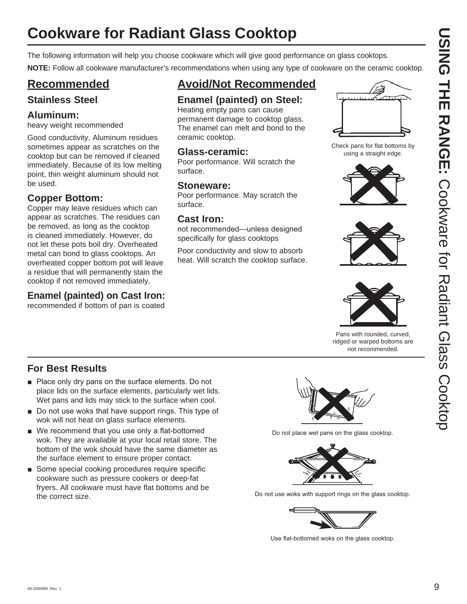## **Cookware for Radiant Glass Cooktop**

The following information will help you choose cookware which will give good performance on glass cooktops.

**NOTE:** Follow all cookware manufacturer's recommendations when using any type of cookware on the ceramic cooktop.

### **Recommended**

#### **Stainless Steel**

#### **Aluminum:**

heavy weight recommended

Good conductivity. Aluminum residues sometimes appear as scratches on the cooktop but can be removed if cleaned immediately. Because of its low melting point, thin weight aluminum should not be used.

#### **Copper Bottom:**

Copper may leave residues which can appear as scratches. The residues can be removed, as long as the cooktop is cleaned immediately. However, do not let these pots boil dry. Overheated metal can bond to glass cooktops. An overheated copper bottom pot will leave a residue that will permanently stain the cooktop if not removed immediately.

#### **Enamel (painted) on Cast Iron:**

recommended if bottom of pan is coated

## **Avoid/Not Recommended**

#### **Enamel (painted) on Steel:**

Heating empty pans can cause permanent damage to cooktop glass. The enamel can melt and bond to the ceramic cooktop.

#### **Glass-ceramic:**

Poor performance. Will scratch the surface.

#### **Stoneware:**

Poor performance. May scratch the surface.

#### **Cast Iron:**

not recommended—unless designed specifically for glass cooktops

Poor conductivity and slow to absorb heat. Will scratch the cooktop surface.



Check pans for flat bottoms by using a straight edge.







Pans with rounded, curved, ridged or warped bottoms are not recommended.

#### **For Best Results**

- $\blacksquare$  Place only dry pans on the surface elements. Do not place lids on the surface elements, particularly wet lids. Wet pans and lids may stick to the surface when cool.
- $\blacksquare$  Do not use woks that have support rings. This type of wok will not heat on glass surface elements.
- $\blacksquare$  We recommend that you use only a flat-bottomed wok. They are available at your local retail store. The bottom of the wok should have the same diameter as the surface element to ensure proper contact.
- Some special cooking procedures require specific cookware such as pressure cookers or deep-fat fryers. All cookware must have flat bottoms and be the correct size.



Do not place wet pans on the glass cooktop.



Do not use woks with support rings on the glass cooktop.



Use flat-bottomed woks on the glass cooktop.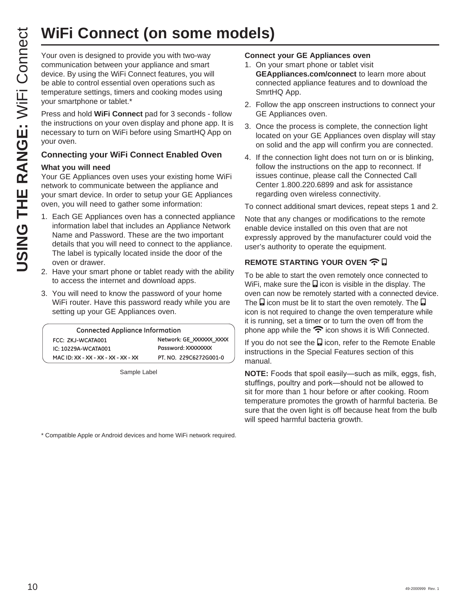# **WiFi Connect (on some models)**

**WIFI Connect (on some set of the properties)**<br>
Your oven is designed to provide you with two-way<br>
communication between your appliance and smart<br>
be able to control essential oven operations such as<br>
temperature settings, communication between your appliance and smart device. By using the WiFi Connect features, you will be able to control essential oven operations such as temperature settings, timers and cooking modes using your smartphone or tablet.\*

Press and hold **WiFi Connect** pad for 3 seconds - follow the instructions on your oven display and phone app. It is necessary to turn on WiFi before using SmartHQ App on your oven.

#### **Connecting your WiFi Connect Enabled Oven**

#### **What you will need**

Your GE Appliances oven uses your existing home WiFi network to communicate between the appliance and your smart device. In order to setup your GE Appliances oven, you will need to gather some information:

- 1. Each GE Appliances oven has a connected appliance information label that includes an Appliance Network Name and Password. These are the two important details that you will need to connect to the appliance. The label is typically located inside the door of the oven or drawer.
- 2. Have your smart phone or tablet ready with the ability to access the internet and download apps.
- 3. You will need to know the password of your home WiFi router. Have this password ready while you are setting up your GE Appliances oven.

| <b>Connected Appliance Information</b> |                         |
|----------------------------------------|-------------------------|
| FCC: ZKJ-WCATA001                      | Network: GE XXXXXX XXXX |
| IC: 10229A-WCATA001                    | Password: XXXXXXXX      |
| MAC ID: XX - XX - XX - XX - XX - XX    | PT. NO. 229C6272G001-0  |

Sample Label

\* Compatible Apple or Android devices and home WiFi network required.

#### **Connect your GE Appliances oven**

- 1. On your smart phone or tablet visit **GEAppliances.com/connect** to learn more about connected appliance features and to download the SmrtHQ App.
- 2. Follow the app onscreen instructions to connect your GE Appliances oven.
- 3. Once the process is complete, the connection light located on your GE Appliances oven display will stay on solid and the app will confirm you are connected.
- 4. If the connection light does not turn on or is blinking, follow the instructions on the app to reconnect. If issues continue, please call the Connected Call Center 1.800.220.6899 and ask for assistance regarding oven wireless connectivity.

To connect additional smart devices, repeat steps 1 and 2.

Note that any changes or modifications to the remote enable device installed on this oven that are not expressly approved by the manufacturer could void the user's authority to operate the equipment.

#### **REMOTE STARTING YOUR OVEN**  $\widehat{\mathbf{R}}$

To be able to start the oven remotely once connected to WiFi, make sure the  $\Box$  icon is visible in the display. The oven can now be remotely started with a connected device. The  $\Box$  icon must be lit to start the oven remotely. The  $\Box$ icon is not required to change the oven temperature while it is running, set a timer or to turn the oven off from the phone app while the  $\widehat{\mathcal{F}}$  icon shows it is Wifi Connected.

If you do not see the  $\Box$  icon, refer to the Remote Enable instructions in the Special Features section of this manual.

**NOTE:** Foods that spoil easily-such as milk, eggs, fish, stuffings, poultry and pork-should not be allowed to sit for more than 1 hour before or after cooking. Room temperature promotes the growth of harmful bacteria. Be sure that the oven light is off because heat from the bulb will speed harmful bacteria growth.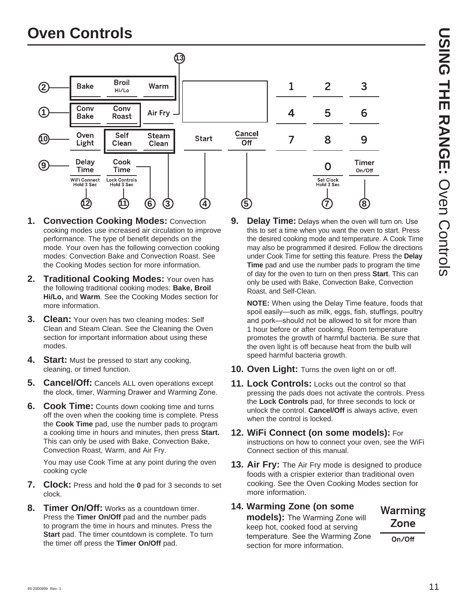## **Oven Controls**



- **1. Convection Cooking Modes:** Convection cooking modes use increased air circulation to improve performance. The type of benefit depends on the mode. Your oven has the following convection cooking modes: Convection Bake and Convection Roast. See the Cooking Modes section for more information.
- **2. Traditional Cooking Modes:** Your oven has the following traditional cooking modes: **Bake, Broil Hi/Lo,** and **Warm**. See the Cooking Modes section for more information.
- **3. Clean:** Your oven has two cleaning modes: Self Clean and Steam Clean. See the Cleaning the Oven section for important information about using these modes.
- **4.** Start: Must be pressed to start any cooking, cleaning, or timed function.
- **5. Cancel/Off:** Cancels ALL oven operations except the clock, timer, Warming Drawer and Warming Zone.
- **6. Cook Time:** Counts down cooking time and turns off the oven when the cooking time is complete. Press the **Cook Time** pad, use the number pads to program a cooking time in hours and minutes, then press **Start.** This can only be used with Bake, Convection Bake, Convection Roast, Warm, and Air Fry.

You may use Cook Time at any point during the oven cooking cycle

- **7. Clock:** Press and hold the **0** pad for 3 seconds to set clock.
- **8. Timer On/Off:** Works as a countdown timer. Press the **Timer On/Off** pad and the number pads to program the time in hours and minutes. Press the **Start** pad. The timer countdown is complete. To turn the timer off press the **Timer On/Off** pad.

**9. Delay Time:** Delays when the oven will turn on. Use this to set a time when you want the oven to start. Press the desired cooking mode and temperature. A Cook Time may also be programmed if desired. Follow the directions under Cook Time for setting this feature. Press the **Delay Time** pad and use the number pads to program the time of day for the oven to turn on then press **Start**. This can only be used with Bake, Convection Bake, Convection Roast, and Self-Clean.

**NOTE:** When using the Delay Time feature, foods that spoil easily—such as milk, eggs, fish, stuffings, poultry and pork—should not be allowed to sit for more than 1 hour before or after cooking. Room temperature promotes the growth of harmful bacteria. Be sure that the oven light is off because heat from the bulb will speed harmful bacteria growth.

- **10. Oven Light:** Turns the oven light on or off.
- **11. Lock Controls:** Locks out the control so that pressing the pads does not activate the controls. Press the **Lock Controls** pad, for three seconds to lock or unlock the control. **Cancel/Off** is always active, even when the control is locked.
- **12. WiFi Connect (on some models):** For instructions on how to connect your oven, see the WiFi Connect section of this manual.
- **13. Air Fry:** The Air Fry mode is designed to produce foods with a crispier exterior than traditional oven cooking. See the Oven Cooking Modes section for more information.
- **14. Warming Zone (on some**

**models):** The Warming Zone will keep hot, cooked food at serving temperature. See the Warming Zone section for more information.

## Warming Zone

On/Off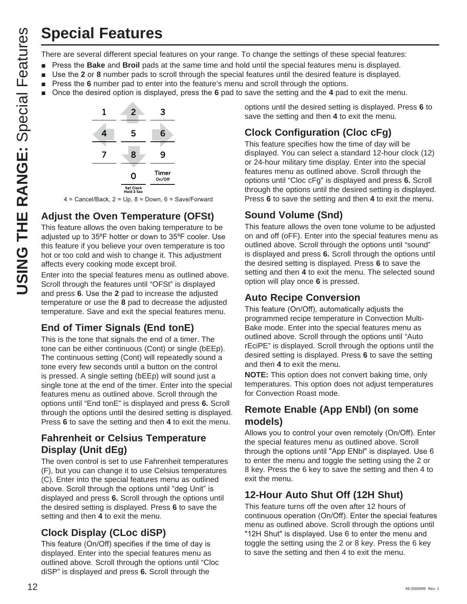There are several different special features on your range. To change the settings of these special features:

- Press the **Bake** and **Broil** pads at the same time and hold until the special features menu is displayed.
- **Use the 2 or 8** number pads to scroll through the special features until the desired feature is displayed.
- Press the 6 number pad to enter into the feature's menu and scroll through the options.
- Once the desired option is displayed, press the 6 pad to save the setting and the 4 pad to exit the menu.



 $4 =$  Cancel/Back,  $2 =$  Up,  $8 =$  Down,  $6 =$  Save/Forward

#### **Adjust the Oven Temperature (OFSt)**

This feature allows the oven baking temperature to be adjusted up to  $35^{\circ}$ F hotter or down to  $35^{\circ}$ F cooler. Use this feature if you believe your oven temperature is too hot or too cold and wish to change it. This adjustment affects every cooking mode except broil.

Enter into the special features menu as outlined above. Scroll through the features until "OFSt" is displayed and press 6. Use the 2 pad to increase the adjusted temperature or use the **8** pad to decrease the adjusted temperature. Save and exit the special features menu.

#### **End of Timer Signals (End tonE)**

This is the tone that signals the end of a timer. The tone can be either continuous (Cont) or single (bEEp). The continuous setting (Cont) will repeatedly sound a tone every few seconds until a button on the control is pressed. A single setting (bEEp) will sound just a single tone at the end of the timer. Enter into the special features menu as outlined above. Scroll through the options until "End tonE" is displayed and press **6.** Scroll through the options until the desired setting is displayed. Press **6** to save the setting and then **4** to exit the menu.

#### **Fahrenheit or Celsius Temperature Display (Unit dEg)**

The oven control is set to use Fahrenheit temperatures (F), but you can change it to use Celsius temperatures (C). Enter into the special features menu as outlined above. Scroll through the options until "deg Unit" is displayed and press **6.** Scroll through the options until the desired setting is displayed. Press **6** to save the setting and then **4** to exit the menu.

#### **Clock Display (CLoc diSP)**

This feature (On/Off) specifies if the time of day is displayed. Enter into the special features menu as outlined above. Scroll through the options until "Cloc diSP" is displayed and press **6.** Scroll through the

options until the desired setting is displayed. Press **6** to save the setting and then **4** to exit the menu.

### **Clock Configuration (Cloc cFg)**

This feature specifies how the time of day will be displayed. You can select a standard 12-hour clock (12) or 24-hour military time display. Enter into the special features menu as outlined above. Scroll through the options until "Cloc cFg" is displayed and press **6.** Scroll through the options until the desired setting is displayed. Press **6** to save the setting and then **4** to exit the menu.

#### **Sound Volume (Snd)**

This feature allows the oven tone volume to be adjusted on and off (oFF). Enter into the special features menu as outlined above. Scroll through the options until "sound" is displayed and press **6.** Scroll through the options until the desired setting is displayed. Press **6** to save the setting and then **4** to exit the menu. The selected sound option will play once **6** is pressed.

#### **Auto Recipe Conversion**

This feature (On/Off), automatically adjusts the programmed recipe temperature in Convection Multi-Bake mode. Enter into the special features menu as outlined above. Scroll through the options until "Auto rEciPE" is displayed. Scroll through the options until the desired setting is displayed. Press **6** to save the setting and then **4** to exit the menu.

**NOTE:** This option does not convert baking time, only temperatures. This option does not adjust temperatures for Convection Roast mode.

#### **Remote Enable (App ENbl) (on some models)**

Allows you to control your oven remotely (On/Off). Enter the special features menu as outlined above. Scroll through the options until "App ENbl" is displayed. Use 6 to enter the menu and toggle the setting using the 2 or 8 key. Press the 6 key to save the setting and then 4 to exit the menu.

#### **12-Hour Auto Shut Off (12H Shut)**

This feature turns off the oven after 12 hours of continuous operation (On/Off). Enter the special features menu as outlined above. Scroll through the options until "12H Shut" is displayed. Use 6 to enter the menu and toggle the setting using the 2 or 8 key. Press the 6 key to save the setting and then 4 to exit the menu.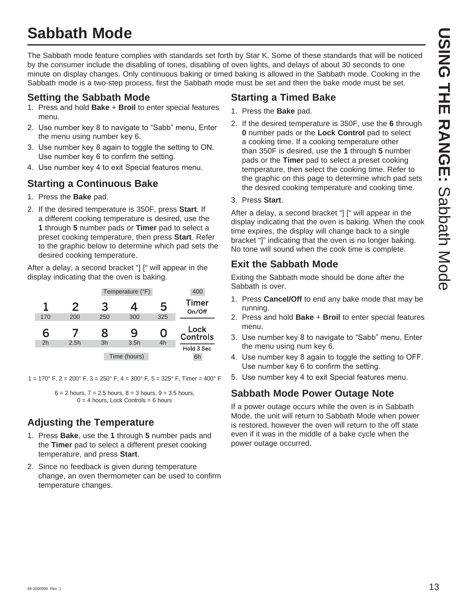## **Sabbath Mode**

The Sabbath mode feature complies with standards set forth by Star K. Some of these standards that will be noticed by the consumer include the disabling of tones, disabling of oven lights, and delays of about 30 seconds to one minute on display changes. Only continuous baking or timed baking is allowed in the Sabbath mode. Cooking in the Sabbath mode is a two-step process, first the Sabbath mode must be set and then the bake mode must be set.

#### **Setting the Sabbath Mode**

- 1. Press and hold **Bake** + **Broil** to enter special features menu.
- 2. Use number key 8 to navigate to "Sabb" menu, Enter the menu using number key 6.
- 3. Use number key 8 again to toggle the setting to ON. Use number key 6 to confirm the setting.
- 4. Use number key 4 to exit Special features menu.

## **Starting a Continuous Bake**

- 1. Press the **Bake** pad.
- 2. If the desired temperature is 350F, press **Start**. If a different cooking temperature is desired, use the **1** through **5** number pads or **Timer** pad to select a preset cooking temperature, then press **Start**. Refer to the graphic below to determine which pad sets the desired cooking temperature.

After a delay, a second bracket "] [" will appear in the display indicating that the oven is baking.

| 400                     |     | Temperature (°F) |     |      |                |
|-------------------------|-----|------------------|-----|------|----------------|
| <b>Timer</b><br>On/Off  | 5   | 4                | 3   | 2    | 1              |
|                         | 325 | 300              | 250 | 200  | 170            |
|                         |     |                  |     |      |                |
| Lock<br><b>Controls</b> | O   | 9                | 8   |      | 6              |
| Hold 3 Sec              | 4h  | 3.5h             | 3h  | 2.5h | 2 <sub>h</sub> |

 $1 = 170^{\circ}$  F,  $2 = 200^{\circ}$  F,  $3 = 250^{\circ}$  F,  $4 = 300^{\circ}$  F,  $5 = 325^{\circ}$  F, Timer = 400° F

 $6 = 2$  hours,  $7 = 2.5$  hours,  $8 = 3$  hours,  $9 = 3.5$  hours,  $0 = 4$  hours, Lock Controls = 6 hours

## **Adjusting the Temperature**

- 1. Press **Bake**, use the **1** through **5** number pads and the **Timer** pad to select a different preset cooking temperature, and press **Start**.
- 2. Since no feedback is given during temperature change, an oven thermometer can be used to confirm temperature changes.

#### **Starting a Timed Bake**

- 1. Press the **Bake** pad.
- 2. If the desired temperature is 350F, use the **6** through **0** number pads or the **Lock Control** pad to select a cooking time. If a cooking temperature other than 350F is desired, use the **1** through **5** number pads or the **Timer** pad to select a preset cooking temperature, then select the cooking time. Refer to the graphic on this page to determine which pad sets the desired cooking temperature and cooking time.

#### 3. Press **Start**.

After a delay, a second bracket "] [" will appear in the display indicating that the oven is baking. When the cook time expires, the display will change back to a single bracket "]" indicating that the oven is no longer baking. No tone will sound when the cook time is complete.

## **Exit the Sabbath Mode**

Exiting the Sabbath mode should be done after the Sabbath is over.

- 1. Press **Cancel/Off** to end any bake mode that may be running.
- 2. Press and hold **Bake** + **Broil** to enter special features menu.
- 3. Use number key 8 to navigate to "Sabb" menu, Enter the menu using num key 6.
- 4. Use number key 8 again to toggle the setting to OFF. Use number key 6 to confirm the setting.
- 5. Use number key 4 to exit Special features menu.

## **Sabbath Mode Power Outage Note**

If a power outage occurs while the oven is in Sabbath Mode, the unit will return to Sabbath Mode when power is restored, however the oven will return to the off state even if it was in the middle of a bake cycle when the power outage occurred.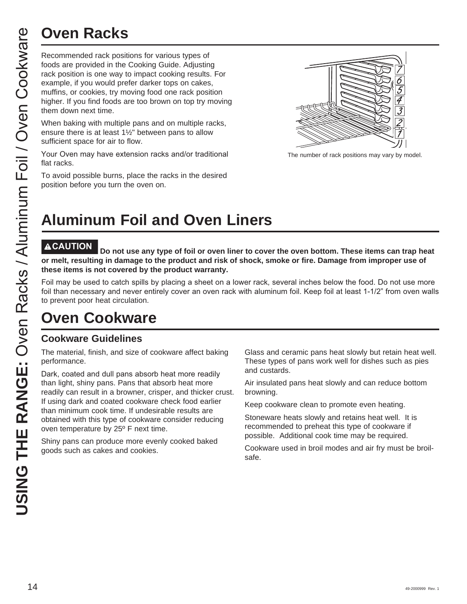Recommended rack positions for various types of foods are provided in the Cooking Guide. Adjusting rack position is one way to impact cooking results. For example, if you would prefer darker tops on cakes, muffins, or cookies, try moving food one rack position higher. If you find foods are too brown on top try moving them down next time.

When baking with multiple pans and on multiple racks, ensure there is at least 1½" between pans to allow sufficient space for air to flow.

Your Oven may have extension racks and/or traditional flat racks.

To avoid possible burns, place the racks in the desired position before you turn the oven on.



The number of rack positions may vary by model.

## **Aluminum Foil and Oven Liners**

Do not use any type of foil or oven liner to cover the oven bottom. These items can trap heat **or melt, resulting in damage to the product and risk of shock, smoke or fire. Damage from improper use of these items is not covered by the product warranty.** 

Foil may be used to catch spills by placing a sheet on a lower rack, several inches below the food. Do not use more foil than necessary and never entirely cover an oven rack with aluminum foil. Keep foil at least 1-1/2" from oven walls to prevent poor heat circulation.

## **Oven Cookware**

#### **Cookware Guidelines**

The material, finish, and size of cookware affect baking performance.

Dark, coated and dull pans absorb heat more readily than light, shiny pans. Pans that absorb heat more readily can result in a browner, crisper, and thicker crust. If using dark and coated cookware check food earlier than minimum cook time. If undesirable results are obtained with this type of cookware consider reducing oven temperature by 25º F next time.

Shiny pans can produce more evenly cooked baked goods such as cakes and cookies.

Glass and ceramic pans heat slowly but retain heat well. These types of pans work well for dishes such as pies and custards.

Air insulated pans heat slowly and can reduce bottom browning.

Keep cookware clean to promote even heating.

Stoneware heats slowly and retains heat well. It is recommended to preheat this type of cookware if possible. Additional cook time may be required.

Cookware used in broil modes and air fry must be broilsafe.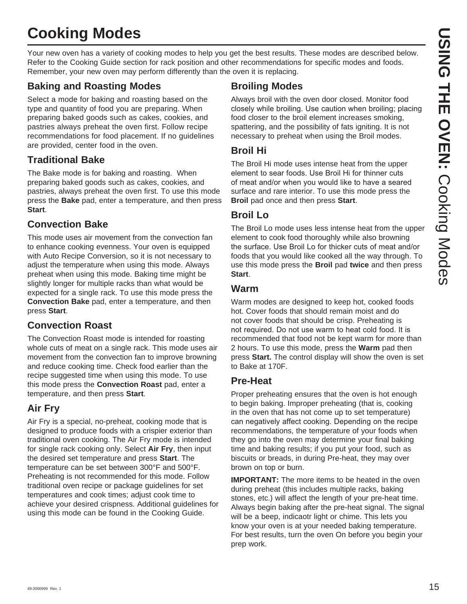# **Cooking Modes**

Your new oven has a variety of cooking modes to help you get the best results. These modes are described below. Refer to the Cooking Guide section for rack position and other recommendations for specific modes and foods. Remember, your new oven may perform differently than the oven it is replacing.

#### **Baking and Roasting Modes**

Select a mode for baking and roasting based on the type and quantity of food you are preparing. When preparing baked goods such as cakes, cookies, and pastries always preheat the oven first. Follow recipe recommendations for food placement. If no guidelines are provided, center food in the oven.

#### **Traditional Bake**

The Bake mode is for baking and roasting. When preparing baked goods such as cakes, cookies, and pastries, always preheat the oven first. To use this mode press the **Bake** pad, enter a temperature, and then press **Start**.

#### **Convection Bake**

This mode uses air movement from the convection fan to enhance cooking evenness. Your oven is equipped with Auto Recipe Conversion, so it is not necessary to adjust the temperature when using this mode. Always preheat when using this mode. Baking time might be slightly longer for multiple racks than what would be expected for a single rack. To use this mode press the **Convection Bake** pad, enter a temperature, and then press **Start**.

#### **Convection Roast**

The Convection Roast mode is intended for roasting whole cuts of meat on a single rack. This mode uses air movement from the convection fan to improve browning and reduce cooking time. Check food earlier than the recipe suggested time when using this mode. To use this mode press the **Convection Roast** pad, enter a temperature, and then press **Start**.

#### **Air Fry**

Air Fry is a special, no-preheat, cooking mode that is designed to produce foods with a crispier exterior than traditional oven cooking. The Air Fry mode is intended for single rack cooking only. Select **Air Fry**, then input the desired set temperature and press **Start**. The temperature can be set between 300°F and 500°F. Preheating is not recommended for this mode. Follow traditional oven recipe or package guidelines for set temperatures and cook times; adjust cook time to achieve your desired crispness. Additional guidelines for using this mode can be found in the Cooking Guide.

#### **Broiling Modes**

Always broil with the oven door closed. Monitor food closely while broiling. Use caution when broiling; placing food closer to the broil element increases smoking, spattering, and the possibility of fats igniting. It is not necessary to preheat when using the Broil modes.

#### **Broil Hi**

The Broil Hi mode uses intense heat from the upper element to sear foods. Use Broil Hi for thinner cuts of meat and/or when you would like to have a seared surface and rare interior. To use this mode press the **Broil** pad once and then press **Start**.

#### **Broil Lo**

The Broil Lo mode uses less intense heat from the upper element to cook food thoroughly while also browning the surface. Use Broil Lo for thicker cuts of meat and/or foods that you would like cooked all the way through. To use this mode press the **Broil** pad **twice** and then press **Start**.

#### **Warm**

Warm modes are designed to keep hot, cooked foods hot. Cover foods that should remain moist and do not cover foods that should be crisp. Preheating is not required. Do not use warm to heat cold food. It is recommended that food not be kept warm for more than 2 hours. To use this mode, press the **Warm** pad then press **Start.** The control display will show the oven is set to Bake at 170F.

#### **Pre-Heat**

Proper preheating ensures that the oven is hot enough to begin baking. Improper preheating (that is, cooking in the oven that has not come up to set temperature) can negatively affect cooking. Depending on the recipe recommendations, the temperature of your foods when they go into the oven may determine your final baking time and baking results; if you put your food, such as biscuits or breads, in during Pre-heat, they may over brown on top or burn.

**IMPORTANT:** The more items to be heated in the oven during preheat (this includes multiple racks, baking stones, etc.) will affect the length of your pre-heat time. Always begin baking after the pre-heat signal. The signal will be a beep, indicaotr light or chime. This lets you know your oven is at your needed baking temperature. For best results, turn the oven On before you begin your prep work.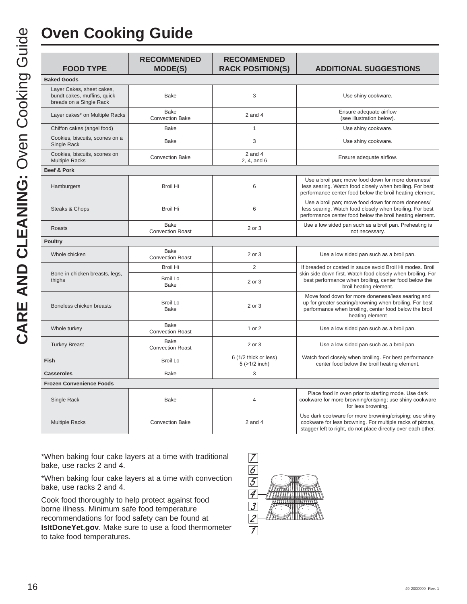## **Oven Cooking Guide**

| <b>FOOD TYPE</b>                                                                    | <b>RECOMMENDED</b><br><b>MODE(S)</b>   | <b>RECOMMENDED</b><br><b>RACK POSITION(S)</b> | <b>ADDITIONAL SUGGESTIONS</b>                                                                                                                                                             |
|-------------------------------------------------------------------------------------|----------------------------------------|-----------------------------------------------|-------------------------------------------------------------------------------------------------------------------------------------------------------------------------------------------|
| <b>Baked Goods</b>                                                                  |                                        |                                               |                                                                                                                                                                                           |
| Layer Cakes, sheet cakes,<br>bundt cakes, muffins, quick<br>breads on a Single Rack | <b>Bake</b>                            | 3                                             | Use shiny cookware.                                                                                                                                                                       |
| Layer cakes* on Multiple Racks                                                      | Bake<br><b>Convection Bake</b>         | $2$ and $4$                                   | Ensure adequate airflow<br>(see illustration below).                                                                                                                                      |
| Chiffon cakes (angel food)                                                          | Bake                                   | 1                                             | Use shiny cookware.                                                                                                                                                                       |
| Cookies, biscuits, scones on a<br>Single Rack                                       | <b>Bake</b>                            | 3                                             | Use shiny cookware.                                                                                                                                                                       |
| Cookies, biscuits, scones on<br><b>Multiple Racks</b>                               | <b>Convection Bake</b>                 | $2$ and $4$<br>2, 4, and 6                    | Ensure adequate airflow.                                                                                                                                                                  |
| Beef & Pork                                                                         |                                        |                                               |                                                                                                                                                                                           |
| Hamburgers                                                                          | <b>Broil Hi</b>                        | 6                                             | Use a broil pan; move food down for more doneness/<br>less searing. Watch food closely when broiling. For best<br>performance center food below the broil heating element.                |
| Steaks & Chops                                                                      | <b>Broil Hi</b>                        | 6                                             | Use a broil pan; move food down for more doneness/<br>less searing. Watch food closely when broiling. For best<br>performance center food below the broil heating element.                |
| Roasts                                                                              | Bake<br><b>Convection Roast</b>        | 2 or 3                                        | Use a low sided pan such as a broil pan. Preheating is<br>not necessary.                                                                                                                  |
| <b>Poultry</b>                                                                      |                                        |                                               |                                                                                                                                                                                           |
| Whole chicken                                                                       | <b>Bake</b><br><b>Convection Roast</b> | 2 or 3                                        | Use a low sided pan such as a broil pan.                                                                                                                                                  |
|                                                                                     | <b>Broil Hi</b>                        | $\overline{2}$                                | If breaded or coated in sauce avoid Broil Hi modes. Broil                                                                                                                                 |
| Bone-in chicken breasts, legs,<br>thighs                                            | <b>Broil Lo</b><br><b>Bake</b>         | 2 or 3                                        | skin side down first. Watch food closely when broiling. For<br>best performance when broiling, center food below the<br>broil heating element.                                            |
| Boneless chicken breasts                                                            | <b>Broil Lo</b><br><b>Bake</b>         | 2 or 3                                        | Move food down for more doneness/less searing and<br>up for greater searing/browning when broiling. For best<br>performance when broiling, center food below the broil<br>heating element |
| Whole turkey                                                                        | Bake<br><b>Convection Roast</b>        | 1 or 2                                        | Use a low sided pan such as a broil pan.                                                                                                                                                  |
| <b>Turkey Breast</b>                                                                | Bake<br><b>Convection Roast</b>        | 2 or 3                                        | Use a low sided pan such as a broil pan.                                                                                                                                                  |
| Fish                                                                                | <b>Broil Lo</b>                        | 6 (1/2 thick or less)<br>5 (>1/2 inch)        | Watch food closely when broiling. For best performance<br>center food below the broil heating element.                                                                                    |
| <b>Casseroles</b>                                                                   | <b>Bake</b>                            | 3                                             |                                                                                                                                                                                           |
| <b>Frozen Convenience Foods</b>                                                     |                                        |                                               |                                                                                                                                                                                           |
| Single Rack                                                                         | <b>Bake</b>                            | 4                                             | Place food in oven prior to starting mode. Use dark<br>cookware for more browning/crisping; use shiny cookware<br>for less browning.                                                      |
| <b>Multiple Racks</b>                                                               | <b>Convection Bake</b>                 | $2$ and $4$                                   | Use dark cookware for more browning/crisping; use shiny<br>cookware for less browning. For multiple racks of pizzas,<br>stagger left to right, do not place directly over each other.     |

\*When baking four cake layers at a time with traditional bake, use racks 2 and 4.

\*When baking four cake layers at a time with convection bake, use racks 2 and 4.

Cook food thoroughly to help protect against food borne illness. Minimum safe food temperature recommendations for food safety can be found at **IsItDoneYet.gov**. Make sure to use a food thermometer to take food temperatures.

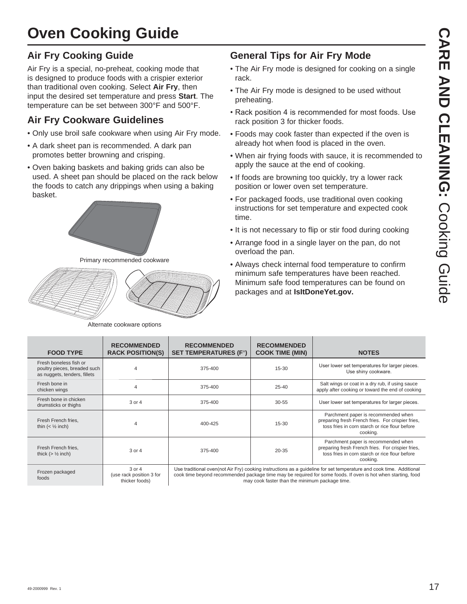## **Oven Cooking Guide**

#### **Air Fry Cooking Guide**

Air Fry is a special, no-preheat, cooking mode that is designed to produce foods with a crispier exterior than traditional oven cooking. Select **Air Fry**, then input the desired set temperature and press **Start**. The temperature can be set between 300°F and 500°F.

#### **Air Fry Cookware Guidelines**

- Only use broil safe cookware when using Air Fry mode.
- A dark sheet pan is recommended. A dark pan promotes better browning and crisping.
- Oven baking baskets and baking grids can also be used. A sheet pan should be placed on the rack below the foods to catch any drippings when using a baking basket.



Primary recommended cookware



Alternate cookware options

#### **General Tips for Air Fry Mode**

- The Air Fry mode is designed for cooking on a single rack.
- The Air Fry mode is designed to be used without preheating.
- Rack position 4 is recommended for most foods. Use rack position 3 for thicker foods.
- Foods may cook faster than expected if the oven is already hot when food is placed in the oven.
- When air frying foods with sauce, it is recommended to apply the sauce at the end of cooking.
- If foods are browning too quickly, try a lower rack position or lower oven set temperature.
- For packaged foods, use traditional oven cooking instructions for set temperature and expected cook time.
- It is not necessary to flip or stir food during cooking
- Arrange food in a single layer on the pan, do not overload the pan.
- Always check internal food temperature to confirm minimum safe temperatures have been reached. Minimum safe food temperatures can be found on packages and at **IsItDoneYet.gov.**

| <b>FOOD TYPE</b>                                                                       | <b>RECOMMENDED</b><br><b>RACK POSITION(S)</b>            | <b>RECOMMENDED</b><br><b>SET TEMPERATURES (F°)</b> | <b>RECOMMENDED</b><br><b>COOK TIME (MIN)</b>   | <b>NOTES</b>                                                                                                                                                                                                                         |
|----------------------------------------------------------------------------------------|----------------------------------------------------------|----------------------------------------------------|------------------------------------------------|--------------------------------------------------------------------------------------------------------------------------------------------------------------------------------------------------------------------------------------|
| Fresh boneless fish or<br>poultry pieces, breaded such<br>as nuggets, tenders, fillets | 4                                                        | 375-400                                            | $15 - 30$                                      | User lower set temperatures for larger pieces.<br>Use shiny cookware.                                                                                                                                                                |
| Fresh bone in<br>chicken wings                                                         | $\overline{4}$                                           | 375-400                                            | $25 - 40$                                      | Salt wings or coat in a dry rub, if using sauce<br>apply after cooking or toward the end of cooking                                                                                                                                  |
| Fresh bone in chicken<br>drumsticks or thighs                                          | 3 or 4                                                   | 375-400                                            | $30 - 55$                                      | User lower set temperatures for larger pieces.                                                                                                                                                                                       |
| Fresh French fries,<br>thin $(\frac{1}{2} inch)$                                       | $\overline{4}$                                           | 400-425                                            | $15 - 30$                                      | Parchment paper is recommended when<br>preparing fresh French fries. For crispier fries,<br>toss fries in corn starch or rice flour before<br>cooking.                                                                               |
| Fresh French fries,<br>thick $(>\frac{1}{2}$ inch)                                     | 3 or 4                                                   | 375-400                                            | $20 - 35$                                      | Parchment paper is recommended when<br>preparing fresh French fries. For crispier fries,<br>toss fries in corn starch or rice flour before<br>cooking.                                                                               |
| Frozen packaged<br>foods                                                               | $3$ or $4$<br>(use rack position 3 for<br>thicker foods) |                                                    | may cook faster than the minimum package time. | Use traditional oven (not Air Fry) cooking instructions as a guideline for set temperature and cook time. Additional<br>cook time beyond recommended package time may be required for some foods. If oven is hot when starting, food |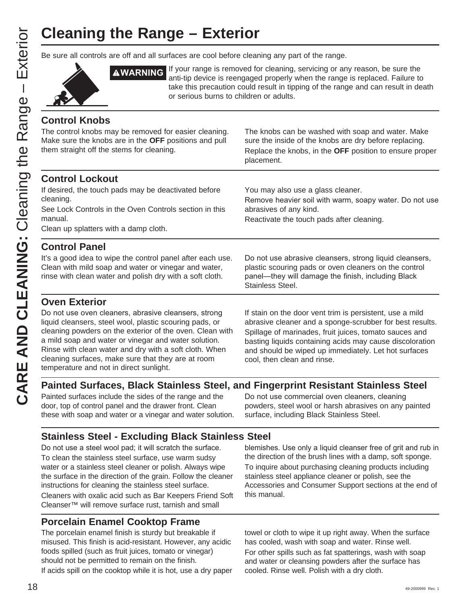# **Cleaning the Range – Exterior**

Be sure all controls are off and all surfaces are cool before cleaning any part of the range.



**AWARNING** If your range is removed for cleaning, servicing or any reason, be sure the anti-tip device is reengaged properly when the range is replaced. Failure to take this precaution could result in tipping of the range and can result in death or serious burns to children or adults.

You may also use a glass cleaner.

Reactivate the touch pads after cleaning.

abrasives of any kind.

#### **Control Knobs**

The control knobs may be removed for easier cleaning. Make sure the knobs are in the **OFF** positions and pull them straight off the stems for cleaning.

The knobs can be washed with soap and water. Make sure the inside of the knobs are dry before replacing. Replace the knobs, in the **OFF** position to ensure proper placement.

Remove heavier soil with warm, soapy water. Do not use

#### **Control Lockout**

If desired, the touch pads may be deactivated before cleaning.

See Lock Controls in the Oven Controls section in this manual.

Clean up splatters with a damp cloth.

#### **Control Panel**

It's a good idea to wipe the control panel after each use. Clean with mild soap and water or vinegar and water, rinse with clean water and polish dry with a soft cloth.

Do not use abrasive cleansers, strong liquid cleansers, plastic scouring pads or oven cleaners on the control panel-they will damage the finish, including Black Stainless Steel.

#### **Oven Exterior**

Do not use oven cleaners, abrasive cleansers, strong liquid cleansers, steel wool, plastic scouring pads, or cleaning powders on the exterior of the oven. Clean with a mild soap and water or vinegar and water solution. Rinse with clean water and dry with a soft cloth. When cleaning surfaces, make sure that they are at room temperature and not in direct sunlight.

If stain on the door vent trim is persistent, use a mild abrasive cleaner and a sponge-scrubber for best results. Spillage of marinades, fruit juices, tomato sauces and basting liquids containing acids may cause discoloration and should be wiped up immediately. Let hot surfaces cool, then clean and rinse.

#### **Painted Surfaces, Black Stainless Steel, and Fingerprint Resistant Stainless Steel**

Painted surfaces include the sides of the range and the door, top of control panel and the drawer front. Clean these with soap and water or a vinegar and water solution.

Do not use commercial oven cleaners, cleaning powders, steel wool or harsh abrasives on any painted surface, including Black Stainless Steel.

#### **Stainless Steel - Excluding Black Stainless Steel**

Do not use a steel wool pad; it will scratch the surface. To clean the stainless steel surface, use warm sudsy water or a stainless steel cleaner or polish. Always wipe the surface in the direction of the grain. Follow the cleaner instructions for cleaning the stainless steel surface. Cleaners with oxalic acid such as Bar Keepers Friend Soft Cleanser™ will remove surface rust, tarnish and small

#### **Porcelain Enamel Cooktop Frame**

The porcelain enamel finish is sturdy but breakable if misused. This finish is acid-resistant. However, any acidic foods spilled (such as fruit juices, tomato or vinegar) should not be permitted to remain on the finish. If acids spill on the cooktop while it is hot, use a dry paper

blemishes. Use only a liquid cleanser free of grit and rub in the direction of the brush lines with a damp, soft sponge. To inquire about purchasing cleaning products including stainless steel appliance cleaner or polish, see the Accessories and Consumer Support sections at the end of this manual.

towel or cloth to wipe it up right away. When the surface has cooled, wash with soap and water. Rinse well. For other spills such as fat spatterings, wash with soap and water or cleansing powders after the surface has cooled. Rinse well. Polish with a dry cloth.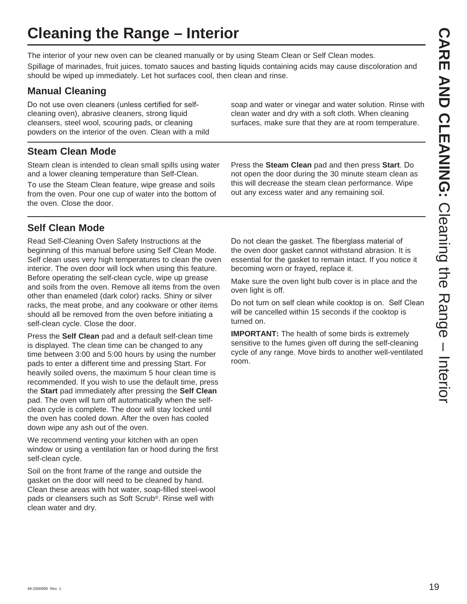# **Cleaning the Range – Interior**

The interior of your new oven can be cleaned manually or by using Steam Clean or Self Clean modes.

Spillage of marinades, fruit juices, tomato sauces and basting liquids containing acids may cause discoloration and should be wiped up immediately. Let hot surfaces cool, then clean and rinse.

## **Manual Cleaning**

Do not use oven cleaners (unless certified for selfcleaning oven), abrasive cleaners, strong liquid cleansers, steel wool, scouring pads, or cleaning powders on the interior of the oven. Clean with a mild

### **Steam Clean Mode**

Steam clean is intended to clean small spills using water and a lower cleaning temperature than Self-Clean.

To use the Steam Clean feature, wipe grease and soils from the oven. Pour one cup of water into the bottom of the oven. Close the door.

## **Self Clean Mode**

Read Self-Cleaning Oven Safety Instructions at the beginning of this manual before using Self Clean Mode. Self clean uses very high temperatures to clean the oven interior. The oven door will lock when using this feature. Before operating the self-clean cycle, wipe up grease and soils from the oven. Remove all items from the oven other than enameled (dark color) racks. Shiny or silver racks, the meat probe, and any cookware or other items should all be removed from the oven before initiating a self-clean cycle. Close the door.

Press the **Self Clean** pad and a default self-clean time is displayed. The clean time can be changed to any time between 3:00 and 5:00 hours by using the number pads to enter a different time and pressing Start. For heavily soiled ovens, the maximum 5 hour clean time is recommended. If you wish to use the default time, press the **Start** pad immediately after pressing the **Self Clean** pad. The oven will turn off automatically when the selfclean cycle is complete. The door will stay locked until the oven has cooled down. After the oven has cooled down wipe any ash out of the oven.

We recommend venting your kitchen with an open window or using a ventilation fan or hood during the first self-clean cycle.

Soil on the front frame of the range and outside the gasket on the door will need to be cleaned by hand. Clean these areas with hot water, soap-filled steel-wool pads or cleansers such as Soft Scrub®. Rinse well with clean water and dry.

Press the **Steam Clean** pad and then press **Start**. Do not open the door during the 30 minute steam clean as this will decrease the steam clean performance. Wipe

out any excess water and any remaining soil.

soap and water or vinegar and water solution. Rinse with clean water and dry with a soft cloth. When cleaning surfaces, make sure that they are at room temperature.

Do not clean the gasket. The fiberglass material of the oven door gasket cannot withstand abrasion. It is essential for the gasket to remain intact. If you notice it becoming worn or frayed, replace it.

Make sure the oven light bulb cover is in place and the oven light is off.

Do not turn on self clean while cooktop is on. Self Clean will be cancelled within 15 seconds if the cooktop is turned on.

**IMPORTANT:** The health of some birds is extremely sensitive to the fumes given off during the self-cleaning cycle of any range. Move birds to another well-ventilated room.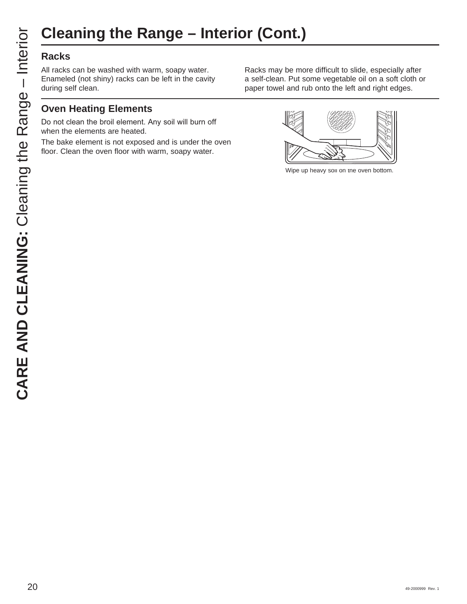# **Cleaning the Range – Interior (Cont.)**

#### **Racks**

All racks can be washed with warm, soapy water. Enameled (not shiny) racks can be left in the cavity during self clean.

#### **Oven Heating Elements**

Do not clean the broil element. Any soil will burn off when the elements are heated.

The bake element is not exposed and is under the oven floor. Clean the oven floor with warm, soapy water.

Racks may be more difficult to slide, especially after a self-clean. Put some vegetable oil on a soft cloth or paper towel and rub onto the left and right edges.



Wipe up heavy soil on the oven bottom.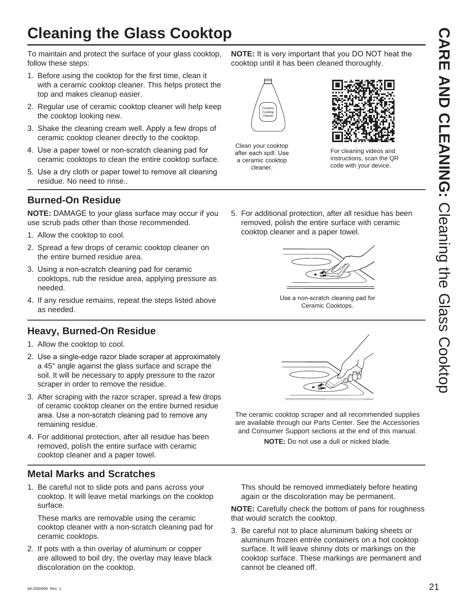## **Cleaning the Glass Cooktop**

To maintain and protect the surface of your glass cooktop, follow these steps:

- 1. Before using the cooktop for the first time, clean it with a ceramic cooktop cleaner. This helps protect the top and makes cleanup easier.
- 2. Regular use of ceramic cooktop cleaner will help keep the cooktop looking new.
- 3. Shake the cleaning cream well. Apply a few drops of ceramic cooktop cleaner directly to the cooktop.
- 4. Use a paper towel or non-scratch cleaning pad for ceramic cooktops to clean the entire cooktop surface.
- 5. Use a dry cloth or paper towel to remove all cleaning residue. No need to rinse..

#### **Burned-On Residue**

**NOTE:** DAMAGE to your glass surface may occur if you use scrub pads other than those recommended.

- 1. Allow the cooktop to cool.
- 2. Spread a few drops of ceramic cooktop cleaner on the entire burned residue area.
- 3. Using a non-scratch cleaning pad for ceramic cooktops, rub the residue area, applying pressure as needed.
- 4. If any residue remains, repeat the steps listed above as needed.

#### **Heavy, Burned-On Residue**

- 1. Allow the cooktop to cool.
- 2. Use a single-edge razor blade scraper at approximately a 45° angle against the glass surface and scrape the soil. It will be necessary to apply pressure to the razor scraper in order to remove the residue.
- 3. After scraping with the razor scraper, spread a few drops of ceramic cooktop cleaner on the entire burned residue area. Use a non-scratch cleaning pad to remove any remaining residue.
- 4. For additional protection, after all residue has been removed, polish the entire surface with ceramic cooktop cleaner and a paper towel.

#### **Metal Marks and Scratches**

1. Be careful not to slide pots and pans across your cooktop. It will leave metal markings on the cooktop surface.

 These marks are removable using the ceramic cooktop cleaner with a non-scratch cleaning pad for ceramic cooktops.

2. If pots with a thin overlay of aluminum or copper are allowed to boil dry, the overlay may leave black discoloration on the cooktop.

**NOTE:** It is very important that you DO NOT heat the cooktop until it has been cleaned thoroughly.



Clean your cooktop after each spill. Use a ceramic cooktop cleaner.



For cleaning videos and instructions, scan the QR code with your device.

5. For additional protection, after all residue has been removed, polish the entire surface with ceramic cooktop cleaner and a paper towel.



Use a non-scratch cleaning pad for Ceramic Cooktops.



The ceramic cooktop scraper and all recommended supplies are available through our Parts Center. See the Accessories and Consumer Support sections at the end of this manual.

**NOTE:** Do not use a dull or nicked blade.

 This should be removed immediately before heating again or the discoloration may be permanent.

**NOTE:** Carefully check the bottom of pans for roughness that would scratch the cooktop.

3. Be careful not to place aluminum baking sheets or aluminum frozen entrée containers on a hot cooktop surface. It will leave shinny dots or markings on the cooktop surface. These markings are permanent and cannot be cleaned off.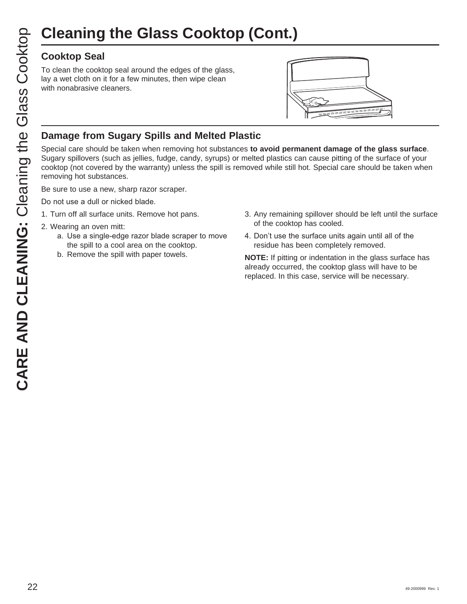#### **Cooktop Seal**

To clean the cooktop seal around the edges of the glass, lay a wet cloth on it for a few minutes, then wipe clean with nonabrasive cleaners.



#### **Damage from Sugary Spills and Melted Plastic**

Special care should be taken when removing hot substances **to avoid permanent damage of the glass surface**. Sugary spillovers (such as jellies, fudge, candy, syrups) or melted plastics can cause pitting of the surface of your cooktop (not covered by the warranty) unless the spill is removed while still hot. Special care should be taken when removing hot substances.

Be sure to use a new, sharp razor scraper.

Do not use a dull or nicked blade.

- 1. Turn off all surface units. Remove hot pans.
- 2. Wearing an oven mitt:
	- a. Use a single-edge razor blade scraper to move the spill to a cool area on the cooktop.
	- b. Remove the spill with paper towels.
- 3. Any remaining spillover should be left until the surface of the cooktop has cooled.
- 4. Don't use the surface units again until all of the residue has been completely removed.

**NOTE:** If pitting or indentation in the glass surface has already occurred, the cooktop glass will have to be replaced. In this case, service will be necessary.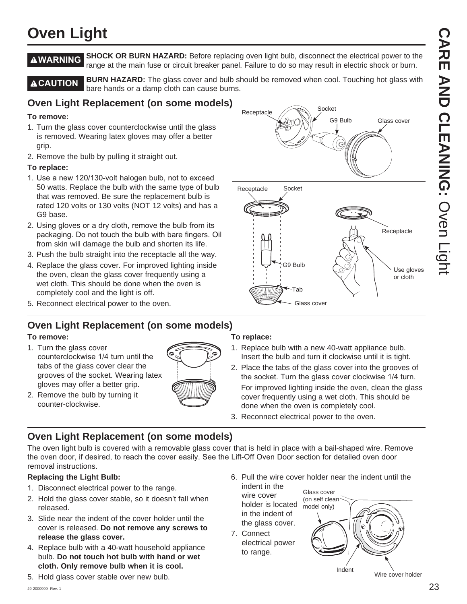## **Oven Light**

**AWARNING** SHOCK OR BURN HAZARD: Before replacing oven light bulb, disconnect the electrical power to the range at the main fuse or circuit breaker panel. Failure to do so may result in electric shock or burn.

**ACAUTION** BURN HAZARD: The glass cover and bulb should be removed when cool. Touching hot glass with bare hands or a damp cloth can cause burns.

**Receptacle** 

Receptacle

#### **Oven Light Replacement (on some models)**

#### **To remove:**

- 1. Turn the glass cover counterclockwise until the glass is removed. Wearing latex gloves may offer a better grip.
- 2. Remove the bulb by pulling it straight out.

#### **To replace:**

- 1. Use a new 120/130-volt halogen bulb, not to exceed 50 watts. Replace the bulb with the same type of bulb that was removed. Be sure the replacement bulb is rated 120 volts or 130 volts (NOT 12 volts) and has a G9 base.
- 2. Using gloves or a dry cloth, remove the bulb from its packaging. Do not touch the bulb with bare fingers. Oil from skin will damage the bulb and shorten its life.
- 3. Push the bulb straight into the receptacle all the way.
- 4. Replace the glass cover. For improved lighting inside the oven, clean the glass cover frequently using a wet cloth. This should be done when the oven is completely cool and the light is off.
- 5. Reconnect electrical power to the oven.

#### **Oven Light Replacement (on some models)**

#### **To remove:**

- 1. Turn the glass cover counterclockwise 1/4 turn until the tabs of the glass cover clear the grooves of the socket. Wearing latex gloves may offer a better grip.
- 2. Remove the bulb by turning it counter-clockwise.



#### **To replace:**

- 1. Replace bulb with a new 40-watt appliance bulb. Insert the bulb and turn it clockwise until it is tight.
- 2. Place the tabs of the glass cover into the grooves of the socket. Turn the glass cover clockwise 1/4 turn. For improved lighting inside the oven, clean the glass cover frequently using a wet cloth. This should be done when the oven is completely cool.

6. Pull the wire cover holder near the indent until the

Glass cover

3. Reconnect electrical power to the oven.

G9 Bulb

Tab

Glass cover

Socket

G9 Bulb

Glass cover

Use gloves or cloth

Receptacle

Socket

#### **Oven Light Replacement (on some models)**

The oven light bulb is covered with a removable glass cover that is held in place with a bail-shaped wire. Remove the oven door, if desired, to reach the cover easily. See the Lift-Off Oven Door section for detailed oven door removal instructions.

#### **Replacing the Light Bulb:**

- 1. Disconnect electrical power to the range.
- 2. Hold the glass cover stable, so it doesn't fall when released.
- 3. Slide near the indent of the cover holder until the cover is released. **Do not remove any screws to release the glass cover.**
- 4. Replace bulb with a 40-watt household appliance bulb. **Do not touch hot bulb with hand or wet cloth. Only remove bulb when it is cool.**
- 5. Hold glass cover stable over new bulb.
- holder is located the glass cover. (on self clean model only)
- 7. Connect electrical power to range.

indent in the wire cover

in the indent of

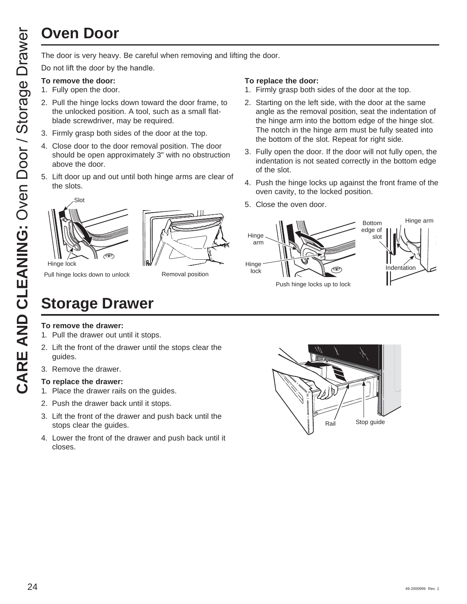# **Oven Door**

Do not lift the door by the handle.

#### **To remove the door:**

- 1. Fully open the door.
- 2. Pull the hinge locks down toward the door frame, to the unlocked position. A tool, such as a small flatblade screwdriver, may be required.
- 3. Firmly grasp both sides of the door at the top.
- 4. Close door to the door removal position. The door should be open approximately 3" with no obstruction above the door.
- 5. Lift door up and out until both hinge arms are clear of the slots.



Pull hinge locks down to unlock

Removal position

#### **To replace the door:**

- 1. Firmly grasp both sides of the door at the top.
- 2. Starting on the left side, with the door at the same angle as the removal position, seat the indentation of the hinge arm into the bottom edge of the hinge slot. The notch in the hinge arm must be fully seated into the bottom of the slot. Repeat for right side.
- 3. Fully open the door. If the door will not fully open, the indentation is not seated correctly in the bottom edge of the slot.
- 4. Push the hinge locks up against the front frame of the oven cavity, to the locked position.
- 5. Close the oven door.



#### **To remove the drawer:**

1. Pull the drawer out until it stops.

**Storage Drawer**

- 2. Lift the front of the drawer until the stops clear the guides.
- 3. Remove the drawer.

#### **To replace the drawer:**

- 1. Place the drawer rails on the guides.
- 2. Push the drawer back until it stops.
- 3. Lift the front of the drawer and push back until the stops clear the guides.
- 4. Lower the front of the drawer and push back until it closes.

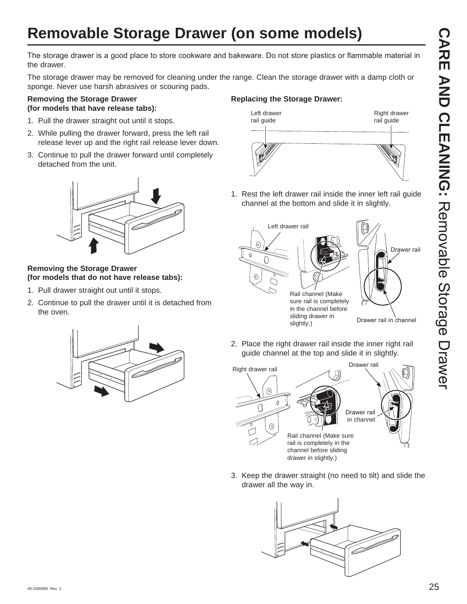## **Removable Storage Drawer (on some models)**

The storage drawer is a good place to store cookware and bakeware. Do not store plastics or flammable material in the drawer.

The storage drawer may be removed for cleaning under the range. Clean the storage drawer with a damp cloth or sponge. Never use harsh abrasives or scouring pads.

#### **Removing the Storage Drawer (for models that have release tabs):**

- 1. Pull the drawer straight out until it stops.
- 2. While pulling the drawer forward, press the left rail release lever up and the right rail release lever down.
- 3. Continue to pull the drawer forward until completely detached from the unit.



#### **Removing the Storage Drawer (for models that do not have release tabs):**

- 1. Pull drawer straight out until it stops.
- 2. Continue to pull the drawer until it is detached from the oven.



1. Rest the left drawer rail inside the inner left rail guide channel at the bottom and slide it in slightly.



2. Place the right drawer rail inside the inner right rail guide channel at the top and slide it in slightly.



3. Keep the drawer straight (no need to tilt) and slide the drawer all the way in.



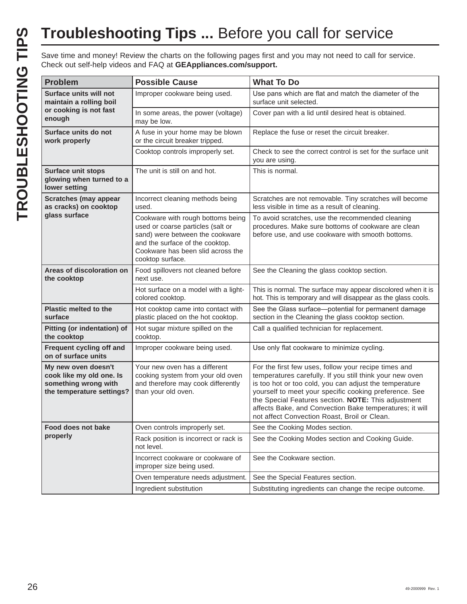| <b>Problem</b>                                                                                       | <b>Possible Cause</b>                                                                                                                                                                                 | <b>What To Do</b>                                                                                                                                                                                                                                                                                                                                                                                      |
|------------------------------------------------------------------------------------------------------|-------------------------------------------------------------------------------------------------------------------------------------------------------------------------------------------------------|--------------------------------------------------------------------------------------------------------------------------------------------------------------------------------------------------------------------------------------------------------------------------------------------------------------------------------------------------------------------------------------------------------|
| Surface units will not<br>maintain a rolling boil                                                    | Improper cookware being used.                                                                                                                                                                         | Use pans which are flat and match the diameter of the<br>surface unit selected.                                                                                                                                                                                                                                                                                                                        |
| or cooking is not fast<br>enough                                                                     | In some areas, the power (voltage)<br>may be low.                                                                                                                                                     | Cover pan with a lid until desired heat is obtained.                                                                                                                                                                                                                                                                                                                                                   |
| Surface units do not<br>work properly                                                                | A fuse in your home may be blown<br>or the circuit breaker tripped.                                                                                                                                   | Replace the fuse or reset the circuit breaker.                                                                                                                                                                                                                                                                                                                                                         |
|                                                                                                      | Cooktop controls improperly set.                                                                                                                                                                      | Check to see the correct control is set for the surface unit<br>you are using.                                                                                                                                                                                                                                                                                                                         |
| <b>Surface unit stops</b><br>glowing when turned to a<br>lower setting                               | The unit is still on and hot.                                                                                                                                                                         | This is normal.                                                                                                                                                                                                                                                                                                                                                                                        |
| <b>Scratches (may appear</b><br>as cracks) on cooktop                                                | Incorrect cleaning methods being<br>used.                                                                                                                                                             | Scratches are not removable. Tiny scratches will become<br>less visible in time as a result of cleaning.                                                                                                                                                                                                                                                                                               |
| glass surface                                                                                        | Cookware with rough bottoms being<br>used or coarse particles (salt or<br>sand) were between the cookware<br>and the surface of the cooktop.<br>Cookware has been slid across the<br>cooktop surface. | To avoid scratches, use the recommended cleaning<br>procedures. Make sure bottoms of cookware are clean<br>before use, and use cookware with smooth bottoms.                                                                                                                                                                                                                                           |
| Areas of discoloration on<br>the cooktop                                                             | Food spillovers not cleaned before<br>next use.                                                                                                                                                       | See the Cleaning the glass cooktop section.                                                                                                                                                                                                                                                                                                                                                            |
|                                                                                                      | Hot surface on a model with a light-<br>colored cooktop.                                                                                                                                              | This is normal. The surface may appear discolored when it is<br>hot. This is temporary and will disappear as the glass cools.                                                                                                                                                                                                                                                                          |
| <b>Plastic melted to the</b><br>surface                                                              | Hot cooktop came into contact with<br>plastic placed on the hot cooktop.                                                                                                                              | See the Glass surface-potential for permanent damage<br>section in the Cleaning the glass cooktop section.                                                                                                                                                                                                                                                                                             |
| Pitting (or indentation) of<br>the cooktop                                                           | Hot sugar mixture spilled on the<br>cooktop.                                                                                                                                                          | Call a qualified technician for replacement.                                                                                                                                                                                                                                                                                                                                                           |
| Frequent cycling off and<br>on of surface units                                                      | Improper cookware being used.                                                                                                                                                                         | Use only flat cookware to minimize cycling.                                                                                                                                                                                                                                                                                                                                                            |
| My new oven doesn't<br>cook like my old one. Is<br>something wrong with<br>the temperature settings? | Your new oven has a different<br>cooking system from your old oven<br>and therefore may cook differently<br>than your old oven.                                                                       | For the first few uses, follow your recipe times and<br>temperatures carefully. If you still think your new oven<br>is too hot or too cold, you can adjust the temperature<br>yourself to meet your specific cooking preference. See<br>the Special Features section. NOTE: This adjustment<br>affects Bake, and Convection Bake temperatures; it will<br>not affect Convection Roast, Broil or Clean. |
| Food does not bake                                                                                   | Oven controls improperly set.                                                                                                                                                                         | See the Cooking Modes section.                                                                                                                                                                                                                                                                                                                                                                         |
| properly                                                                                             | Rack position is incorrect or rack is<br>not level.                                                                                                                                                   | See the Cooking Modes section and Cooking Guide.                                                                                                                                                                                                                                                                                                                                                       |
|                                                                                                      | Incorrect cookware or cookware of<br>improper size being used.                                                                                                                                        | See the Cookware section.                                                                                                                                                                                                                                                                                                                                                                              |
|                                                                                                      | Oven temperature needs adjustment.                                                                                                                                                                    | See the Special Features section.                                                                                                                                                                                                                                                                                                                                                                      |
|                                                                                                      | Ingredient substitution                                                                                                                                                                               |                                                                                                                                                                                                                                                                                                                                                                                                        |
|                                                                                                      |                                                                                                                                                                                                       | Substituting ingredients can change the recipe outcome.                                                                                                                                                                                                                                                                                                                                                |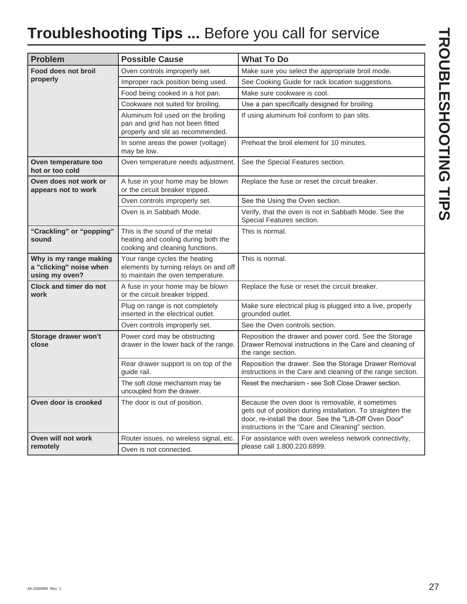## **Troubleshooting Tips ...** Before you call for service

| <b>Problem</b>                                                      | <b>Possible Cause</b>                                                                                       | <b>What To Do</b>                                                                                                                                                                                                              |
|---------------------------------------------------------------------|-------------------------------------------------------------------------------------------------------------|--------------------------------------------------------------------------------------------------------------------------------------------------------------------------------------------------------------------------------|
| Food does not broil                                                 | Oven controls improperly set.                                                                               | Make sure you select the appropriate broil mode.                                                                                                                                                                               |
| properly                                                            | Improper rack position being used.                                                                          | See Cooking Guide for rack location suggestions.                                                                                                                                                                               |
|                                                                     | Food being cooked in a hot pan.                                                                             | Make sure cookware is cool.                                                                                                                                                                                                    |
|                                                                     | Cookware not suited for broiling.                                                                           | Use a pan specifically designed for broiling.                                                                                                                                                                                  |
|                                                                     | Aluminum foil used on the broiling<br>pan and grid has not been fitted<br>properly and slit as recommended. | If using aluminum foil conform to pan slits.                                                                                                                                                                                   |
|                                                                     | In some areas the power (voltage)<br>may be low.                                                            | Preheat the broil element for 10 minutes.                                                                                                                                                                                      |
| Oven temperature too<br>hot or too cold                             | Oven temperature needs adjustment.                                                                          | See the Special Features section.                                                                                                                                                                                              |
| Oven does not work or<br>appears not to work                        | A fuse in your home may be blown<br>or the circuit breaker tripped.                                         | Replace the fuse or reset the circuit breaker.                                                                                                                                                                                 |
|                                                                     | Oven controls improperly set.                                                                               | See the Using the Oven section.                                                                                                                                                                                                |
|                                                                     | Oven is in Sabbath Mode.                                                                                    | Verify, that the oven is not in Sabbath Mode. See the<br>Special Features section.                                                                                                                                             |
| "Crackling" or "popping"<br>sound                                   | This is the sound of the metal<br>heating and cooling during both the<br>cooking and cleaning functions.    | This is normal.                                                                                                                                                                                                                |
| Why is my range making<br>a "clicking" noise when<br>using my oven? | Your range cycles the heating<br>elements by turning relays on and off<br>to maintain the oven temperature. | This is normal.                                                                                                                                                                                                                |
| <b>Clock and timer do not</b><br>work                               | A fuse in your home may be blown<br>or the circuit breaker tripped.                                         | Replace the fuse or reset the circuit breaker.                                                                                                                                                                                 |
|                                                                     | Plug on range is not completely<br>inserted in the electrical outlet.                                       | Make sure electrical plug is plugged into a live, properly<br>grounded outlet.                                                                                                                                                 |
|                                                                     | Oven controls improperly set.                                                                               | See the Oven controls section.                                                                                                                                                                                                 |
| Storage drawer won't<br>close                                       | Power cord may be obstructing<br>drawer in the lower back of the range.                                     | Reposition the drawer and power cord. See the Storage<br>Drawer Removal instructions in the Care and cleaning of<br>the range section.                                                                                         |
|                                                                     | Rear drawer support is on top of the<br>guide rail.                                                         | Reposition the drawer. See the Storage Drawer Removal<br>instructions in the Care and cleaning of the range section.                                                                                                           |
|                                                                     | The soft close mechanism may be<br>uncoupled from the drawer.                                               | Reset the mechanism - see Soft Close Drawer section.                                                                                                                                                                           |
| Oven door is crooked                                                | The door is out of position.                                                                                | Because the oven door is removable, it sometimes<br>gets out of position during installation. To straighten the<br>door, re-install the door. See the "Lift-Off Oven Door"<br>instructions in the "Care and Cleaning" section. |
| Oven will not work<br>remotely                                      | Router issues, no wireless signal, etc.<br>Oven is not connected.                                           | For assistance with oven wireless network connectivity,<br>please call 1.800.220.6899.                                                                                                                                         |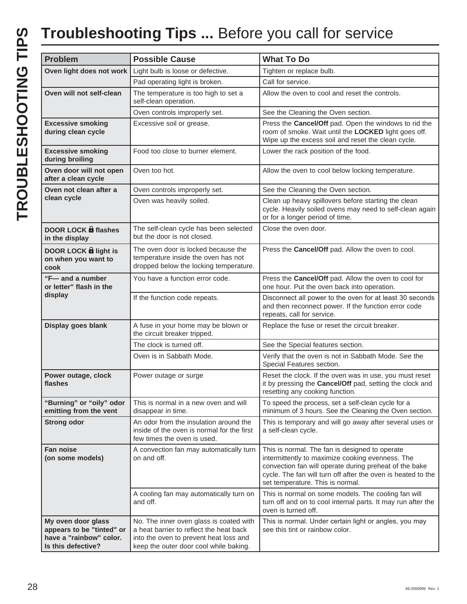| <b>Problem</b>                                                                                   | <b>Possible Cause</b>                                                                                                                                                  | <b>What To Do</b>                                                                                                                                                                                                                                                |
|--------------------------------------------------------------------------------------------------|------------------------------------------------------------------------------------------------------------------------------------------------------------------------|------------------------------------------------------------------------------------------------------------------------------------------------------------------------------------------------------------------------------------------------------------------|
| Oven light does not work                                                                         | Light bulb is loose or defective.                                                                                                                                      | Tighten or replace bulb.                                                                                                                                                                                                                                         |
|                                                                                                  | Pad operating light is broken.                                                                                                                                         | Call for service.                                                                                                                                                                                                                                                |
| Oven will not self-clean                                                                         | The temperature is too high to set a<br>self-clean operation.                                                                                                          | Allow the oven to cool and reset the controls.                                                                                                                                                                                                                   |
|                                                                                                  | Oven controls improperly set.                                                                                                                                          | See the Cleaning the Oven section.                                                                                                                                                                                                                               |
| <b>Excessive smoking</b><br>during clean cycle                                                   | Excessive soil or grease.                                                                                                                                              | Press the Cancel/Off pad. Open the windows to rid the<br>room of smoke. Wait until the LOCKED light goes off.<br>Wipe up the excess soil and reset the clean cycle.                                                                                              |
| <b>Excessive smoking</b><br>during broiling                                                      | Food too close to burner element.                                                                                                                                      | Lower the rack position of the food.                                                                                                                                                                                                                             |
| Oven door will not open<br>after a clean cycle                                                   | Oven too hot.                                                                                                                                                          | Allow the oven to cool below locking temperature.                                                                                                                                                                                                                |
| Oven not clean after a                                                                           | Oven controls improperly set.                                                                                                                                          | See the Cleaning the Oven section.                                                                                                                                                                                                                               |
| clean cycle                                                                                      | Oven was heavily soiled.                                                                                                                                               | Clean up heavy spillovers before starting the clean<br>cycle. Heavily soiled ovens may need to self-clean again<br>or for a longer period of time.                                                                                                               |
| <b>DOOR LOCK of flashes</b><br>in the display                                                    | The self-clean cycle has been selected<br>but the door is not closed.                                                                                                  | Close the oven door.                                                                                                                                                                                                                                             |
| DOOR LOCK <b>a</b> light is<br>on when you want to<br>cook                                       | The oven door is locked because the<br>temperature inside the oven has not<br>dropped below the locking temperature.                                                   | Press the Cancel/Off pad. Allow the oven to cool.                                                                                                                                                                                                                |
| "F-and a number"<br>or letter" flash in the<br>display                                           | You have a function error code.                                                                                                                                        | Press the Cancel/Off pad. Allow the oven to cool for<br>one hour. Put the oven back into operation.                                                                                                                                                              |
|                                                                                                  | If the function code repeats.                                                                                                                                          | Disconnect all power to the oven for at least 30 seconds<br>and then reconnect power. If the function error code<br>repeats, call for service.                                                                                                                   |
| Display goes blank                                                                               | A fuse in your home may be blown or<br>the circuit breaker tripped.                                                                                                    | Replace the fuse or reset the circuit breaker.                                                                                                                                                                                                                   |
|                                                                                                  | The clock is turned off.                                                                                                                                               | See the Special features section.                                                                                                                                                                                                                                |
|                                                                                                  | Oven is in Sabbath Mode.                                                                                                                                               | Verify that the oven is not in Sabbath Mode. See the<br>Special Features section.                                                                                                                                                                                |
| Power outage, clock<br>flashes                                                                   | Power outage or surge                                                                                                                                                  | Reset the clock. If the oven was in use, you must reset<br>it by pressing the Cancel/Off pad, setting the clock and<br>resetting any cooking function.                                                                                                           |
| "Burning" or "oily" odor<br>emitting from the vent                                               | This is normal in a new oven and will<br>disappear in time.                                                                                                            | To speed the process, set a self-clean cycle for a<br>minimum of 3 hours. See the Cleaning the Oven section.                                                                                                                                                     |
| <b>Strong odor</b>                                                                               | An odor from the insulation around the<br>inside of the oven is normal for the first<br>few times the oven is used.                                                    | This is temporary and will go away after several uses or<br>a self-clean cycle.                                                                                                                                                                                  |
| <b>Fan noise</b><br>(on some models)                                                             | A convection fan may automatically turn<br>on and off.                                                                                                                 | This is normal. The fan is designed to operate<br>intermittently to maximize cooking evenness. The<br>convection fan will operate during preheat of the bake<br>cycle. The fan will turn off after the oven is heated to the<br>set temperature. This is normal. |
|                                                                                                  | A cooling fan may automatically turn on<br>and off.                                                                                                                    | This is normal on some models. The cooling fan will<br>turn off and on to cool internal parts. It may run after the<br>oven is turned off.                                                                                                                       |
| My oven door glass<br>appears to be "tinted" or<br>have a "rainbow" color.<br>Is this defective? | No. The inner oven glass is coated with<br>a heat barrier to reflect the heat back<br>into the oven to prevent heat loss and<br>keep the outer door cool while baking. | This is normal. Under certain light or angles, you may<br>see this tint or rainbow color.                                                                                                                                                                        |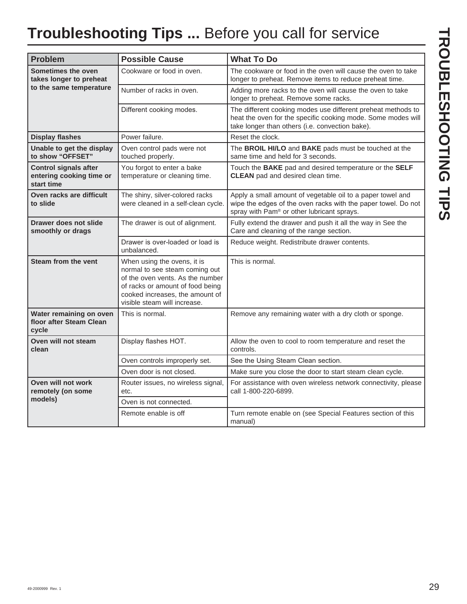## **Troubleshooting Tips ...** Before you call for service

| <b>Problem</b>                                                         | <b>Possible Cause</b>                                                                                                                                                                                    | <b>What To Do</b>                                                                                                                                                               |
|------------------------------------------------------------------------|----------------------------------------------------------------------------------------------------------------------------------------------------------------------------------------------------------|---------------------------------------------------------------------------------------------------------------------------------------------------------------------------------|
| Sometimes the oven<br>takes longer to preheat                          | Cookware or food in oven.                                                                                                                                                                                | The cookware or food in the oven will cause the oven to take<br>longer to preheat. Remove items to reduce preheat time.                                                         |
| to the same temperature                                                | Number of racks in oven.                                                                                                                                                                                 | Adding more racks to the oven will cause the oven to take<br>longer to preheat. Remove some racks.                                                                              |
|                                                                        | Different cooking modes.                                                                                                                                                                                 | The different cooking modes use different preheat methods to<br>heat the oven for the specific cooking mode. Some modes will<br>take longer than others (i.e. convection bake). |
| <b>Display flashes</b>                                                 | Power failure.                                                                                                                                                                                           | Reset the clock.                                                                                                                                                                |
| Unable to get the display<br>to show "OFFSET"                          | Oven control pads were not<br>touched properly.                                                                                                                                                          | The BROIL HI/LO and BAKE pads must be touched at the<br>same time and held for 3 seconds.                                                                                       |
| <b>Control signals after</b><br>entering cooking time or<br>start time | You forgot to enter a bake<br>temperature or cleaning time.                                                                                                                                              | Touch the BAKE pad and desired temperature or the SELF<br><b>CLEAN</b> pad and desired clean time.                                                                              |
| Oven racks are difficult<br>to slide                                   | The shiny, silver-colored racks<br>were cleaned in a self-clean cycle.                                                                                                                                   | Apply a small amount of vegetable oil to a paper towel and<br>wipe the edges of the oven racks with the paper towel. Do not<br>spray with Pam® or other lubricant sprays.       |
| Drawer does not slide<br>smoothly or drags                             | The drawer is out of alignment.                                                                                                                                                                          | Fully extend the drawer and push it all the way in See the<br>Care and cleaning of the range section.                                                                           |
|                                                                        | Drawer is over-loaded or load is<br>unbalanced.                                                                                                                                                          | Reduce weight. Redistribute drawer contents.                                                                                                                                    |
| <b>Steam from the vent</b>                                             | When using the ovens, it is<br>normal to see steam coming out<br>of the oven vents. As the number<br>of racks or amount of food being<br>cooked increases, the amount of<br>visible steam will increase. | This is normal.                                                                                                                                                                 |
| Water remaining on oven<br>floor after Steam Clean<br>cycle            | This is normal.                                                                                                                                                                                          | Remove any remaining water with a dry cloth or sponge.                                                                                                                          |
| Oven will not steam<br>clean                                           | Display flashes HOT.                                                                                                                                                                                     | Allow the oven to cool to room temperature and reset the<br>controls.                                                                                                           |
|                                                                        | Oven controls improperly set.                                                                                                                                                                            | See the Using Steam Clean section.                                                                                                                                              |
|                                                                        | Oven door is not closed.                                                                                                                                                                                 | Make sure you close the door to start steam clean cycle.                                                                                                                        |
| Oven will not work<br>remotely (on some                                | Router issues, no wireless signal,<br>etc.                                                                                                                                                               | For assistance with oven wireless network connectivity, please<br>call 1-800-220-6899.                                                                                          |
| models)                                                                | Oven is not connected.                                                                                                                                                                                   |                                                                                                                                                                                 |
|                                                                        | Remote enable is off                                                                                                                                                                                     | Turn remote enable on (see Special Features section of this<br>manual)                                                                                                          |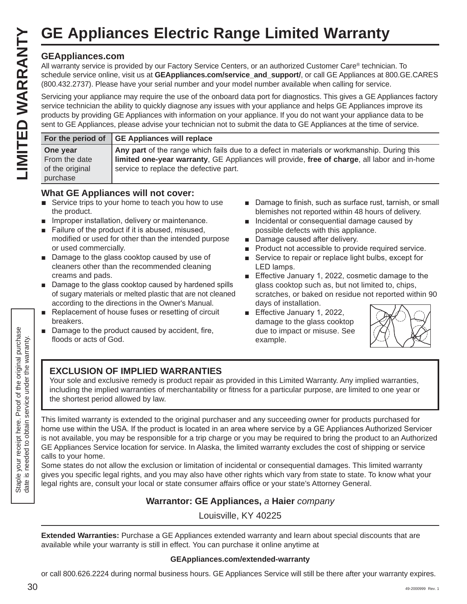#### **GEAppliances.com**

|                                                          | <b>GE Appliances Electric Range Limited Warranty</b>                                                                                                                                                                                                                                                                                                                                                                                                                                               |
|----------------------------------------------------------|----------------------------------------------------------------------------------------------------------------------------------------------------------------------------------------------------------------------------------------------------------------------------------------------------------------------------------------------------------------------------------------------------------------------------------------------------------------------------------------------------|
| <b>GEAppliances.com</b>                                  | All warranty service is provided by our Factory Service Centers, or an authorized Customer Care® technician. To<br>schedule service online, visit us at GEAppliances.com/service_and_support/, or call GE Appliances at 800.GE.CARES<br>(800.432.2737). Please have your serial number and your model number available when calling for service.                                                                                                                                                   |
|                                                          | Servicing your appliance may require the use of the onboard data port for diagnostics. This gives a GE Appliances factory<br>service technician the ability to quickly diagnose any issues with your appliance and helps GE Appliances improve its<br>products by providing GE Appliances with information on your appliance. If you do not want your appliance data to be<br>sent to GE Appliances, please advise your technician not to submit the data to GE Appliances at the time of service. |
| For the period of                                        | <b>GE Appliances will replace</b>                                                                                                                                                                                                                                                                                                                                                                                                                                                                  |
| One year<br>From the date<br>of the original<br>purchase | Any part of the range which fails due to a defect in materials or workmanship. During this<br>limited one-year warranty, GE Appliances will provide, free of charge, all labor and in-home<br>service to replace the defective part.                                                                                                                                                                                                                                                               |

#### **What GE Appliances will not cover:**

- $\blacksquare$  Service trips to your home to teach you how to use the product.
- $\blacksquare$  Improper installation, delivery or maintenance.
- Failure of the product if it is abused, misused, modified or used for other than the intended purpose or used commercially.
- $\blacksquare$  Damage to the glass cooktop caused by use of cleaners other than the recommended cleaning creams and pads.
- $\blacksquare$  Damage to the glass cooktop caused by hardened spills of sugary materials or melted plastic that are not cleaned according to the directions in the Owner's Manual.
- Replacement of house fuses or resetting of circuit breakers.
- Damage to the product caused by accident, fire, floods or acts of God.
- Damage to finish, such as surface rust, tarnish, or small blemishes not reported within 48 hours of delivery.
- **n** Incidental or consequential damage caused by possible defects with this appliance.
- Damage caused after delivery.
- **Product not accessible to provide required service.**
- Service to repair or replace light bulbs, except for LED lamps.
- Effective January 1, 2022, cosmetic damage to the glass cooktop such as, but not limited to, chips, scratches, or baked on residue not reported within 90 days of installation.
- Effective January 1, 2022, damage to the glass cooktop due to impact or misuse. See example.



#### **EXCLUSION OF IMPLIED WARRANTIES**

Your sole and exclusive remedy is product repair as provided in this Limited Warranty. Any implied warranties, including the implied warranties of merchantability or fitness for a particular purpose, are limited to one year or the shortest period allowed by law.

This limited warranty is extended to the original purchaser and any succeeding owner for products purchased for home use within the USA. If the product is located in an area where service by a GE Appliances Authorized Servicer is not available, you may be responsible for a trip charge or you may be required to bring the product to an Authorized GE Appliances Service location for service. In Alaska, the limited warranty excludes the cost of shipping or service calls to your home.

Some states do not allow the exclusion or limitation of incidental or consequential damages. This limited warranty gives you specific legal rights, and you may also have other rights which vary from state to state. To know what your legal rights are, consult your local or state consumer affairs office or your state's Attorney General.

#### **Warrantor: GE Appliances,** *a* **Haier** *company*

Louisville, KY 40225

**Extended Warranties:** Purchase a GE Appliances extended warranty and learn about special discounts that are available while your warranty is still in effect. You can purchase it online anytime at

#### **GEAppliances.com/extended-warranty**

or call 800.626.2224 during normal business hours. GE Appliances Service will still be there after your warranty expires.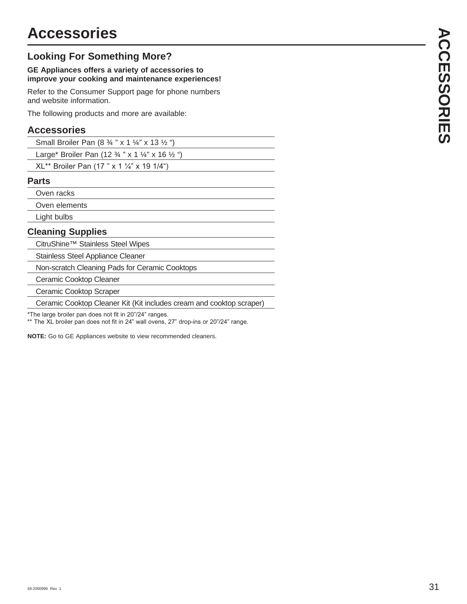#### **Looking For Something More?**

#### **GE Appliances offers a variety of accessories to improve your cooking and maintenance experiences!**

Refer to the Consumer Support page for phone numbers and website information.

The following products and more are available:

#### **Accessories**

| Small Broiler Pan $(8 \frac{3}{4}$ " x 1 $\frac{1}{4}$ " x 13 $\frac{1}{2}$ ")   |  |
|----------------------------------------------------------------------------------|--|
| Large* Broiler Pan (12 $\frac{3}{4}$ " x 1 $\frac{1}{4}$ " x 16 $\frac{1}{2}$ ") |  |
| $XL^{**}$ Broiler Pan (17 " x 1 ¼" x 19 1/4")                                    |  |

#### **Parts**

Oven racks

Oven elements

Light bulbs

#### **Cleaning Supplies**

CitruShine™ Stainless Steel Wipes

Stainless Steel Appliance Cleaner

Non-scratch Cleaning Pads for Ceramic Cooktops

Ceramic Cooktop Cleaner

Ceramic Cooktop Scraper

Ceramic Cooktop Cleaner Kit (Kit includes cream and cooktop scraper)

\*The large broiler pan does not fit in 20"/24" ranges.

\*\* The XL broiler pan does not fit in 24" wall ovens, 27" drop-ins or 20"/24" range.

**NOTE:** Go to GE Appliances website to view recommended cleaners.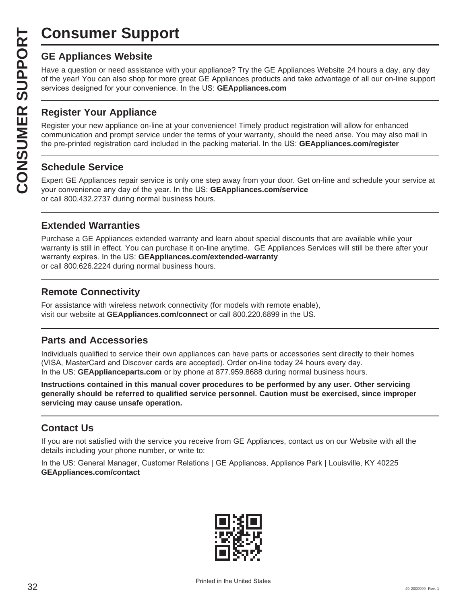# **Consumer Support**

**CONSUMER SUP**<br> **GE Appliances Website**<br>
Have a question or need assistar<br>
of the year! You can also shop for<br>
services designed for your conver<br> **CONSUMER Appliance OF APPLIANCE Register your new appliance on-1**<br> **CONSUME** Have a question or need assistance with your appliance? Try the GE Appliances Website 24 hours a day, any day of the year! You can also shop for more great GE Appliances products and take advantage of all our on-line support services designed for your convenience. In the US: GEAppliances.com

#### **Register Your Appliance**

Register your new appliance on-line at your convenience! Timely product registration will allow for enhanced communication and prompt service under the terms of your warranty, should the need arise. You may also mail in the pre-printed registration card included in the packing material. In the US: **GEAppliances.com/register** 

#### **Schedule Service**

Expert GE Appliances repair service is only one step away from your door. Get on-line and schedule your service at your convenience any day of the year. In the US: **GEAppliances.com/service** or call 800.432.2737 during normal business hours.

#### **Extended Warranties**

Purchase a GE Appliances extended warranty and learn about special discounts that are available while your warranty is still in effect. You can purchase it on-line anytime. GE Appliances Services will still be there after your warranty expires. In the US: GEAppliances.com/extended-warranty or call 800.626.2224 during normal business hours.

#### **Remote Connectivity**

For assistance with wireless network connectivity (for models with remote enable), visit our website at GEAppliances.com/connect or call 800.220.6899 in the US.

#### **Parts and Accessories**

Individuals qualified to service their own appliances can have parts or accessories sent directly to their homes (VISA, MasterCard and Discover cards are accepted). Order on-line today 24 hours every day. In the US: **GEApplianceparts.com** or by phone at 877.959.8688 during normal business hours.

**Instructions contained in this manual cover procedures to be performed by any user. Other servicing generally should be referred to qualified service personnel. Caution must be exercised, since improper servicing may cause unsafe operation.**

#### **Contact Us**

If you are not satisfied with the service you receive from GE Appliances, contact us on our Website with all the details including your phone number, or write to:

In the US: General Manager, Customer Relations | GE Appliances, Appliance Park | Louisville, KY 40225 **GEAppliances.com/contact**

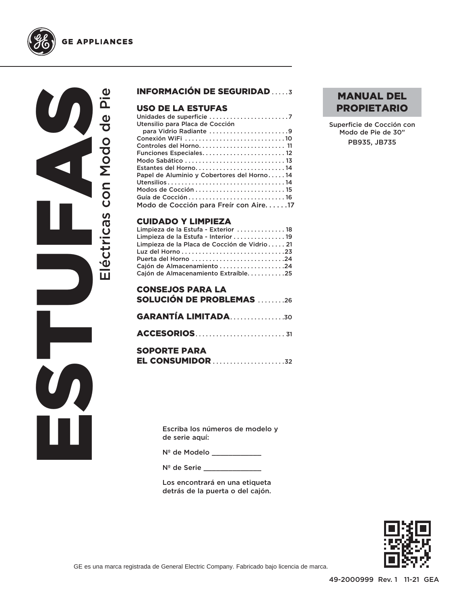



#### INFORMACIÓN DE SEGURIDAD .....3

#### USO DE LA ESTUFAS

| Utensilio para Placa de Cocción            |
|--------------------------------------------|
| para Vidrio Radiante 9                     |
|                                            |
|                                            |
| Funciones Especiales 12                    |
|                                            |
| Estantes del Horno 14                      |
| Papel de Aluminio y Cobertores del Horno14 |
|                                            |
|                                            |
|                                            |
| Modo de Cocción para Freír con Aire17      |

#### CUIDADO Y LIMPIEZA

| Limpieza de la Estufa - Exterior  18         |  |
|----------------------------------------------|--|
| Limpieza de la Estufa - Interior  19         |  |
| Limpieza de la Placa de Cocción de Vidrio 21 |  |
|                                              |  |
| Puerta del Horno 24                          |  |
| Cajón de Almacenamiento 24                   |  |
| Cajón de Almacenamiento Extraíble25          |  |
|                                              |  |

| <b>CONSEJOS PARA LA</b><br><b>SOLUCIÓN DE PROBLEMAS 26</b> |
|------------------------------------------------------------|
| <b>GARANTÍA LIMITADA30</b>                                 |
|                                                            |
| <b>SOPORTE PARA</b>                                        |

| -------- <i>-</i> ---- |                         |
|------------------------|-------------------------|
|                        | <b>EL CONSUMIDOR 32</b> |

Escriba los números de modelo y de serie aquí:

Nº de Modelo \_\_\_\_\_\_\_\_\_\_\_\_\_

Nº de Serie \_\_\_\_\_\_\_\_\_\_\_\_\_\_

Los encontrará en una etiqueta detrás de la puerta o del cajón.

#### MANUAL DEL PROPIETARIO

Superficie de Cocción con Modo de Pie de 30" PB935, JB735

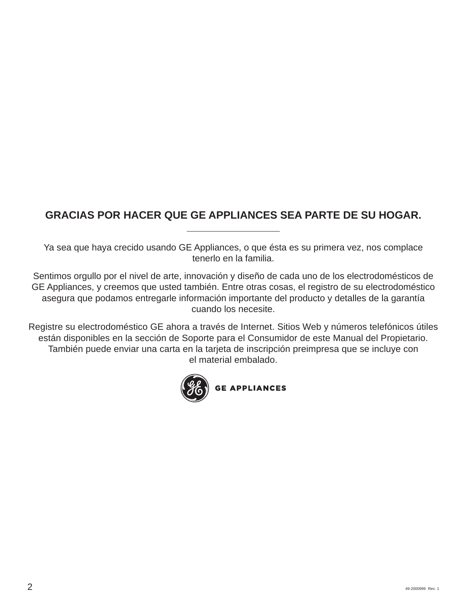## **GRACIAS POR HACER QUE GE APPLIANCES SEA PARTE DE SU HOGAR.**

Ya sea que haya crecido usando GE Appliances, o que ésta es su primera vez, nos complace tenerlo en la familia.

Sentimos orgullo por el nivel de arte, innovación y diseño de cada uno de los electrodomésticos de GE Appliances, y creemos que usted también. Entre otras cosas, el registro de su electrodoméstico asegura que podamos entregarle información importante del producto y detalles de la garantía cuando los necesite.

Registre su electrodoméstico GE ahora a través de Internet. Sitios Web y números telefónicos útiles están disponibles en la sección de Soporte para el Consumidor de este Manual del Propietario. También puede enviar una carta en la tarjeta de inscripción preimpresa que se incluye con el material embalado.

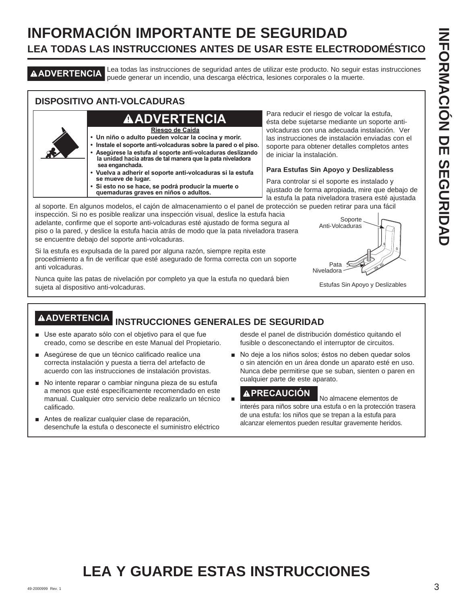## **INFORMACIÓN IMPORTANTE DE SEGURIDAD LEA TODAS LAS INSTRUCCIONES ANTES DE USAR ESTE ELECTRODOMÉSTICO**

**ADVERTENCIA** Lea todas las instrucciones de seguridad antes de utilizar este producto. No seguir estas instrucciones puede generar un incendio, una descarga eléctrica, lesiones corporales o la muerte.

#### **DISPOSITIVO ANTI-VOLCADURAS**

## **ADVERTENCIA**

**Riesgo de Caída**

- **Un niño o adulto pueden volcar la cocina y morir.**
- **Instale el soporte anti-volcaduras sobre la pared o el piso. • Asegúrese la estufa al soporte anti-volcaduras deslizando la unidad hacia atras de tal manera que la pata niveladora sea enganchada.**
- **Vuelva a adherir el soporte anti-volcaduras si la estufa se mueve de lugar.**
- **Si esto no se hace, se podrá producir la muerte o quemaduras graves en niños o adultos.**

Para reducir el riesgo de volcar la estufa, ésta debe sujetarse mediante un soporte antivolcaduras con una adecuada instalación. Ver las instrucciones de instalación enviadas con el soporte para obtener detalles completos antes de iniciar la instalación.

#### **Para Estufas Sin Apoyo y Deslizabless**

Para controlar si el soporte es instalado y ajustado de forma apropiada, mire que debajo de la estufa la pata niveladora trasera esté ajustada

al soporte. En algunos modelos, el cajón de almacenamiento o el panel de protección se pueden retirar para una fácil inspección. Si no es posible realizar una inspección visual, deslice la estufa hacia adelante, confirme que el soporte anti-volcaduras esté ajustado de forma segura al piso o la pared, y deslice la estufa hacia atrás de modo que la pata niveladora trasera se encuentre debajo del soporte anti-volcaduras.

Si la estufa es expulsada de la pared por alguna razón, siempre repita este procedimiento a fin de verificar que esté asegurado de forma correcta con un soporte anti volcaduras.

Nunca quite las patas de nivelación por completo ya que la estufa no quedará bien sujeta al dispositivo anti-volcaduras.



Estufas Sin Apoyo y Deslizables

## **ADVERTENCIA INSTRUCCIONES GENERALES DE SEGURIDAD**

- Use este aparato sólo con el objetivo para el que fue creado, como se describe en este Manual del Propietario.
- A Sequirese de que un técnico calificado realice una correcta instalación y puesta a tierra del artefacto de acuerdo con las instrucciones de instalación provistas.
- No intente reparar o cambiar ninguna pieza de su estufa a menos que esté específicamente recomendado en este manual. Cualquier otro servicio debe realizarlo un técnico calificado.
- Antes de realizar cualquier clase de reparación, desenchufe la estufa o desconecte el suministro eléctrico

desde el panel de distribución doméstico quitando el fusible o desconectando el interruptor de circuitos.

No deje a los niños solos; éstos no deben quedar solos o sin atención en un área donde un aparato esté en uso. Nunca debe permitirse que se suban, sienten o paren en cualquier parte de este aparato.

**A PRECAUCIÓN** No almacene elementos de interés para niños sobre una estufa o en la protección trasera de una estufa: los niños que se trepan a la estufa para alcanzar elementos pueden resultar gravemente heridos.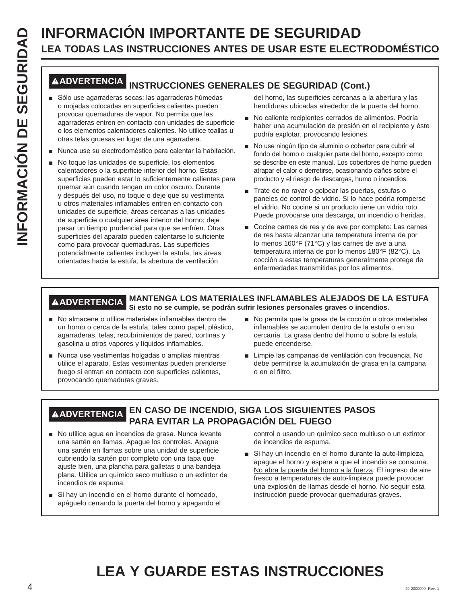# **LEA TODAS LAS INSTRUCCIONES ANTES DE USAR ESTE ELECTRODOMÉSTICO**

#### **ADVERTENCIA INSTRUCCIONES GENERALES DE SEGURIDAD (Cont.)**

- Sólo use agarraderas secas: las agarraderas húmedas o mojadas colocadas en superficies calientes pueden provocar quemaduras de vapor. No permita que las agarraderas entren en contacto con unidades de superficie o los elementos calentadores calientes. No utilice toallas u otras telas gruesas en lugar de una agarradera.
- Nunca use su electrodoméstico para calentar la habitación.
- **INFORMACIÓN IMPORTANTE DE SEGURIDAD**<br> **INFORMACIÓN INSTRUCCIONES ANTES DE USAR ESTE ELECT<br>
<b>INFORMACIÓN INSTRUCCIONES GENERALES DE SEGURIDAD (Con<br>
INFORMACIÓN INSTRUCCIONES GENERALES DE SEGURIDAD (CON<br>
INFORMACIÓN INSTRUC** No toque las unidades de superficie, los elementos calentadores o la superficie interior del horno. Estas superficies pueden estar lo suficientemente calientes para quemar aún cuando tengan un color oscuro. Durante y después del uso, no toque o deje que su vestimenta u otros materiales inflamables entren en contacto con unidades de superficie, áreas cercanas a las unidades de superficie o cualquier área interior del horno; deje pasar un tiempo prudencial para que se enfríen. Otras superficies del aparato pueden calentarse lo suficiente como para provocar quemaduras. Las superficies potencialmente calientes incluyen la estufa, las áreas orientadas hacia la estufa, la abertura de ventilación

del horno, las superficies cercanas a la abertura y las hendiduras ubicadas alrededor de la puerta del horno.

- No caliente recipientes cerrados de alimentos. Podría haber una acumulación de presión en el recipiente y éste podría explotar, provocando lesiones.
- No use ningún tipo de aluminio o cobertor para cubrir el fondo del horno o cualquier parte del horno, excepto como se describe en este manual. Los cobertores de horno pueden atrapar el calor o derretirse, ocasionando daños sobre el producto y el riesgo de descargas, humo o incendios.
- Trate de no rayar o golpear las puertas, estufas o paneles de control de vidrio. Si lo hace podría romperse el vidrio. No cocine si un producto tiene un vidrio roto. Puede provocarse una descarga, un incendio o heridas.
- Cocine carnes de res y de ave por completo: Las carnes de res hasta alcanzar una temperatura interna de por lo menos 160°F (71°C) y las carnes de ave a una temperatura interna de por lo menos 180°F (82°C). La cocción a estas temperaturas generalmente protege de enfermedades transmitidas por los alimentos.

#### **ADVERTENCIA MANTENGA LOS MATERIALES INFLAMABLES ALEJADOS DE LA ESTUFA Si esto no se cumple, se podrán sufrir lesiones personales graves o incendios.**

- No almacene o utilice materiales inflamables dentro de un horno o cerca de la estufa, tales como papel, plástico, agarraderas, telas, recubrimientos de pared, cortinas y gasolina u otros vapores y líquidos inflamables.
- $\blacksquare$  Nunca use vestimentas holgadas o amplias mientras utilice el aparato. Estas vestimentas pueden prenderse fuego si entran en contacto con superficies calientes, provocando quemaduras graves.
- No permita que la grasa de la cocción u otros materiales inflamables se acumulen dentro de la estufa o en su cercanía. La grasa dentro del horno o sobre la estufa puede encenderse.
- Limpie las campanas de ventilación con frecuencia. No debe permitirse la acumulación de grasa en la campana o en el filtro.

#### **ADVERTENCIA EN CASO DE INCENDIO, SIGA LOS SIGUIENTES PASOS PARA EVITAR LA PROPAGACIÓN DEL FUEGO**

- No utilice agua en incendios de grasa. Nunca levante una sartén en llamas. Apague los controles. Apague una sartén en llamas sobre una unidad de superficie cubriendo la sartén por completo con una tapa que ajuste bien, una plancha para galletas o una bandeja plana. Utilice un químico seco multiuso o un extintor de incendios de espuma.
- Si hay un incendio en el horno durante el horneado, apáguelo cerrando la puerta del horno y apagando el

control o usando un químico seco multiuso o un extintor de incendios de espuma.

Si hay un incendio en el horno durante la auto-limpieza, apague el horno y espere a que el incendio se consuma. No abra la puerta del horno a la fuerza. El ingreso de aire fresco a temperaturas de auto-limpieza puede provocar una explosión de llamas desde el horno. No seguir esta instrucción puede provocar quemaduras graves.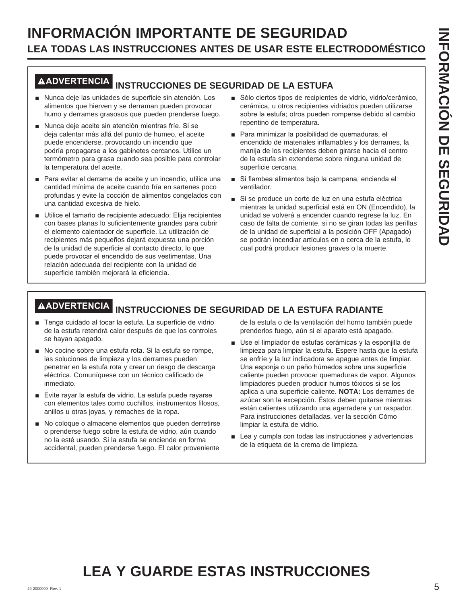## **INFORMACIÓN IMPORTANTE DE SEGURIDAD LEA TODAS LAS INSTRUCCIONES ANTES DE USAR ESTE ELECTRODOMÉSTICO**

# **ADVERTENCIA INSTRUCCIONES DE SEGURIDAD DE LA ESTUFA**

- Nunca deje las unidades de superficie sin atención. Los alimentos que hierven y se derraman pueden provocar humo y derrames grasosos que pueden prenderse fuego.
- Nunca deje aceite sin atención mientras fríe. Si se deja calentar más allá del punto de humeo, el aceite puede encenderse, provocando un incendio que podría propagarse a los gabinetes cercanos. Utilice un termómetro para grasa cuando sea posible para controlar la temperatura del aceite.
- Para evitar el derrame de aceite y un incendio, utilice una cantidad mínima de aceite cuando fría en sartenes poco profundas y evite la cocción de alimentos congelados con una cantidad excesiva de hielo.
- Utilice el tamaño de recipiente adecuado: Elija recipientes con bases planas lo suficientemente grandes para cubrir el elemento calentador de superficie. La utilización de recipientes más pequeños dejará expuesta una porción de la unidad de superficie al contacto directo, lo que puede provocar el encendido de sus vestimentas. Una relación adecuada del recipiente con la unidad de superficie también mejorará la eficiencia.
- Sólo ciertos tipos de recipientes de vidrio, vidrio/cerámico, cerámica, u otros recipientes vidriados pueden utilizarse sobre la estufa; otros pueden romperse debido al cambio repentino de temperatura.
- Para minimizar la posibilidad de quemaduras, el encendido de materiales inflamables y los derrames, la manija de los recipientes deben girarse hacia el centro de la estufa sin extenderse sobre ninguna unidad de superficie cercana.
- Si flambea alimentos bajo la campana, encienda el ventilador.
- Si se produce un corte de luz en una estufa eléctrica mientras la unidad superficial está en ON (Encendido), la unidad se volverá a encender cuando regrese la luz. En caso de falta de corriente, si no se giran todas las perillas de la unidad de superficial a la posición OFF (Apagado) se podrán incendiar artículos en o cerca de la estufa, lo cual podrá producir lesiones graves o la muerte.

### **ADVERTENCIA INSTRUCCIONES DE SEGURIDAD DE LA ESTUFA RADIANTE**

- Tenga cuidado al tocar la estufa. La superficie de vidrio de la estufa retendrá calor después de que los controles se hayan apagado.
- No cocine sobre una estufa rota. Si la estufa se rompe, las soluciones de limpieza y los derrames pueden penetrar en la estufa rota y crear un riesgo de descarga eléctrica. Comuníquese con un técnico calificado de inmediato.
- Evite rayar la estufa de vidrio. La estufa puede rayarse con elementos tales como cuchillos, instrumentos filosos, anillos u otras joyas, y remaches de la ropa.
- No coloque o almacene elementos que pueden derretirse o prenderse fuego sobre la estufa de vidrio, aún cuando no la esté usando. Si la estufa se enciende en forma accidental, pueden prenderse fuego. El calor proveniente

de la estufa o de la ventilación del horno también puede prenderlos fuego, aún si el aparato está apagado.

- Use el limpiador de estufas cerámicas y la esponjilla de limpieza para limpiar la estufa. Espere hasta que la estufa se enfríe y la luz indicadora se apague antes de limpiar. Una esponja o un paño húmedos sobre una superficie caliente pueden provocar quemaduras de vapor. Algunos limpiadores pueden producir humos tóxicos si se los aplica a una superficie caliente. **NOTA:** Los derrames de azúcar son la excepción. Éstos deben quitarse mientras están calientes utilizando una agarradera y un raspador. Para instrucciones detalladas, ver la sección Cómo limpiar la estufa de vidrio.
- Lea y cumpla con todas las instrucciones y advertencias de la etiqueta de la crema de limpieza.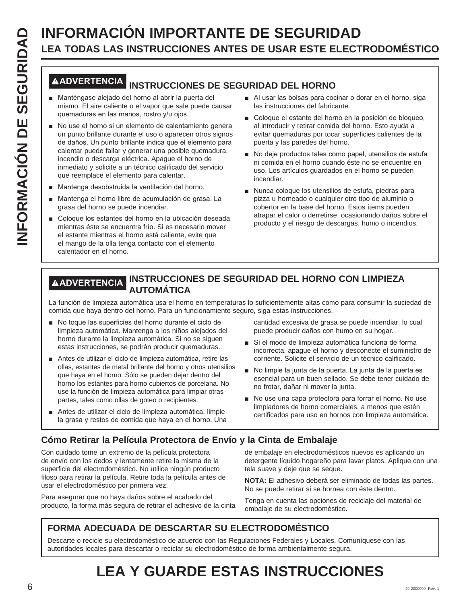# **LEA TODAS LAS INSTRUCCIONES ANTES DE USAR ESTE ELECTRODOMÉSTICO**

### **ADVERTENCIA INSTRUCCIONES DE SEGURIDAD DEL HORNO**

- Manténgase alejado del horno al abrir la puerta del mismo. El aire caliente o el vapor que sale puede causar quemaduras en las manos, rostro y/u ojos.
- **INFORMACIÓN IMPORTANTE DE SEGURIDAD**<br> **INFORMACIÓN INSTRUCCIONES ANTES DE USAR ESTE ELECT<br>
MADVERIENCIAL INSTRUCCIONES DE SEGURIDAD DEL HORNO<br>
INFORMACIÓN INSTRUCCIONES DE SEGURIDAD DEL HORNO<br>
INFORMACIÓN INSTRUCCIONES DE** No use el horno si un elemento de calentamiento genera un punto brillante durante el uso o aparecen otros signos de daños. Un punto brillante indica que el elemento para calentar puede fallar y generar una posible quemadura, incendio o descarga eléctrica. Apague el horno de inmediato y solicite a un técnico calificado del servicio que reemplace el elemento para calentar.
	- Mantenga desobstruida la ventilación del horno.
	- Mantenga el horno libre de acumulación de grasa. La grasa del horno se puede incendiar.
	- Goloque los estantes del horno en la ubicación deseada mientras éste se encuentra frío. Si es necesario mover el estante mientras el horno está caliente, evite que el mango de la olla tenga contacto con el elemento calentador en el horno.
- Al usar las bolsas para cocinar o dorar en el horno, siga las instrucciones del fabricante.
- Coloque el estante del horno en la posición de bloqueo, al introducir y retirar comida del horno. Esto ayuda a evitar quemaduras por tocar superficies calientes de la puerta y las paredes del horno.
- No deje productos tales como papel, utensilios de estufa ni comida en el horno cuando éste no se encuentre en uso. Los artículos guardados en el horno se pueden incendiar.
- Nunca coloque los utensilios de estufa, piedras para pizza u horneado o cualquier otro tipo de aluminio o cobertor en la base del horno. Estos ítems pueden atrapar el calor o derretirse, ocasionando daños sobre el producto y el riesgo de descargas, humo o incendios.

#### **ADVERTENCIA INSTRUCCIONES DE SEGURIDAD DEL HORNO CON LIMPIEZA AUTOMÁTICA**

La función de limpieza automática usa el horno en temperaturas lo suficientemente altas como para consumir la suciedad de comida que haya dentro del horno. Para un funcionamiento seguro, siga estas instrucciones.

- No toque las superficies del horno durante el ciclo de limpieza automática. Mantenga a los niños alejados del horno durante la limpieza automática. Si no se siguen estas instrucciones, se podrán producir quemaduras.
- Antes de utilizar el ciclo de limpieza automática, retire las ollas, estantes de metal brillante del horno y otros utensilios que haya en el horno. Sólo se pueden dejar dentro del horno los estantes para horno cubiertos de porcelana. No use la función de limpieza automática para limpiar otras partes, tales como ollas de goteo o recipientes.
- Antes de utilizar el ciclo de limpieza automática, limpie la grasa y restos de comida que haya en el horno. Una

cantidad excesiva de grasa se puede incendiar, lo cual puede producir daños con humo en su hogar.

- Si el modo de limpieza automática funciona de forma incorrecta, apague el horno y desconecte el suministro de corriente. Solicite el servicio de un técnico calificado.
- No limpie la junta de la puerta. La junta de la puerta es esencial para un buen sellado. Se debe tener cuidado de no frotar, dañar ni mover la junta.
- No use una capa protectora para forrar el horno. No use limpiadores de horno comerciales, a menos que estén certificados para uso en hornos con limpieza automática.

#### **Cómo Retirar la Película Protectora de Envío y la Cinta de Embalaje**

Con cuidado tome un extremo de la película protectora de envío con los dedos y lentamente retire la misma de la superficie del electrodoméstico. No utilice ningún producto filoso para retirar la película. Retire toda la película antes de usar el electrodoméstico por primera vez.

Para asegurar que no haya daños sobre el acabado del producto, la forma más segura de retirar el adhesivo de la cinta de embalaje en electrodomésticos nuevos es aplicando un detergente líquido hogareño para lavar platos. Aplique con una tela suave y deje que se seque.

**NOTA:** El adhesivo deberá ser eliminado de todas las partes. No se puede retirar si se hornea con éste dentro.

Tenga en cuenta las opciones de reciclaje del material de embalaje de su electrodoméstico.

#### **FORMA ADECUADA DE DESCARTAR SU ELECTRODOMÉSTICO**

Descarte o recicle su electrodoméstico de acuerdo con las Regulaciones Federales y Locales. Comuníquese con las autoridades locales para descartar o reciclar su electrodoméstico de forma ambientalmente segura.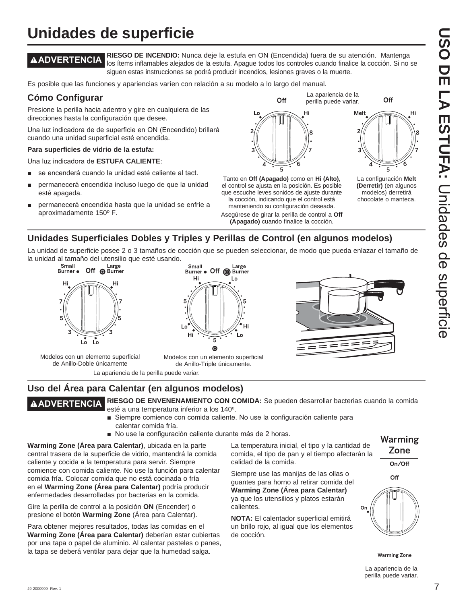# **USO DE LA ESTUFA:DEE** -A ESTUFA: Cliclades de scherlicie Unidades de superficie

La configuración **Melt (Derretir)** (en algunos modelos) derretirá chocolate o manteca.

 $\overline{5}$ 

Off

Hi

## **Unidades de superficie**

**ADVERTENCIA RIESGO DE INCENDIO:** Nunca deje la estufa en ON (Encendida) fuera de su atención. Mantenga los ítems inflamables alejados de la estufa. Apague todos los controles cuando finalice la cocción. Si no se siguen estas instrucciones se podrá producir incendios, lesiones graves o la muerte.

Es posible que las funciones y apariencias varíen con relación a su modelo a lo largo del manual.

#### **Cómo Configurar**

Presione la perilla hacia adentro y gire en cualquiera de las direcciones hasta la configuración que desee.

Una luz indicadora de de superficie en ON (Encendido) brillará cuando una unidad superficial esté encendida.

#### **Para superficies de vidrio de la estufa:**

Una luz indicadora de **ESTUFA CALIENTE:** 

- se encenderá cuando la unidad esté caliente al tact.
- permanecerá encendida incluso luego de que la unidad esté apagada.
- permanecerá encendida hasta que la unidad se enfríe a aproximadamente 150º F.



Off

Hi

Asegúrese de girar la perilla de control a **Off (Apagado)** cuando finalice la cocción.

#### **Unidades Superficiales Dobles y Triples y Perillas de Control (en algunos modelos)**

La unidad de superficie posee 2 o 3 tamaños de cocción que se pueden seleccionar, de modo que pueda enlazar el tamaño de la unidad al tamaño del utensilio que esté usando.



Modelos con un elemento superficial de Anillo-Doble únicamente





La apariencia de la perilla puede variar.

Melt

Modelos con un elemento superficial de Anillo-Triple únicamente.

La apariencia de la perilla puede variar.

#### **Uso del Área para Calentar (en algunos modelos)**

**ADVERTENCIA RIESGO DE ENVENENAMIENTO CON COMIDA:** Se pueden desarrollar bacterias cuando la comida esté a una temperatura inferior a los 140º.

- Siempre comience con comida caliente. No use la configuración caliente para calentar comida fría.
- No use la configuración caliente durante más de 2 horas.

**Warming Zone (Área para Calentar)**, ubicada en la parte central trasera de la superficie de vidrio, mantendrá la comida caliente y cocida a la temperatura para servir. Siempre comience con comida caliente. No use la función para calentar comida fría. Colocar comida que no está cocinada o fría en el **Warming Zone (Área para Calentar)** podría producir enfermedades desarrolladas por bacterias en la comida.

Gire la perilla de control a la posición **ON** (Encender) o presione el botón **Warming Zone** (Área para Calentar).

Para obtener mejores resultados, todas las comidas en el **Warming Zone (Área para Calentar)** deberían estar cubiertas por una tapa o papel de aluminio. Al calentar pasteles o panes, la tapa se deberá ventilar para dejar que la humedad salga.

La temperatura inicial, el tipo y la cantidad de comida, el tipo de pan y el tiempo afectarán la calidad de la comida.

Siempre use las manijas de las ollas o guantes para horno al retirar comida del **Warming Zone (Área para Calentar)** ya que los utensilios y platos estarán calientes.

**NOTA:** El calentador superficial emitirá un brillo rojo, al igual que los elementos de cocción.

Warming Zone

On/Off

Off



**Warming Zone** 

La apariencia de la perilla puede variar.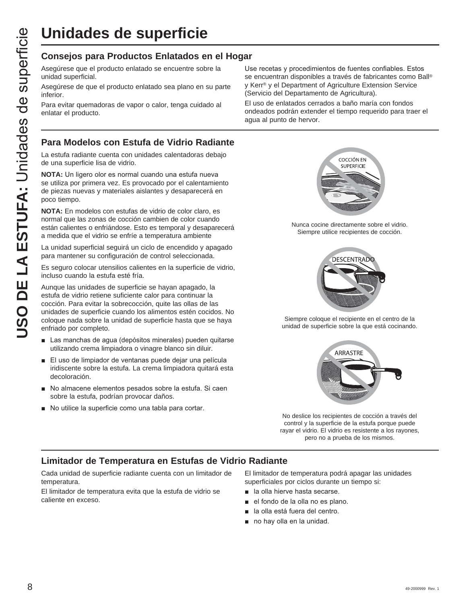## **Unidades de superficie**

#### **Consejos para Productos Enlatados en el Hogar**

Asegúrese que el producto enlatado se encuentre sobre la unidad superficial.

Asegúrese de que el producto enlatado sea plano en su parte inferior.

Para evitar quemadoras de vapor o calor, tenga cuidado al enlatar el producto.

#### **Para Modelos con Estufa de Vidrio Radiante**

La estufa radiante cuenta con unidades calentadoras debajo de una superficie lisa de vidrio.

**NOTA:** Un ligero olor es normal cuando una estufa nueva se utiliza por primera vez. Es provocado por el calentamiento de piezas nuevas y materiales aislantes y desaparecerá en poco tiempo.

**NOTA:** En modelos con estufas de vidrio de color claro, es normal que las zonas de cocción cambien de color cuando están calientes o enfriándose. Esto es temporal y desaparecerá a medida que el vidrio se enfríe a temperatura ambiente

La unidad superficial seguirá un ciclo de encendido y apagado para mantener su configuración de control seleccionada.

Es seguro colocar utensilios calientes en la superficie de vidrio, incluso cuando la estufa esté fría.

Aunque las unidades de superficie se hayan apagado, la estufa de vidrio retiene suficiente calor para continuar la cocción. Para evitar la sobrecocción, quite las ollas de las unidades de superficie cuando los alimentos estén cocidos. No coloque nada sobre la unidad de superficie hasta que se haya enfriado por completo.

- Las manchas de agua (depósitos minerales) pueden quitarse utilizando crema limpiadora o vinagre blanco sin diluir.
- El uso de limpiador de ventanas puede dejar una película iridiscente sobre la estufa. La crema limpiadora quitará esta decoloración.
- No almacene elementos pesados sobre la estufa. Si caen sobre la estufa, podrían provocar daños.
- No utilice la superficie como una tabla para cortar.

Use recetas y procedimientos de fuentes confiables. Estos se encuentran disponibles a través de fabricantes como Ball® y Kerr® y el Department of Agriculture Extension Service (Servicio del Departamento de Agricultura).

El uso de enlatados cerrados a baño maría con fondos ondeados podrán extender el tiempo requerido para traer el agua al punto de hervor.



Nunca cocine directamente sobre el vidrio. Siempre utilice recipientes de cocción.



Siempre coloque el recipiente en el centro de la unidad de superficie sobre la que está cocinando.



No deslice los recipientes de cocción a través del control y la superficie de la estufa porque puede rayar el vidrio. El vidrio es resistente a los rayones, pero no a prueba de los mismos.

#### **Limitador de Temperatura en Estufas de Vidrio Radiante**

Cada unidad de superficie radiante cuenta con un limitador de temperatura.

El limitador de temperatura evita que la estufa de vidrio se caliente en exceso.

El limitador de temperatura podrá apagar las unidades superficiales por ciclos durante un tiempo si:

- **a** la olla hierve hasta secarse.
- el fondo de la olla no es plano.
- la olla está fuera del centro.
- $\blacksquare$  no hay olla en la unidad.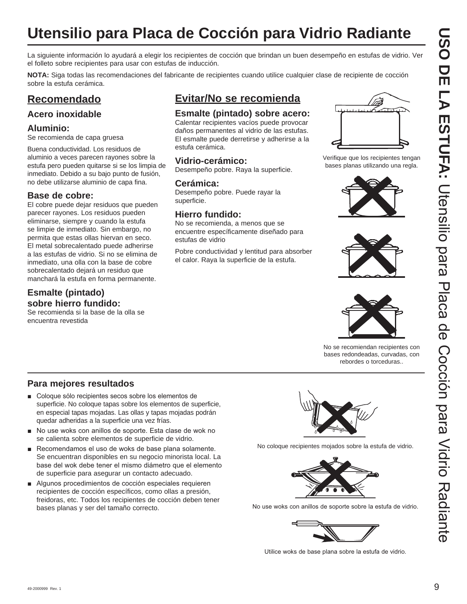# **Utensilio para Placa de Cocción para Vidrio Radiante**

La siguiente información lo ayudará a elegir los recipientes de cocción que brindan un buen desempeño en estufas de vidrio. Ver el folleto sobre recipientes para usar con estufas de inducción.

**NOTA:** Siga todas las recomendaciones del fabricante de recipientes cuando utilice cualquier clase de recipiente de cocción sobre la estufa cerámica.

#### **Recomendado**

#### **Acero inoxidable**

#### **Aluminio:**

Se recomienda de capa gruesa

Buena conductividad. Los residuos de aluminio a veces parecen rayones sobre la estufa pero pueden quitarse si se los limpia de inmediato. Debido a su bajo punto de fusión, no debe utilizarse aluminio de capa fina.

#### **Base de cobre:**

El cobre puede dejar residuos que pueden parecer rayones. Los residuos pueden eliminarse, siempre y cuando la estufa se limpie de inmediato. Sin embargo, no permita que estas ollas hiervan en seco. El metal sobrecalentado puede adherirse a las estufas de vidrio. Si no se elimina de inmediato, una olla con la base de cobre sobrecalentado dejará un residuo que manchará la estufa en forma permanente.

#### **Esmalte (pintado) sobre hierro fundido:**

Se recomienda si la base de la olla se encuentra revestida

#### **Evitar/No se recomienda**

#### **Esmalte (pintado) sobre acero:**

Calentar recipientes vacíos puede provocar daños permanentes al vidrio de las estufas. El esmalte puede derretirse y adherirse a la estufa cerámica.

#### **Vidrio-cerámico:**

Desempeño pobre. Raya la superficie.

#### **Cerámica:**

Desempeño pobre. Puede rayar la superficie.

#### **Hierro fundido:**

No se recomienda, a menos que se encuentre específicamente diseñado para estufas de vidrio

Pobre conductividad y lentitud para absorber el calor. Raya la superficie de la estufa.



Verifique que los recipientes tengan bases planas utilizando una regla.







No se recomiendan recipientes con bases redondeadas, curvadas, con rebordes o torceduras..

#### **Para mejores resultados**

- Coloque sólo recipientes secos sobre los elementos de superficie. No coloque tapas sobre los elementos de superficie, en especial tapas mojadas. Las ollas y tapas mojadas podrán quedar adheridas a la superficie una vez frías.
- No use woks con anillos de soporte. Esta clase de wok no se calienta sobre elementos de superficie de vidrio.
- Recomendamos el uso de woks de base plana solamente. Se encuentran disponibles en su negocio minorista local. La base del wok debe tener el mismo diámetro que el elemento de superficie para asegurar un contacto adecuado.
- Algunos procedimientos de cocción especiales requieren recipientes de cocción específicos, como ollas a presión, freidoras, etc. Todos los recipientes de cocción deben tener bases planas y ser del tamaño correcto.



No coloque recipientes mojados sobre la estufa de vidrio.



No use woks con anillos de soporte sobre la estufa de vidrio.



Utilice woks de base plana sobre la estufa de vidrio.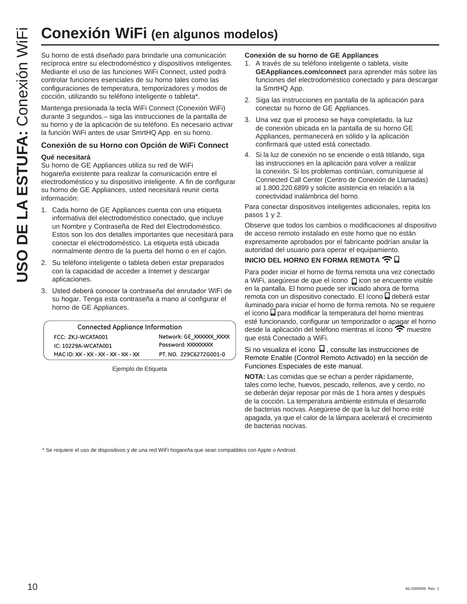## **Conexión WiFi (en algunos modelos)**

Su horno de está diseñado para brindarle una comunicación recíproca entre su electrodoméstico y dispositivos inteligentes. Mediante el uso de las funciones WiFi Connect, usted podrá controlar funciones esenciales de su horno tales como las configuraciones de temperatura, temporizadores y modos de cocción, utilizando su teléfono inteligente o tableta\*.

Mantenga presionada la tecla WiFi Connect (Conexión WiFi) durante 3 segundos.– siga las instrucciones de la pantalla de su horno y de la aplicación de su teléfono. Es necesario activar la función WiFi antes de usar SmrtHQ App. en su horno.

#### **Conexión de su Horno con Opción de WiFi Connect**

#### **Qué necesitará**

Su horno de GE Appliances utiliza su red de WiFi hogareña existente para realizar la comunicación entre el electrodoméstico y su dispositivo inteligente. A fin de configurar su horno de GE Appliances, usted necesitará reunir cierta información:

- 1. Cada horno de GE Appliances cuenta con una etiqueta informativa del electrodoméstico conectado, que incluye un Nombre y Contraseña de Red del Electrodoméstico. Estos son los dos detalles importantes que necesitará para conectar el electrodoméstico. La etiqueta está ubicada normalmente dentro de la puerta del horno o en el cajón.
- 2. Su teléfono inteligente o tableta deben estar preparados con la capacidad de acceder a Internet y descargar aplicaciones.
- 3. Usted deberá conocer la contraseña del enrutador WiFi de su hogar. Tenga esta contraseña a mano al configurar el horno de GE Appliances.

| <b>Connected Appliance Information</b> |                         |
|----------------------------------------|-------------------------|
| FCC: ZKJ-WCATA001                      | Network: GE XXXXXX XXXX |
| IC: 10229A-WCATA001                    | Password: XXXXXXXX      |
| MAC ID: XX - XX - XX - XX - XX - XX    | PT. NO. 229C6272G001-0  |

Ejemplo de Etiqueta

#### **Conexión de su horno de GE Appliances**

- 1. A través de su teléfono inteligente o tableta, visite **GEAppliances.com/connect** para aprender más sobre las funciones del electrodoméstico conectado y para descargar la SmrtHQ App.
- 2. Siga las instrucciones en pantalla de la aplicación para conectar su horno de GE Appliances.
- 3. Una vez que el proceso se haya completado, la luz de conexión ubicada en la pantalla de su horno GE Appliances, permanecerá en sólido y la aplicación confirmará que usted está conectado.
- 4. Si la luz de conexión no se enciende o está titilando, siga las instrucciones en la aplicación para volver a realizar la conexión. Si los problemas continúan, comuníquese al Connected Call Center (Centro de Conexión de Llamadas) al 1.800.220.6899 y solicite asistencia en relación a la conectividad inalámbrica del horno.

Para conectar dispositivos inteligentes adicionales, repita los pasos 1 y 2.

Observe que todos los cambios o modificaciones al dispositivo de acceso remoto instalado en este horno que no están expresamente aprobados por el fabricante podrían anular la autoridad del usuario para operar el equipamiento.

#### **INICIO DEL HORNO EN FORMA REMOTA <del>全</del>日**

Para poder iniciar el horno de forma remota una vez conectado a WiFi, asegúrese de que el ícono **D**icon se encuentre visible en la pantalla. El horno puede ser iniciado ahora de forma remota con un dispositivo conectado. El ícono deberá estar iluminado para iniciar el horno de forma remota. No se requiere el ícono **a** para modificar la temperatura del horno mientras esté funcionando, configurar un temporizador o apagar el horno desde la aplicación del teléfono mientras el ícono  $\widehat{\mathbb{C}}$  muestre que está Conectado a WiFi.

Si no visualiza el ícono  $\Box$ , consulte las instrucciones de Remote Enable (Control Remoto Activado) en la sección de Funciones Especiales de este manual.

**NOTA:** Las comidas que se echan a perder rápidamente, tales como leche, huevos, pescado, rellenos, ave y cerdo, no se deberán dejar reposar por más de 1 hora antes y después de la cocción. La temperatura ambiente estimula el desarrollo de bacterias nocivas. Asegúrese de que la luz del horno esté apagada, ya que el calor de la lámpara acelerará el crecimiento de bacterias nocivas.

\* Se requiere el uso de dispositivos y de una red WiFi hogareña que sean compatibles con Apple o Android.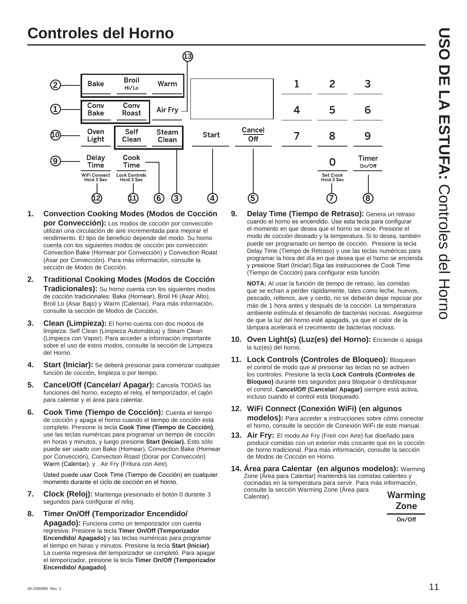# **USO DE LA ESTUFA:ESTUPIEN: Controles del Torno** Controles del Horno

## **Controles del Horno**



- **1. Convection Cooking Modes (Modos de Cocción por Convección):** Los modos de cocción por convección utilizan una circulación de aire incrementada para mejorar el rendimiento. El tipo de beneficio depende del modo. Su horno cuenta con los siguientes modos de cocción por convección: Convection Bake (Hornear por Convección) y Convection Roast (Asar por Convección). Para más información, consulte la sección de Modos de Cocción.
- **2. Traditional Cooking Modes (Modos de Cocción Tradicionales):** Su horno cuenta con los siguientes modos de cocción tradicionales: Bake (Hornear), Broil Hi (Asar Alto), Broil Lo (Asar Bajo) y Warm (Calentar). Para más información, consulte la sección de Modos de Cocción.
- **3. Clean (Limpieza):** El horno cuenta con dos modos de limpieza: Self Clean (Limpieza Automática) y Steam Clean (Limpieza con Vapor). Para acceder a información importante sobre el uso de estos modos, consulte la sección de Limpieza del Horno.
- **4. Start (Iniciar):** Se deberá presionar para comenzar cualquier función de cocción, limpieza o por tiempo.
- **5. Cancel/Off (Cancelar/ Apagar):** Cancela TODAS las funciones del horno, excepto el reloj, el temporizador, el cajón para calentar y el área para calentar.
- **6. Cook Time (Tiempo de Cocción):** Cuenta el tiempo de cocción y apaga el horno cuando el tiempo de cocción está completo. Presione la tecla **Cook Time (Tiempo de Cocción)**, use las teclas numéricas para programar un tiempo de cocción en horas y minutos, y luego presione **Start (Iniciar).** Esto sólo puede ser usado con Bake (Hornear), Convection Bake (Hornear por Convección), Convection Roast (Dorar por Convección) Warm (Calentar), y . Air Fry (Fritura con Aire).

Usted puede usar Cook Time (Tiempo de Cocción) en cualquier momento durante el ciclo de cocción en el horno.

- **7. Clock (Reloj):** Mantenga presionado el botón 0 durante 3 segundos para configurar el reloj.
- **8. Timer On/Off (Temporizador Encendido/**

**Apagado):** Funciona como un temporizador con cuenta regresiva: Presione la tecla **Timer On/Off (Temporizador Encendido/ Apagado)** y las teclas numéricas para programar el tiempo en horas y minutos. Presione la tecla **Start (Iniciar)**. La cuenta regresiva del temporizador se completó. Para apagar el temporizador, presione la tecla **Timer On/Off (Temporizador Encendido/ Apagado)**.

**9. Delay Time (Tiempo de Retraso):** Genera un retraso cuando el horno es encendido. Use esta tecla para configurar el momento en que desea que el horno se inicie. Presione el modo de cocción deseado y la temperatura. Si lo desea, también puede ser programado un tiempo de cocción. Presione la tecla Delay Time (Tiempo de Retraso) y use las teclas numéricas para programar la hora del día en que desea que el horno se encienda y presione Start (Iniciar). Siga las instrucciones de Cook Time (Tiempo de Cocción) para configurar esta función.

3

6

9

Timer

On/Off

**NOTA:** Al usar la función de tiempo de retraso, las comidas que se echan a perder rápidamente, tales como leche, huevos, pescado, rellenos, ave y cerdo, no se deberán dejar reposar por más de 1 hora antes y después de la cocción. La temperatura ambiente estimula el desarrollo de bacterias nocivas. Asegúrese de que la luz del horno esté apagada, ya que el calor de la lámpara acelerará el crecimiento de bacterias nocivas.

- **10. Oven Light(s) (Luz(es) del Horno):** Enciende o apaga la luz(es) del horno.
- **11. Lock Controls (Controles de Bloqueo):** Bloquean el control de modo que al presionar las teclas no se activen los controles. Presione la tecla **Lock Controls (Controles de Bloqueo)** durante tres segundos para bloquear o desbloquear el control. **Cancel/Off (Cancelar/ Apagar)** siempre está activa, incluso cuando el control está bloqueado.
- **12. WiFi Connect (Conexión WiFi) (en algunos modelos):** Para acceder a instrucciones sobre cómo conectar el horno, consulte la sección de Conexión WiFi de este manual.
- **13. Air Fry:** El modo Air Fry (Freír con Aire) fue diseñado para producir comidas con un exterior más crocante que en la cocción de horno tradicional. Para más información, consulte la sección de Modos de Cocción en Horno.
- **14. Área para Calentar (en algunos modelos):** Warming Zone (Área para Calentar) mantendrá las comidas calientes y cocinadas en la temperatura para servir. Para más información, consulte la sección Warming Zone (Área para Warming Calentar).

Zone

On/Off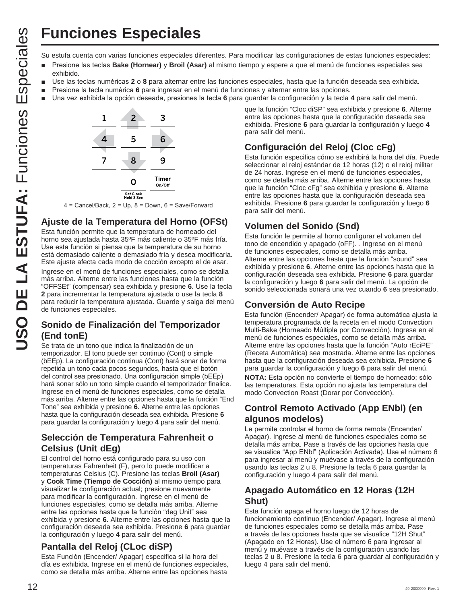## **Funciones Especiales**

- **Presione las teclas Bake (Hornear)** y **Broil (Asar)** al mismo tiempo y espere a que el menú de funciones especiales sea exhibido.
- Use las teclas numéricas 2 o 8 para alternar entre las funciones especiales, hasta que la función deseada sea exhibida.
- **E** Presione la tecla numérica 6 para ingresar en el menú de funciones y alternar entre las opciones.
- Una vez exhibida la opción deseada, presiones la tecla 6 para guardar la configuración y la tecla 4 para salir del menú.



 $4 =$  Cancel/Back,  $2 =$  Up,  $8 =$  Down,  $6 =$  Save/Forward

#### **Ajuste de la Temperatura del Horno (OFSt)**

**USO THE ESTIFA:** FUNCIONES ESPECTRIES<br>
To extend contract a configuraciones especiales diferentes. Para modificar las configuraciones de estas funciones especiales su en a modificar de estas funciones especiales su en a m Esta función permite que la temperatura de horneado del horno sea ajustada hasta 35ºF más caliente o 35ºF más fría. Use esta función si piensa que la temperatura de su horno está demasiado caliente o demasiado fría y desea modificarla. Este ajuste afecta cada modo de cocción excepto el de asar. Ingrese en el menú de funciones especiales, como se detalla más arriba. Alterne entre las funciones hasta que la función "OFFSEt" (compensar) sea exhibida y presione 6. Use la tecla **2** para incrementar la temperatura ajustada o use la tecla **8** para reducir la temperatura ajustada. Guarde y salga del menú de funciones especiales.

#### **Sonido de Finalización del Temporizador (End tonE)**

Se trata de un tono que indica la finalización de un temporizador. El tono puede ser continuo (Cont) o simple (bEEp). La configuración continua (Cont) hará sonar de forma repetida un tono cada pocos segundos, hasta que el botón del control sea presionado. Una configuración simple (bEEp) hará sonar sólo un tono simple cuando el temporizador finalice. Ingrese en el menú de funciones especiales, como se detalla más arriba. Alterne entre las opciones hasta que la función "End Tone" sea exhibida y presione **6**. Alterne entre las opciones hasta que la configuración deseada sea exhibida. Presione **6** para guardar la configuración y luego **4** para salir del menú.

#### **Selección de Temperatura Fahrenheit o Celsius (Unit dEg)**

El control del horno está configurado para su uso con temperaturas Fahrenheit (F), pero lo puede modificar a temperaturas Celsius (C). Presione las teclas **Broil (Asar)** y **Cook Time (Tiempo de Cocción)** al mismo tiempo para visualizar la configuración actual; presione nuevamente para modificar la configuración. Ingrese en el menú de funciones especiales, como se detalla más arriba. Alterne entre las opciones hasta que la función "deg Unit" sea exhibida y presione **6**. Alterne entre las opciones hasta que la configuración deseada sea exhibida. Presione **6** para guardar la configuración y luego **4** para salir del menú.

#### **Pantalla del Reloj (CLoc diSP)**

Esta Función (Encender/ Apagar) especifica si la hora del día es exhibida. Ingrese en el menú de funciones especiales, como se detalla más arriba. Alterne entre las opciones hasta

que la función "Cloc diSP" sea exhibida y presione **6**. Alterne entre las opciones hasta que la configuración deseada sea exhibida. Presione **6** para guardar la configuración y luego **4** para salir del menú.

#### **Configuración del Reloj (Cloc cFg)**

Esta función especifica cómo se exhibirá la hora del día. Puede seleccionar el reloj estándar de 12 horas (12) o el reloj militar de 24 horas. Ingrese en el menú de funciones especiales, como se detalla más arriba. Alterne entre las opciones hasta que la función "Cloc cFg" sea exhibida y presione **6**. Alterne entre las opciones hasta que la configuración deseada sea exhibida. Presione **6** para guardar la configuración y luego **6** para salir del menú.

#### **Volumen del Sonido (Snd)**

Esta función le permite al horno configurar el volumen del tono de encendido y apagado (oFF). . Ingrese en el menú de funciones especiales, como se detalla más arriba. Alterne entre las opciones hasta que la función "sound" sea exhibida y presione **6**. Alterne entre las opciones hasta que la configuración deseada sea exhibida. Presione **6** para guardar la configuración y luego **6** para salir del menú. La opción de sonido seleccionada sonará una vez cuando **6** sea presionado.

#### **Conversión de Auto Recipe**

Esta función (Encender/ Apagar) de forma automática ajusta la temperatura programada de la receta en el modo Convection Multi-Bake (Horneado Múltiple por Convección). Ingrese en el menú de funciones especiales, como se detalla más arriba. Alterne entre las opciones hasta que la función "Auto rEciPE" (Receta Automática) sea mostrada. Alterne entre las opciones hasta que la configuración deseada sea exhibida. Presione **6** para guardar la configuración y luego **6** para salir del menú.

**NOTA:** Esta opción no convierte el tiempo de horneado; sólo las temperaturas. Esta opción no ajusta las temperatura del modo Convection Roast (Dorar por Convección).

#### **Control Remoto Activado (App ENbl) (en algunos modelos)**

Le permite controlar el horno de forma remota (Encender/ Apagar). Ingrese al menú de funciones especiales como se detalla más arriba. Pase a través de las opciones hasta que se visualice "App ENbl" (Aplicación Activada). Use el número 6 para ingresar al menú y muévase a través de la configuración usando las teclas 2 u 8. Presione la tecla 6 para guardar la configuración y luego 4 para salir del menú.

#### **Apagado Automático en 12 Horas (12H Shut)**

Esta función apaga el horno luego de 12 horas de funcionamiento continuo (Encender/ Apagar). Ingrese al menú de funciones especiales como se detalla más arriba. Pase a través de las opciones hasta que se visualice "12H Shut" (Apagado en 12 Horas). Use el número 6 para ingresar al menú y muévase a través de la configuración usando las teclas 2 u 8. Presione la tecla 6 para guardar al configuración y luego 4 para salir del menú.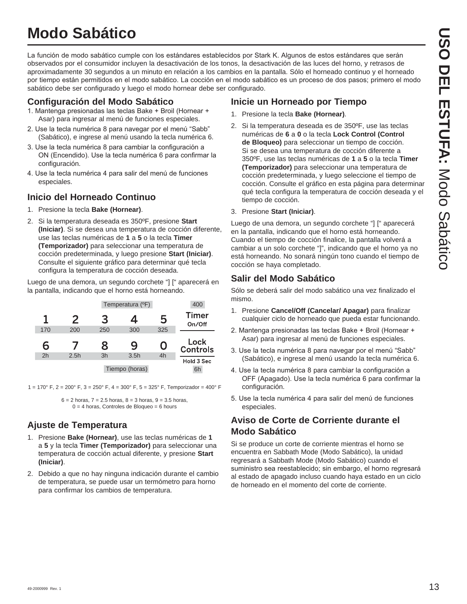## **Modo Sabático**

La función de modo sabático cumple con los estándares establecidos por Stark K. Algunos de estos estándares que serán observados por el consumidor incluyen la desactivación de los tonos, la desactivación de las luces del horno, y retrasos de aproximadamente 30 segundos a un minuto en relación a los cambios en la pantalla. Sólo el horneado continuo y el horneado por tiempo están permitidos en el modo sabático. La cocción en el modo sabático es un proceso de dos pasos; primero el modo sabático debe ser configurado y luego el modo hornear debe ser configurado.

#### **Configuración del Modo Sabático**

- 1. Mantenga presionadas las teclas Bake + Broil (Hornear + Asar) para ingresar al menú de funciones especiales.
- 2. Use la tecla numérica 8 para navegar por el menú "Sabb" (Sabático), e ingrese al menú usando la tecla numérica 6.
- 3. Use la tecla numérica 8 para cambiar la configuración a ON (Encendido). Use la tecla numérica 6 para confirmar la configuración.
- 4. Use la tecla numérica 4 para salir del menú de funciones especiales.

#### **Inicio del Horneado Continuo**

- 1. Presione la tecla **Bake (Hornear)**.
- 2. Si la temperatura deseada es 350ºF, presione **Start (Iniciar)**. Si se desea una temperatura de cocción diferente, use las teclas numéricas de **1** a **5** o la tecla **Timer (Temporizador)** para seleccionar una temperatura de cocción predeterminada, y luego presione **Start (Iniciar)**. Consulte el siguiente gráfico para determinar qué tecla configura la temperatura de cocción deseada.

Luego de una demora, un segundo corchete "] [" aparecerá en la pantalla, indicando que el horno está horneando.

|     |      |     | Temperatura (°F) |     | 400                    |
|-----|------|-----|------------------|-----|------------------------|
| 1   | 2    | 3   | 4                | 5   | <b>Timer</b><br>On/Off |
| 170 | 200  | 250 | 300              | 325 |                        |
|     |      |     |                  |     |                        |
| 6   |      | 8   | 9                | O   | Lock<br>Controls       |
| 2h  | 2.5h | 3h  | 3.5h             | 4h  | Hold 3 Sec             |

1 = 170° F, 2 = 200° F, 3 = 250° F, 4 = 300° F, 5 = 325° F, Temporizador = 400° F

#### **Ajuste de Temperatura**

- 1. Presione **Bake (Hornear)**, use las teclas numéricas de **1** a **5** y la tecla **Timer (Temporizador)** para seleccionar una temperatura de cocción actual diferente, y presione **Start (Iniciar)**.
- 2. Debido a que no hay ninguna indicación durante el cambio de temperatura, se puede usar un termómetro para horno para confirmar los cambios de temperatura.

#### **Inicie un Horneado por Tiempo**

- 1. Presione la tecla **Bake (Hornear)**.
- 2. Si la temperatura deseada es de 350ºF, use las teclas numéricas de **6** a **0** o la tecla **Lock Control (Control de Bloqueo)** para seleccionar un tiempo de cocción. Si se desea una temperatura de cocción diferente a 350ºF, use las teclas numéricas de **1** a **5** o la tecla **Timer (Temporizador)** para seleccionar una temperatura de cocción predeterminada, y luego seleccione el tiempo de cocción. Consulte el gráfico en esta página para determinar qué tecla configura la temperatura de cocción deseada y el tiempo de cocción.
- 3. Presione **Start (Iniciar)**.

Luego de una demora, un segundo corchete "] [" aparecerá en la pantalla, indicando que el horno está horneando. Cuando el tiempo de cocción finalice, la pantalla volverá a cambiar a un solo corchete "]", indicando que el horno ya no está horneando. No sonará ningún tono cuando el tiempo de cocción se haya completado.

#### **Salir del Modo Sabático**

Sólo se deberá salir del modo sabático una vez finalizado el mismo.

- 1. Presione **Cancel/Off (Cancelar/ Apagar)** para finalizar cualquier ciclo de horneado que pueda estar funcionando.
- 2. Mantenga presionadas las teclas Bake + Broil (Hornear + Asar) para ingresar al menú de funciones especiales.
- 3. Use la tecla numérica 8 para navegar por el menú "Sabb" (Sabático), e ingrese al menú usando la tecla numérica 6.
- 4. Use la tecla numérica 8 para cambiar la configuración a OFF (Apagado). Use la tecla numérica 6 para confirmar la configuración.
- 5. Use la tecla numérica 4 para salir del menú de funciones especiales.

#### **Aviso de Corte de Corriente durante el Modo Sabático**

Si se produce un corte de corriente mientras el horno se encuentra en Sabbath Mode (Modo Sabático), la unidad regresará a Sabbath Mode (Modo Sabático) cuando el suministro sea reestablecido; sin embargo, el horno regresará al estado de apagado incluso cuando haya estado en un ciclo de horneado en el momento del corte de corriente.

 $6 = 2$  horas,  $7 = 2.5$  horas,  $8 = 3$  horas,  $9 = 3.5$  horas,  $0 = 4$  horas, Controles de Bloqueo = 6 hours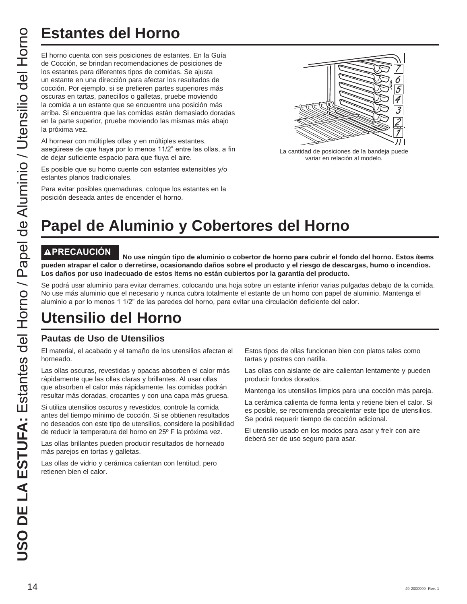El horno cuenta con seis posiciones de estantes. En la Guía de Cocción, se brindan recomendaciones de posiciones de los estantes para diferentes tipos de comidas. Se ajusta un estante en una dirección para afectar los resultados de cocción. Por ejemplo, si se prefieren partes superiores más oscuras en tartas, panecillos o galletas, pruebe moviendo la comida a un estante que se encuentre una posición más arriba. Si encuentra que las comidas están demasiado doradas en la parte superior, pruebe moviendo las mismas más abajo la próxima vez. **USO DE LA ENTRECAUCIÓN**<br> **USO DE LA ENTRE CACCIÓN, as brincher reconomistances de estan<br>
de Cocción, Par ejemplo, si es prefieren para afectar los tecanomistans de los castantes para diferentes tipos de conditas a coción.** 

Al hornear con múltiples ollas y en múltiples estantes, asegúrese de que haya por lo menos 11/2" entre las ollas, a fin de dejar suficiente espacio para que fluya el aire.

Es posible que su horno cuente con estantes extensibles v/o estantes planos tradicionales.

Para evitar posibles quemaduras, coloque los estantes en la posición deseada antes de encender el horno.



La cantidad de posiciones de la bandeja puede variar en relación al modelo.

## **Papel de Aluminio y Cobertores del Horno**

**PRECAUCIÓN No use ningún tipo de aluminio o cobertor de horno para cubrir el fondo del horno. Estos ítems pueden atrapar el calor o derretirse, ocasionando daños sobre el producto y el riesgo de descargas, humo o incendios. Los daños por uso inadecuado de estos ítems no están cubiertos por la garantía del producto.**

Se podrá usar aluminio para evitar derrames, colocando una hoja sobre un estante inferior varias pulgadas debajo de la comida. No use más aluminio que el necesario y nunca cubra totalmente el estante de un horno con papel de aluminio. Mantenga el aluminio a por lo menos 1 1/2" de las paredes del horno, para evitar una circulación deficiente del calor.

## **Utensilio del Horno**

#### **Pautas de Uso de Utensilios**

El material, el acabado y el tamaño de los utensilios afectan el horneado.

Las ollas oscuras, revestidas y opacas absorben el calor más rápidamente que las ollas claras y brillantes. Al usar ollas que absorben el calor más rápidamente, las comidas podrán resultar más doradas, crocantes y con una capa más gruesa.

Si utiliza utensilios oscuros y revestidos, controle la comida antes del tiempo mínimo de cocción. Si se obtienen resultados no deseados con este tipo de utensilios, considere la posibilidad de reducir la temperatura del horno en 25º F la próxima vez.

Las ollas brillantes pueden producir resultados de horneado más parejos en tortas y galletas.

Las ollas de vidrio y cerámica calientan con lentitud, pero retienen bien el calor.

Estos tipos de ollas funcionan bien con platos tales como tartas y postres con natilla.

Las ollas con aislante de aire calientan lentamente y pueden producir fondos dorados.

Mantenga los utensilios limpios para una cocción más pareja.

La cerámica calienta de forma lenta y retiene bien el calor. Si es posible, se recomienda precalentar este tipo de utensilios. Se podrá requerir tiempo de cocción adicional.

El utensilio usado en los modos para asar y freír con aire deberá ser de uso seguro para asar.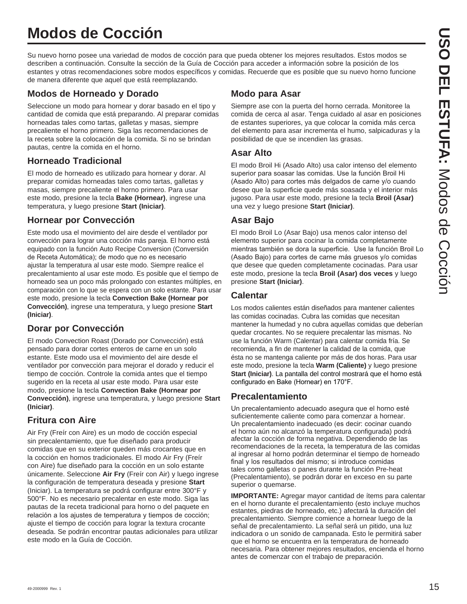## **Modos de Cocción**

Su nuevo horno posee una variedad de modos de cocción para que pueda obtener los mejores resultados. Estos modos se describen a continuación. Consulte la sección de la Guía de Cocción para acceder a información sobre la posición de los estantes y otras recomendaciones sobre modos específicos y comidas. Recuerde que es posible que su nuevo horno funcione de manera diferente que aquel que está reemplazando.

#### **Modos de Horneado y Dorado**

Seleccione un modo para hornear y dorar basado en el tipo y cantidad de comida que está preparando. Al preparar comidas horneadas tales como tartas, galletas y masas, siempre precaliente el horno primero. Siga las recomendaciones de la receta sobre la colocación de la comida. Si no se brindan pautas, centre la comida en el horno.

#### **Horneado Tradicional**

El modo de horneado es utilizado para hornear y dorar. Al preparar comidas horneadas tales como tartas, galletas y masas, siempre precaliente el horno primero. Para usar este modo, presione la tecla **Bake (Hornear)**, ingrese una temperatura, y luego presione **Start (Iniciar)**.

#### **Hornear por Convección**

Este modo usa el movimiento del aire desde el ventilador por convección para lograr una cocción más pareja. El horno está equipado con la función Auto Recipe Conversion (Conversión de Receta Automática); de modo que no es necesario ajustar la temperatura al usar este modo. Siempre realice el precalentamiento al usar este modo. Es posible que el tiempo de horneado sea un poco más prolongado con estantes múltiples, en comparación con lo que se espera con un solo estante. Para usar este modo, presione la tecla **Convection Bake (Hornear por Convección)**, ingrese una temperatura, y luego presione **Start (Iniciar)**.

#### **Dorar por Convección**

El modo Convection Roast (Dorado por Convección) está pensado para dorar cortes enteros de carne en un solo estante. Este modo usa el movimiento del aire desde el ventilador por convección para mejorar el dorado y reducir el tiempo de cocción. Controle la comida antes que el tiempo sugerido en la receta al usar este modo. Para usar este modo, presione la tecla **Convection Bake (Hornear por Convección)**, ingrese una temperatura, y luego presione **Start (Iniciar)**.

#### **Fritura con Aire**

Air Fry (Freír con Aire) es un modo de cocción especial sin precalentamiento, que fue diseñado para producir comidas que en su exterior queden más crocantes que en la cocción en hornos tradicionales. El modo Air Fry (Freír con Aire) fue diseñado para la cocción en un solo estante únicamente. Seleccione **Air Fry** (Freír con Air) y luego ingrese la configuración de temperatura deseada y presione **Start** (Iniciar). La temperatura se podrá configurar entre 300°F y 500°F. No es necesario precalentar en este modo. Siga las pautas de la receta tradicional para horno o del paquete en relación a los ajustes de temperatura y tiempos de cocción; ajuste el tiempo de cocción para lograr la textura crocante deseada. Se podrán encontrar pautas adicionales para utilizar este modo en la Guía de Cocción.

#### **Modo para Asar**

Siempre ase con la puerta del horno cerrada. Monitoree la comida de cerca al asar. Tenga cuidado al asar en posiciones de estantes superiores, ya que colocar la comida más cerca del elemento para asar incrementa el humo, salpicaduras y la posibilidad de que se incendien las grasas.

#### **Asar Alto**

El modo Broil Hi (Asado Alto) usa calor intenso del elemento superior para soasar las comidas. Use la función Broil Hi (Asado Alto) para cortes más delgados de carne y/o cuando desee que la superficie quede más soasada y el interior más jugoso. Para usar este modo, presione la tecla **Broil (Asar)** una vez y luego presione **Start (Iniciar)**.

#### **Asar Bajo**

El modo Broil Lo (Asar Bajo) usa menos calor intenso del elemento superior para cocinar la comida completamente mientras también se dora la superficie. Use la función Broil Lo (Asado Bajo) para cortes de carne más gruesos y/o comidas que desee que queden completamente cocinadas. Para usar este modo, presione la tecla **Broil (Asar) dos veces** y luego presione **Start (Iniciar)**.

#### **Calentar**

Los modos calientes están diseñados para mantener calientes las comidas cocinadas. Cubra las comidas que necesitan mantener la humedad y no cubra aquellas comidas que deberían quedar crocantes. No se requiere precalentar las mismas. No use la función Warm (Calentar) para calentar comida fría. Se recomienda, a fin de mantener la calidad de la comida, que ésta no se mantenga caliente por más de dos horas. Para usar este modo, presione la tecla **Warm (Caliente)** y luego presione **Start (Iniciar)**. La pantalla del control mostrará que el horno está configurado en Bake (Hornear) en 170°F.

#### **Precalentamiento**

Un precalentamiento adecuado asegura que el horno esté suficientemente caliente como para comenzar a hornear. Un precalentamiento inadecuado (es decir: cocinar cuando el horno aún no alcanzó la temperatura configurada) podrá afectar la cocción de forma negativa. Dependiendo de las recomendaciones de la receta, la temperatura de las comidas al ingresar al horno podrán determinar el tiempo de horneado final y los resultados del mismo; si introduce comidas tales como galletas o panes durante la función Pre-heat (Precalentamiento), se podrán dorar en exceso en su parte superior o quemarse.

**IMPORTANTE:** Agregar mayor cantidad de ítems para calentar en el horno durante el precalentamiento (esto incluye muchos estantes, piedras de horneado, etc.) afectará la duración del precalentamiento. Siempre comience a hornear luego de la señal de precalentamiento. La señal será un pitido, una luz indicadora o un sonido de campanada. Esto le permitirá saber que el horno se encuentra en la temperatura de horneado necesaria. Para obtener mejores resultados, encienda el horno antes de comenzar con el trabajo de preparación.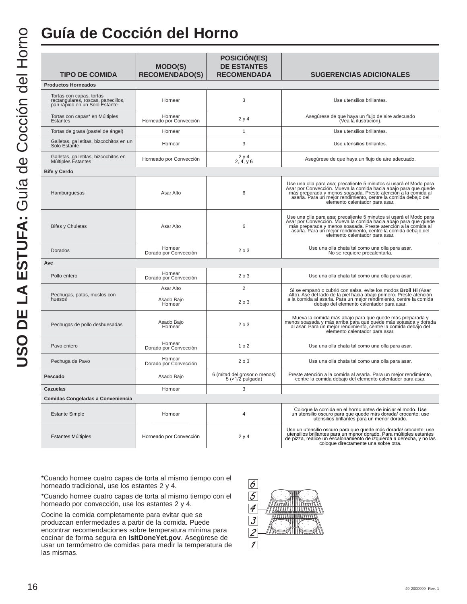## **Guía de Cocción del Horno**

| <b>TIPO DE COMIDA</b>                                                                           | <b>MODO(S)</b><br><b>RECOMENDADO(S)</b> | <b>POSICIÓN(ES)</b><br><b>DE ESTANTES</b><br><b>RECOMENDADA</b> | <b>SUGERENCIAS ADICIONALES</b>                                                                                                                                                                                                                                                                             |
|-------------------------------------------------------------------------------------------------|-----------------------------------------|-----------------------------------------------------------------|------------------------------------------------------------------------------------------------------------------------------------------------------------------------------------------------------------------------------------------------------------------------------------------------------------|
| <b>Productos Horneados</b>                                                                      |                                         |                                                                 |                                                                                                                                                                                                                                                                                                            |
| Tortas con capas, tortas<br>rectangulares, roscas, panecillos,<br>pan rápido en un Solo Estante | Hornear                                 | 3                                                               | Use utensilios brillantes.                                                                                                                                                                                                                                                                                 |
| Tortas con capas* en Múltiples<br>Estantes                                                      | Hornear<br>Horneado por Convección      | 2 y 4                                                           | Asegúrese de que haya un flujo de aire adecuado<br>(Vea lá ilustración).                                                                                                                                                                                                                                   |
| Tortas de grasa (pastel de ángel)                                                               | Hornear                                 | 1                                                               | Use utensilios brillantes.                                                                                                                                                                                                                                                                                 |
| Galletas, galletitas, bizcochitos en un<br>Solo Estante                                         | Hornear                                 | 3                                                               | Use utensilios brillantes.                                                                                                                                                                                                                                                                                 |
| Galletas, galletitas, bizcochitos en<br>Múltiples Estantes                                      | Horneado por Convección                 | 2y4<br>2, 4, y6                                                 | Asegúrese de que haya un flujo de aire adecuado.                                                                                                                                                                                                                                                           |
| <b>Bife y Cerdo</b>                                                                             |                                         |                                                                 |                                                                                                                                                                                                                                                                                                            |
| Hamburguesas                                                                                    | Asar Alto                               | 6                                                               | Use una olla para asa; precaliente 5 minutos si usará el Modo para<br>Asar por Convección. Mueva la comida hacia abajo para que quede<br>más preparada y menos soasada. Preste atención a la comida al<br>asarla. Para un mejor rendimiento, centre la comida debajo del<br>elemento calentador para asar. |
| <b>Bifes y Chuletas</b>                                                                         | Asar Alto                               | 6                                                               | Use una olla para asa; precaliente 5 minutos si usará el Modo para<br>Asar por Convección. Mueva la comida hacia abajo para que quede<br>más preparada y menos soasada. Preste atención a la comida al<br>asarla. Para un mejor rendimiento, centre la comida debajo del<br>elemento calentador para asar. |
| Dorados                                                                                         | Hornear<br>Dorado por Convección        | 203                                                             | Use una olla chata tal como una olla para asar.<br>No se requiere precalentarla.                                                                                                                                                                                                                           |
| Ave                                                                                             |                                         |                                                                 |                                                                                                                                                                                                                                                                                                            |
| Pollo entero                                                                                    | Hornear<br>Dorado por Convección        | 203                                                             | Use una olla chata tal como una olla para asar.                                                                                                                                                                                                                                                            |
|                                                                                                 | Asar Alto                               | $\overline{2}$                                                  | Si se empanó o cubrió con salsa, evite los modos Broil Hi (Asar Alto). Ase del lado de la piel hacia abajo primero. Preste atención                                                                                                                                                                        |
| Pechugas, patas, muslos con<br>huesos                                                           | Asado Bajo<br>Hornear                   | 203                                                             | a la comida al asarla. Para un mejor rendimiento, centre la comida<br>debajo del elemento calentador para asar.                                                                                                                                                                                            |
| Pechugas de pollo deshuesadas                                                                   | Asado Bajo<br>Hornear                   | 203                                                             | Mueva la comida más abajo para que quede más preparada y<br>menos soasada y más arriba para que quede más soasada y dorada al asar. Para un mejor rendimiento, centre la comida debajo del<br>elemento calentador para asar.                                                                               |
| Pavo entero                                                                                     | Hornear<br>Dorado por Convección        | 1 <sub>0</sub> 2                                                | Usa una olla chata tal como una olla para asar.                                                                                                                                                                                                                                                            |
| Pechuga de Pavo                                                                                 | Hornear<br>Dorado por Convección        | 203                                                             | Usa una olla chata tal como una olla para asar.                                                                                                                                                                                                                                                            |
| Pescado                                                                                         | Asado Bajo                              | 6 (mitad del grosor o menos)<br>$5$ ( $>1/2$ pulgada)           | Preste atención a la comida al asarla. Para un mejor rendimiento,<br>centre la comida debajo del elemento calentador para asar.                                                                                                                                                                            |
| Cazuelas                                                                                        | Hornear                                 | 3                                                               |                                                                                                                                                                                                                                                                                                            |
| Comidas Congeladas a Conveniencia                                                               |                                         |                                                                 |                                                                                                                                                                                                                                                                                                            |
| <b>Estante Simple</b>                                                                           | Hornear                                 | 4                                                               | Coloque la comida en el horno antes de iniciar el modo. Use<br>un utensilio oscuro para que quede más dorada/ crocante; use<br>utensilios brillantes para un menor dorado.                                                                                                                                 |
| <b>Estantes Múltiples</b>                                                                       | Horneado por Convección                 | 2y4                                                             | Use un utensilio oscuro para que quede más dorada/ crocante; use<br>utensilios brillantes para un menor dorado. Para múltiples estantes<br>de pizza, realice un escalonamiento de izquierda a derecha, y no las<br>coloque directamente una sobre otra.                                                    |

\*Cuando hornee cuatro capas de torta al mismo tiempo con el horneado tradicional, use los estantes 2 y 4.

\*Cuando hornee cuatro capas de torta al mismo tiempo con el horneado por convección, use los estantes 2 y 4.

Cocine la comida completamente para evitar que se produzcan enfermedades a partir de la comida. Puede encontrar recomendaciones sobre temperatura mínima para cocinar de forma segura en **IsItDoneYet.gov**. Asegúrese de usar un termómetro de comidas para medir la temperatura de las mismas.

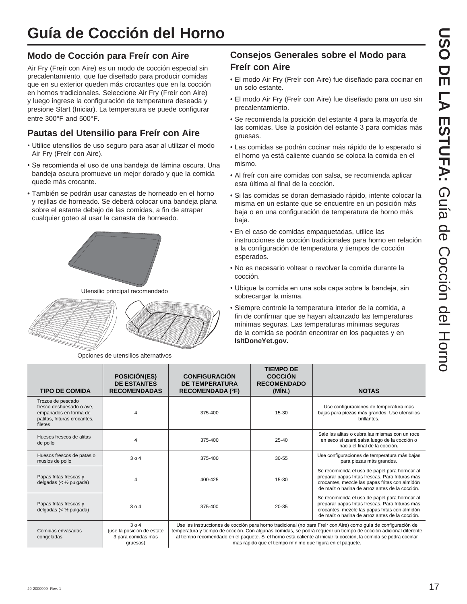# **Guía de Cocción del Horno**

#### **Modo de Cocción para Freír con Aire**

Air Fry (Freír con Aire) es un modo de cocción especial sin precalentamiento, que fue diseñado para producir comidas que en su exterior queden más crocantes que en la cocción en hornos tradicionales. Seleccione Air Fry (Freír con Aire) y luego ingrese la configuración de temperatura deseada y presione Start (Iniciar). La temperatura se puede configurar entre 300°F and 500°F.

#### **Pautas del Utensilio para Freír con Aire**

- Utilice utensilios de uso seguro para asar al utilizar el modo Air Fry (Freír con Aire).
- Se recomienda el uso de una bandeja de lámina oscura. Una bandeja oscura promueve un mejor dorado y que la comida quede más crocante.
- También se podrán usar canastas de horneado en el horno y rejillas de horneado. Se deberá colocar una bandeja plana sobre el estante debajo de las comidas, a fin de atrapar cualquier goteo al usar la canasta de horneado.



Utensilio principal recomendado



Opciones de utensilios alternativos

gruesas)

#### **Consejos Generales sobre el Modo para Freír con Aire**

- El modo Air Fry (Freír con Aire) fue diseñado para cocinar en un solo estante.
- El modo Air Fry (Freír con Aire) fue diseñado para un uso sin precalentamiento.
- Se recomienda la posición del estante 4 para la mayoría de las comidas. Use la posición del estante 3 para comidas más gruesas.
- Las comidas se podrán cocinar más rápido de lo esperado si el horno ya está caliente cuando se coloca la comida en el mismo.
- Al freír con aire comidas con salsa, se recomienda aplicar esta última al final de la cocción.
- Si las comidas se doran demasiado rápido, intente colocar la misma en un estante que se encuentre en un posición más baja o en una configuración de temperatura de horno más baja.
- En el caso de comidas empaquetadas, utilice las instrucciones de cocción tradicionales para horno en relación a la configuración de temperatura y tiempos de cocción esperados.
- No es necesario voltear o revolver la comida durante la cocción.
- Ubique la comida en una sola capa sobre la bandeja, sin sobrecargar la misma.
- Siempre controle la temperatura interior de la comida, a fin de confirmar que se hayan alcanzado las temperaturas mínimas seguras. Las temperaturas mínimas seguras de la comida se podrán encontrar en los paquetes y en **IsItDoneYet.gov.**

más rápido que el tiempo mínimo que figura en el paquete.

| <b>TIPO DE COMIDA</b>                                                                                             | <b>POSICIÓN(ES)</b><br><b>DE ESTANTES</b><br><b>RECOMENDADAS</b> | <b>CONFIGURACIÓN</b><br><b>DE TEMPERATURA</b><br><b>RECOMENDADA (°F)</b> | <b>TIEMPO DE</b><br><b>COCCIÓN</b><br><b>RECOMENDADO</b><br>(MIN.) | <b>NOTAS</b>                                                                                                                                                                                                                                                                                                                                           |
|-------------------------------------------------------------------------------------------------------------------|------------------------------------------------------------------|--------------------------------------------------------------------------|--------------------------------------------------------------------|--------------------------------------------------------------------------------------------------------------------------------------------------------------------------------------------------------------------------------------------------------------------------------------------------------------------------------------------------------|
| Trozos de pescado<br>fresco deshuesado o ave,<br>empanados en forma de<br>patitas, frituras crocantes,<br>filetes | 4                                                                | 375-400                                                                  | 15-30                                                              | Use configuraciones de temperatura más<br>bajas para piezas más grandes. Use utensilios<br>brillantes.                                                                                                                                                                                                                                                 |
| Huesos frescos de alitas<br>de pollo                                                                              | 4                                                                | 375-400                                                                  | 25-40                                                              | Sale las alitas o cubra las mismas con un roce<br>en seco si usará salsa luego de la cocción o<br>hacia el final de la cocción.                                                                                                                                                                                                                        |
| Huesos frescos de patas o<br>muslos de pollo                                                                      | 304                                                              | 375-400                                                                  | $30 - 55$                                                          | Use configuraciones de temperatura más bajas<br>para piezas más grandes.                                                                                                                                                                                                                                                                               |
| Papas fritas frescas y<br>delgadas (< $\frac{1}{2}$ pulgada)                                                      | 4                                                                | 400-425                                                                  | 15-30                                                              | Se recomienda el uso de papel para hornear al<br>preparar papas fritas frescas. Para frituras más<br>crocantes, mezcle las papas fritas con almidón<br>de maíz o harina de arroz antes de la cocción.                                                                                                                                                  |
| Papas fritas frescas y<br>delgadas (< $\frac{1}{2}$ pulgada)                                                      | 304                                                              | 375-400                                                                  | 20-35                                                              | Se recomienda el uso de papel para hornear al<br>preparar papas fritas frescas. Para frituras más<br>crocantes, mezcle las papas fritas con almidón<br>de maíz o harina de arroz antes de la cocción.                                                                                                                                                  |
| Comidas envasadas<br>congeladas                                                                                   | 304<br>(use la posición de estate<br>3 para comidas más          |                                                                          |                                                                    | Use las instrucciones de cocción para horno tradicional (no para Freír con Aire) como guía de configuración de<br>temperatura y tiempo de cocción. Con algunas comidas, se podrá requerir un tiempo de cocción adicional diferente<br>al tiempo recomendado en el paquete. Si el horno está caliente al iniciar la cocción, la comida se podrá cocinar |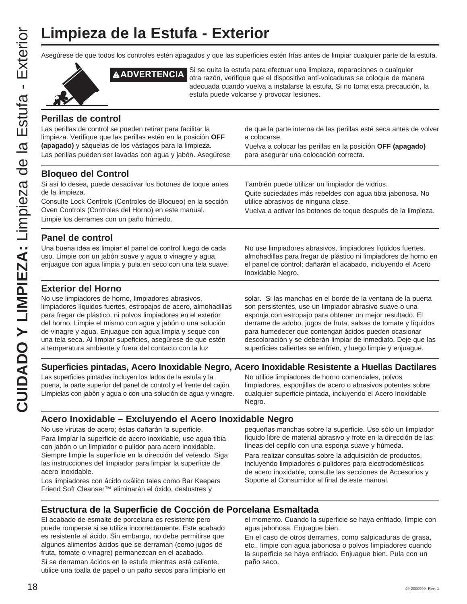Asegúrese de que todos los controles estén apagados y que las superficies estén frías antes de limpiar cualquier parte de la estufa.



**ADVERTENCIA** Si se quita la estufa para efectuar una limpieza, reparaciones o cualquier otra razón, verifique que el dispositivo anti-volcaduras se coloque de manera adecuada cuando vuelva a instalarse la estufa. Si no toma esta precaución, la estufa puede volcarse y provocar lesiones.

#### **Perillas de control**

Las perillas de control se pueden retirar para facilitar la limpieza. Verifique que las perillas estén en la posición **OFF (apagado)** y sáquelas de los vástagos para la limpieza.

Las perillas pueden ser lavadas con agua y jabón. Asegúrese

#### **Bloqueo del Control**

Si así lo desea, puede desactivar los botones de toque antes de la limpieza.

Consulte Lock Controls (Controles de Bloqueo) en la sección Oven Controls (Controles del Horno) en este manual. Limpie los derrames con un paño húmedo.

de que la parte interna de las perillas esté seca antes de volver a colocarse.

Vuelva a colocar las perillas en la posición **OFF (apagado)** para asegurar una colocación correcta.

También puede utilizar un limpiador de vidrios.

Quite suciedades más rebeldes con agua tibia jabonosa. No utilice abrasivos de ninguna clase.

Vuelva a activar los botones de toque después de la limpieza.

#### **Panel de control**

Una buena idea es limpiar el panel de control luego de cada uso. Limpie con un jabón suave y agua o vinagre y agua, enjuague con agua limpia y pula en seco con una tela suave.

#### **Exterior del Horno**

No use limpiadores de horno, limpiadores abrasivos, limpiadores líquidos fuertes, estropajos de acero, almohadillas para fregar de plástico, ni polvos limpiadores en el exterior del horno. Limpie el mismo con agua y jabón o una solución de vinagre y agua. Enjuague con agua limpia y seque con una tela seca. Al limpiar supeficies, asegúrese de que estén a temperatura ambiente y fuera del contacto con la luz

No use limpiadores abrasivos, limpiadores líquidos fuertes, almohadillas para fregar de plástico ni limpiadores de horno en el panel de control; dañarán el acabado, incluyendo el Acero Inoxidable Negro.

solar. Si las manchas en el borde de la ventana de la puerta son persistentes, use un limpiador abrasivo suave o una esponja con estropajo para obtener un mejor resultado. El derrame de adobo, jugos de fruta, salsas de tomate y líquidos para humedecer que contengan ácidos pueden ocasionar descoloración y se deberán limpiar de inmediato. Deje que las superficies calientes se enfríen, y luego limpie y enjuague.

#### **Superficies pintadas, Acero Inoxidable Negro, Acero Inoxidable Resistente a Huellas Dactilares**

Las superficies pintadas incluyen los lados de la estufa y la puerta, la parte superior del panel de control y el frente del cajón. Límpielas con jabón y agua o con una solución de agua y vinagre.

No utilice limpiadores de horno comerciales, polvos limpiadores, esponjillas de acero o abrasivos potentes sobre cualquier superficie pintada, incluyendo el Acero Inoxidable Negro.

#### **Acero Inoxidable – Excluyendo el Acero Inoxidable Negro**

No use virutas de acero; éstas dañarán la superficie. Para limpiar la superficie de acero inoxidable, use agua tibia con jabón o un limpiador o pulidor para acero inoxidable. Siempre limpie la superficie en la dirección del veteado. Siga las instrucciones del limpiador para limpiar la superficie de acero inoxidable.

Los limpiadores con ácido oxálico tales como Bar Keepers Friend Soft Cleanser™ eliminarán el óxido, deslustres y

pequeñas manchas sobre la superficie. Use sólo un limpiador líquido libre de material abrasivo y frote en la dirección de las líneas del cepillo con una esponja suave y húmeda.

Para realizar consultas sobre la adquisición de productos, incluyendo limpiadores o pulidores para electrodomésticos de acero inoxidable, consulte las secciones de Accesorios y Soporte al Consumidor al final de este manual.

#### **Estructura de la Superficie de Cocción de Porcelana Esmaltada**

El acabado de esmalte de porcelana es resistente pero puede romperse si se utiliza incorrectamente. Este acabado es resistente al ácido. Sin embargo, no debe permitirse que algunos alimentos ácidos que se derraman (como jugos de fruta, tomate o vinagre) permanezcan en el acabado.

Si se derraman ácidos en la estufa mientras está caliente, utilice una toalla de papel o un paño secos para limpiarlo en

el momento. Cuando la superficie se haya enfriado, limpie con agua jabonosa. Enjuague bien.

En el caso de otros derrames, como salpicaduras de grasa, etc., limpie con agua jabonosa o polvos limpiadores cuando la superficie se haya enfriado. Enjuague bien. Pula con un paño seco.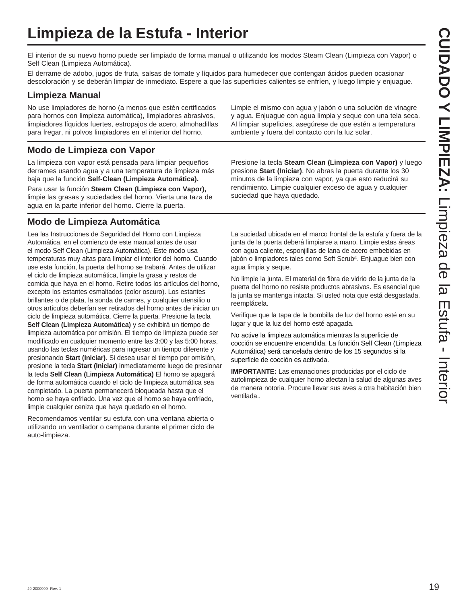## **Limpieza de la Estufa - Interior**

El interior de su nuevo horno puede ser limpiado de forma manual o utilizando los modos Steam Clean (Limpieza con Vapor) o Self Clean (Limpieza Automática).

El derrame de adobo, jugos de fruta, salsas de tomate y líquidos para humedecer que contengan ácidos pueden ocasionar descoloración y se deberán limpiar de inmediato. Espere a que las superficies calientes se enfríen, y luego limpie y enjuague.

#### **Limpieza Manual**

No use limpiadores de horno (a menos que estén certificados para hornos con limpieza automática), limpiadores abrasivos, limpiadores líquidos fuertes, estropajos de acero, almohadillas para fregar, ni polvos limpiadores en el interior del horno.

#### **Modo de Limpieza con Vapor**

La limpieza con vapor está pensada para limpiar pequeños derrames usando agua y a una temperatura de limpieza más baja que la función **Self-Clean (Limpieza Automática).**

Para usar la función **Steam Clean (Limpieza con Vapor),**  limpie las grasas y suciedades del horno. Vierta una taza de agua en la parte inferior del horno. Cierre la puerta.

#### **Modo de Limpieza Automática**

Lea las Instrucciones de Seguridad del Horno con Limpieza Automática, en el comienzo de este manual antes de usar el modo Self Clean (Limpieza Automática). Este modo usa temperaturas muy altas para limpiar el interior del horno. Cuando use esta función, la puerta del horno se trabará. Antes de utilizar el ciclo de limpieza automática, limpie la grasa y restos de comida que haya en el horno. Retire todos los artículos del horno, excepto los estantes esmaltados (color oscuro). Los estantes brillantes o de plata, la sonda de carnes, y cualquier utensilio u otros artículos deberían ser retirados del horno antes de iniciar un ciclo de limpieza automática. Cierre la puerta. Presione la tecla **Self Clean (Limpieza Automática)** y se exhibirá un tiempo de limpieza automática por omisión. El tiempo de limpieza puede ser modificado en cualquier momento entre las 3:00 y las 5:00 horas, usando las teclas numéricas para ingresar un tiempo diferente y presionando **Start (Iniciar)**. Si desea usar el tiempo por omisión, presione la tecla **Start (Iniciar)** inmediatamente luego de presionar la tecla **Self Clean (Limpieza Automática)** El horno se apagará de forma automática cuando el ciclo de limpieza automática sea completado. La puerta permanecerá bloqueada hasta que el horno se haya enfriado. Una vez que el horno se haya enfriado, limpie cualquier ceniza que haya quedado en el horno.

Recomendamos ventilar su estufa con una ventana abierta o utilizando un ventilador o campana durante el primer ciclo de auto-limpieza.

Limpie el mismo con agua y jabón o una solución de vinagre y agua. Enjuague con agua limpia y seque con una tela seca. Al limpiar supeficies, asegúrese de que estén a temperatura ambiente y fuera del contacto con la luz solar.

Presione la tecla **Steam Clean (Limpieza con Vapor)** y luego presione **Start (Iniciar)**. No abras la puerta durante los 30 minutos de la limpieza con vapor, ya que esto reducirá su rendimiento. Limpie cualquier exceso de agua y cualquier suciedad que haya quedado.

La suciedad ubicada en el marco frontal de la estufa y fuera de la junta de la puerta deberá limpiarse a mano. Limpie estas áreas con agua caliente, esponjillas de lana de acero embebidas en jabón o limpiadores tales como Soft Scrub®. Enjuague bien con agua limpia y seque.

No limpie la junta. El material de fibra de vidrio de la junta de la puerta del horno no resiste productos abrasivos. Es esencial que la junta se mantenga intacta. Si usted nota que está desgastada, reemplácela.

Verifique que la tapa de la bombilla de luz del horno esté en su lugar y que la luz del horno esté apagada.

No active la limpieza automática mientras la superficie de cocción se encuentre encendida. La función Self Clean (Limpieza Automática) será cancelada dentro de los 15 segundos si la superficie de cocción es activada.

**IMPORTANTE:** Las emanaciones producidas por el ciclo de autolimpieza de cualquier horno afectan la salud de algunas aves de manera notoria. Procure llevar sus aves a otra habitación bien ventilada..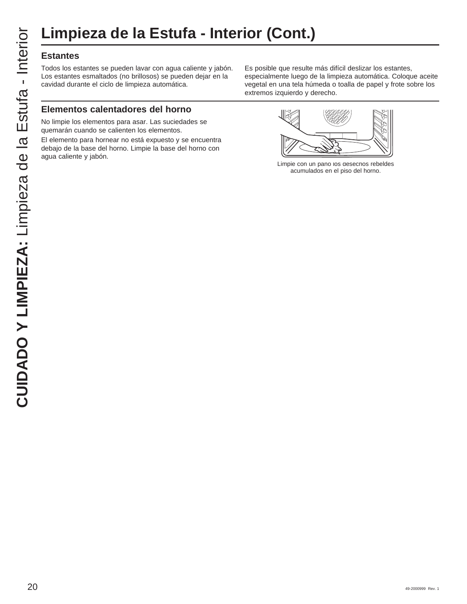#### **Estantes**

Todos los estantes se pueden lavar con agua caliente y jabón. Los estantes esmaltados (no brillosos) se pueden dejar en la cavidad durante el ciclo de limpieza automática.

#### **Elementos calentadores del horno**

No limpie los elementos para asar. Las suciedades se quemarán cuando se calienten los elementos.

El elemento para hornear no está expuesto y se encuentra debajo de la base del horno. Limpie la base del horno con agua caliente y jabón.

Es posible que resulte más difícil deslizar los estantes, especialmente luego de la limpieza automática. Coloque aceite vegetal en una tela húmeda o toalla de papel y frote sobre los extremos izquierdo y derecho.



Limpie con un pano los desecnos rebeldes acumulados en el piso del horno.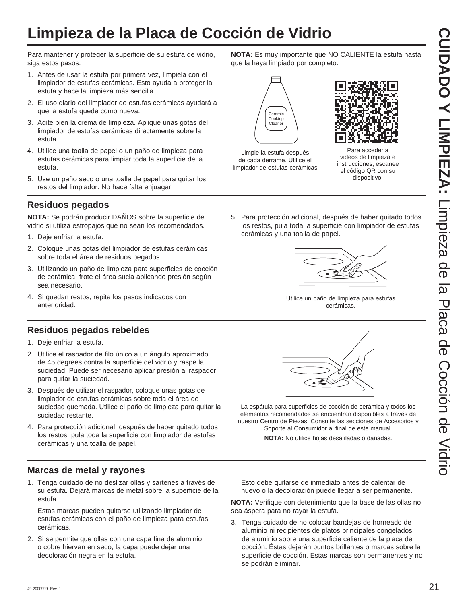## **Limpieza de la Placa de Cocción de Vidrio**

Para mantener y proteger la superficie de su estufa de vidrio, siga estos pasos:

- 1. Antes de usar la estufa por primera vez, límpiela con el limpiador de estufas cerámicas. Esto ayuda a proteger la estufa y hace la limpieza más sencilla.
- 2. El uso diario del limpiador de estufas cerámicas ayudará a que la estufa quede como nueva.
- 3. Agite bien la crema de limpieza. Aplique unas gotas del limpiador de estufas cerámicas directamente sobre la estufa.
- 4. Utilice una toalla de papel o un paño de limpieza para estufas cerámicas para limpiar toda la superficie de la estufa.
- 5. Use un paño seco o una toalla de papel para quitar los restos del limpiador. No hace falta enjuagar.

#### **Residuos pegados**

**NOTA:** Se podrán producir DAÑOS sobre la superficie de vidrio si utiliza estropajos que no sean los recomendados.

- 1. Deje enfriar la estufa.
- 2. Coloque unas gotas del limpiador de estufas cerámicas sobre toda el área de residuos pegados.
- 3. Utilizando un paño de limpieza para superficies de cocción de cerámica, frote el área sucia aplicando presión según sea necesario.
- 4. Si quedan restos, repita los pasos indicados con anterioridad.

#### **Residuos pegados rebeldes**

- 1. Deje enfriar la estufa.
- 2. Utilice el raspador de filo único a un ángulo aproximado de 45 degrees contra la superficie del vidrio y raspe la suciedad. Puede ser necesario aplicar presión al raspador para quitar la suciedad.
- 3. Después de utilizar el raspador, coloque unas gotas de limpiador de estufas cerámicas sobre toda el área de suciedad quemada. Utilice el paño de limpieza para quitar la suciedad restante.
- 4. Para protección adicional, después de haber quitado todos los restos, pula toda la superficie con limpiador de estufas cerámicas y una toalla de papel.

#### **Marcas de metal y rayones**

1. Tenga cuidado de no deslizar ollas y sartenes a través de su estufa. Dejará marcas de metal sobre la superficie de la estufa.

 Estas marcas pueden quitarse utilizando limpiador de estufas cerámicas con el paño de limpieza para estufas cerámicas.

2. Si se permite que ollas con una capa fina de aluminio o cobre hiervan en seco, la capa puede dejar una decoloración negra en la estufa.

**NOTA:** Es muy importante que NO CALIENTE la estufa hasta que la haya limpiado por completo.



Limpie la estufa después de cada derrame. Utilice el limpiador de estufas cerámicas



Para acceder a videos de limpieza e instrucciones, escanee el código QR con su dispositivo.

5. Para protección adicional, después de haber quitado todos los restos, pula toda la superficie con limpiador de estufas cerámicas y una toalla de papel.



Utilice un paño de limpieza para estufas cerámicas.



La espátula para superficies de cocción de cerámica y todos los elementos recomendados se encuentran disponibles a través de nuestro Centro de Piezas. Consulte las secciones de Accesorios y Soporte al Consumidor al final de este manual.

**NOTA:** No utilice hojas desafiladas o dañadas.

 Esto debe quitarse de inmediato antes de calentar de nuevo o la decoloración puede llegar a ser permanente.

**NOTA:** Verifique con detenimiento que la base de las ollas no sea áspera para no rayar la estufa.

3. Tenga cuidado de no colocar bandejas de horneado de aluminio ni recipientes de platos principales congelados de aluminio sobre una superficie caliente de la placa de cocción. Éstas dejarán puntos brillantes o marcas sobre la superficie de cocción. Estas marcas son permanentes y no se podrán eliminar.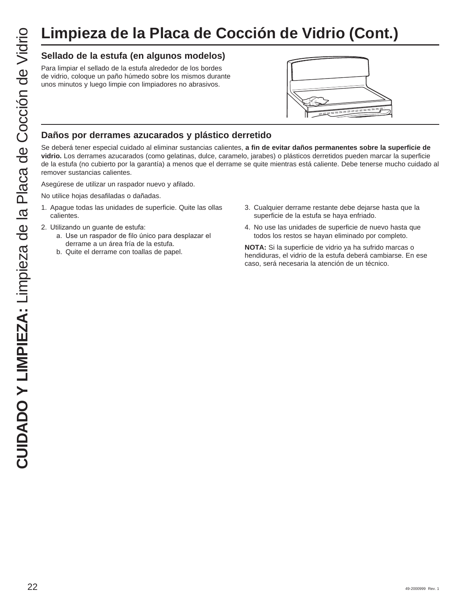## **Limpieza de la Placa de Cocción de Vidrio (Cont.)**

#### **Sellado de la estufa (en algunos modelos)**

Para limpiar el sellado de la estufa alrededor de los bordes de vidrio, coloque un paño húmedo sobre los mismos durante unos minutos y luego limpie con limpiadores no abrasivos.



#### **Daños por derrames azucarados y plástico derretido**

Se deberá tener especial cuidado al eliminar sustancias calientes, **a fin de evitar daños permanentes sobre la superficie de vidrio.** Los derrames azucarados (como gelatinas, dulce, caramelo, jarabes) o plásticos derretidos pueden marcar la superficie de la estufa (no cubierto por la garantía) a menos que el derrame se quite mientras está caliente. Debe tenerse mucho cuidado al remover sustancias calientes.

Asegúrese de utilizar un raspador nuevo y afilado.

No utilice hojas desafiladas o dañadas.

- 1. Apague todas las unidades de superficie. Quite las ollas calientes.
- 2. Utilizando un guante de estufa:
	- a. Use un raspador de filo único para desplazar el derrame a un área fría de la estufa.
	- b. Quite el derrame con toallas de papel.
- 3. Cualquier derrame restante debe dejarse hasta que la superficie de la estufa se haya enfriado.
- 4. No use las unidades de superficie de nuevo hasta que todos los restos se hayan eliminado por completo.

**NOTA:** Si la superficie de vidrio ya ha sufrido marcas o hendiduras, el vidrio de la estufa deberá cambiarse. En ese caso, será necesaria la atención de un técnico.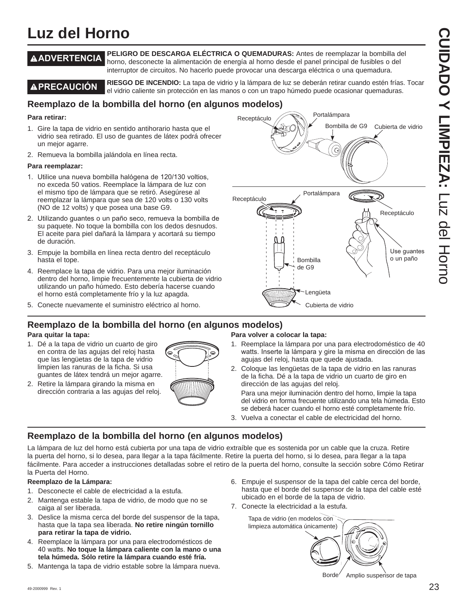## **Luz del Horno**

**ADVERTENCIA PELIGRO DE DESCARGA ELÉCTRICA O QUEMADURAS:** Antes de reemplazar la bombilla del horno, desconecte la alimentación de energía al horno desde el panel principal de fusibles o del interruptor de circuitos. No hacerlo puede provocar una descarga eléctrica o una quemadura.

**A PRECAUCIÓN** RIESGO DE INCENDIO: La tapa de vidrio y la lámpara de luz se deberán retirar cuando estén frías. Tocar el vidrio caliente sin protección en las manos o con un trapo húmedo puede ocasionar quemaduras.

Receptáculo

Receptáculo

#### **Reemplazo de la bombilla del horno (en algunos modelos)**

#### **Para retirar:**

- 1. Gire la tapa de vidrio en sentido antihorario hasta que el vidrio sea retirado. El uso de guantes de látex podrá ofrecer un mejor agarre.
- 2. Remueva la bombilla jalándola en línea recta.

#### **Para reemplazar:**

- 1. Utilice una nueva bombilla halógena de 120/130 voltios, no exceda 50 vatios. Reemplace la lámpara de luz con el mismo tipo de lámpara que se retiró. Asegúrese al reemplazar la lámpara que sea de 120 volts o 130 volts (NO de 12 volts) y que posea una base G9.
- 2. Utilizando guantes o un paño seco, remueva la bombilla de su paquete. No toque la bombilla con los dedos desnudos. El aceite para piel dañará la lámpara y acortará su tiempo de duración.
- 3. Empuje la bombilla en línea recta dentro del receptáculo hasta el tope.
- 4. Reemplace la tapa de vidrio. Para una mejor iluminación dentro del horno, limpie frecuentemente la cubierta de vidrio utilizando un paño húmedo. Esto debería hacerse cuando el horno está completamente frío y la luz apagda.
- 5. Conecte nuevamente el suministro eléctrico al horno.

#### **Reemplazo de la bombilla del horno (en algunos modelos)**

#### **Para quitar la tapa:**

- 1. Dé a la tapa de vidrio un cuarto de giro en contra de las agujas del reloj hasta que las lengüetas de la tapa de vidrio limpien las ranuras de la ficha. Si usa guantes de látex tendrá un mejor agarre.
- 2. Retire la lámpara girando la misma en dirección contraria a las agujas del reloj.



#### **Para volver a colocar la tapa:**

1. Reemplace la lámpara por una para electrodoméstico de 40 watts. Inserte la lámpara y gire la misma en dirección de las agujas del reloj, hasta que quede ajustada.

Cubierta de vidrio

2. Coloque las lengüetas de la tapa de vidrio en las ranuras de la ficha. Dé a la tapa de vidrio un cuarto de giro en dirección de las agujas del reloj.

Bombilla de G9

Lengüeta

Portalámpara

Bombilla de G9

Portalámpara

 Para una mejor iluminación dentro del horno, limpie la tapa del vidrio en forma frecuente utilizando una tela húmeda. Esto se deberá hacer cuando el horno esté completamente frío.

3. Vuelva a conectar el cable de electricidad del horno.

#### **Reemplazo de la bombilla del horno (en algunos modelos)**

La lámpara de luz del horno está cubierta por una tapa de vidrio extraíble que es sostenida por un cable que la cruza. Retire la puerta del horno, si lo desea, para llegar a la tapa fácilmente. Retire la puerta del horno, si lo desea, para llegar a la tapa fácilmente. Para acceder a instrucciones detalladas sobre el retiro de la puerta del horno, consulte la sección sobre Cómo Retirar la Puerta del Horno.

#### **Reemplazo de la Lámpara:**

- 1. Desconecte el cable de electricidad a la estufa.
- 2. Mantenga estable la tapa de vidrio, de modo que no se caiga al ser liberada.
- 3. Deslice la misma cerca del borde del suspensor de la tapa, hasta que la tapa sea liberada. **No retire ningún tornillo para retirar la tapa de vidrio.**
- 4. Reemplace la lámpara por una para electrodomésticos de 40 watts. No toque la lámpara caliente con la mano o una **tela húmeda. Sólo retire la lámpara cuando esté fría.**
- 5. Mantenga la tapa de vidrio estable sobre la lámpara nueva.
- 6. Empuje el suspensor de la tapa del cable cerca del borde, hasta que el borde del suspensor de la tapa del cable esté ubicado en el borde de la tapa de vidrio.
- 7. Conecte la electricidad a la estufa.



Use guantes o un paño

Receptáculo

Cubierta de vidrio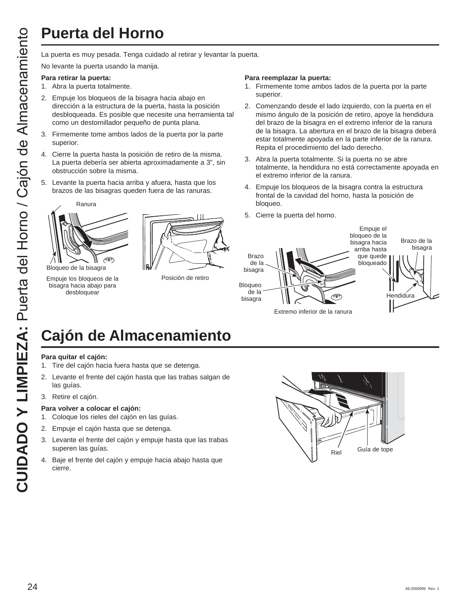## **Puerta del Horno**

No levante la puerta usando la manija.

#### **Para retirar la puerta:**

- 1. Abra la puerta totalmente.
- 2. Empuje los bloqueos de la bisagra hacia abajo en dirección a la estructura de la puerta, hasta la posición desbloqueada. Es posible que necesite una herramienta tal como un destornillador pequeño de punta plana.
- 3. Firmemente tome ambos lados de la puerta por la parte superior.
- 4. Cierre la puerta hasta la posición de retiro de la misma. La puerta debería ser abierta aproximadamente a 3", sin obstrucción sobre la misma.
- 5. Levante la puerta hacia arriba y afuera, hasta que los brazos de las bisagras queden fuera de las ranuras.



Empuje los bloqueos de la bisagra hacia abajo para desbloquear



Posición de retiro

#### **Para reemplazar la puerta:**

- 1. Firmemente tome ambos lados de la puerta por la parte superior.
- 2. Comenzando desde el lado izquierdo, con la puerta en el mismo ángulo de la posición de retiro, apoye la hendidura del brazo de la bisagra en el extremo inferior de la ranura de la bisagra. La abertura en el brazo de la bisagra deberá estar totalmente apoyada en la parte inferior de la ranura. Repita el procedimiento del lado derecho.
- 3. Abra la puerta totalmente. Si la puerta no se abre totalmente, la hendidura no está correctamente apoyada en el extremo inferior de la ranura.
- 4. Empuje los bloqueos de la bisagra contra la estructura frontal de la cavidad del horno, hasta la posición de bloqueo.
- 5. Cierre la puerta del horno.



# **Cajón de Almacenamiento**

#### **Para quitar el cajón:**

- 1. Tire del cajón hacia fuera hasta que se detenga.
- 2. Levante el frente del cajón hasta que las trabas salgan de las guías.
- 3. Retire el cajón.

#### **Para volver a colocar el cajón:**

- 1. Coloque los rieles del cajón en las guías.
- 2. Empuje el cajón hasta que se detenga.
- 3. Levante el frente del cajón y empuje hasta que las trabas superen las guías.
- 4. Baje el frente del cajón y empuje hacia abajo hasta que cierre.

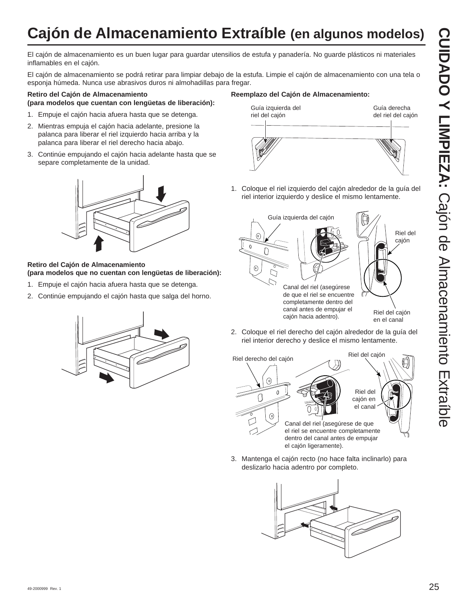# **Cajón de Almacenamiento Extraíble (en algunos modelos)**

El cajón de almacenamiento es un buen lugar para guardar utensilios de estufa y panadería. No guarde plásticos ni materiales inflamables en el cajón.

El cajón de almacenamiento se podrá retirar para limpiar debajo de la estufa. Limpie el cajón de almacenamiento con una tela o esponja húmeda. Nunca use abrasivos duros ni almohadillas para fregar.

#### **Retiro del Cajón de Almacenamiento (para modelos que cuentan con lengüetas de liberación):**

- 1. Empuje el cajón hacia afuera hasta que se detenga.
- 2. Mientras empuja el cajón hacia adelante, presione la palanca para liberar el riel izquierdo hacia arriba y la palanca para liberar el riel derecho hacia abajo.
- 3. Continúe empujando el cajón hacia adelante hasta que se separe completamente de la unidad.



#### **Retiro del Cajón de Almacenamiento (para modelos que no cuentan con lengüetas de liberación):**

- 1. Empuje el cajón hacia afuera hasta que se detenga.
- 2. Continúe empujando el cajón hasta que salga del horno.



1. Coloque el riel izquierdo del cajón alrededor de la guía del riel interior izquierdo y deslice el mismo lentamente.



en el canal

2. Coloque el riel derecho del cajón alrededor de la guía del riel interior derecho y deslice el mismo lentamente.



3. Mantenga el cajón recto (no hace falta inclinarlo) para deslizarlo hacia adentro por completo.



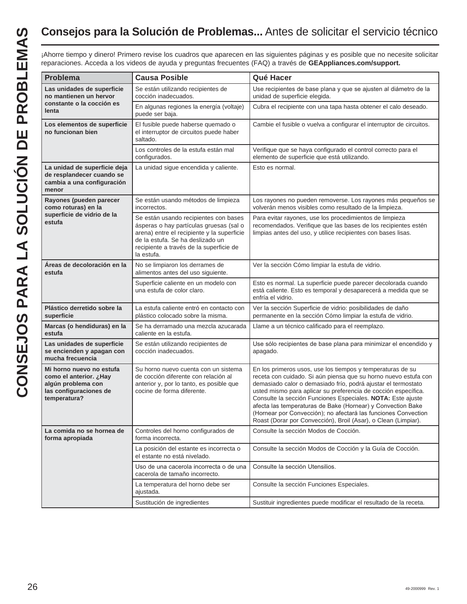## **Consejos para la Solución de Problemas...** Antes de solicitar el servicio técnico

|                                                                                                                    | <b>Causa Posible</b>                                                                                                                                                                                                        | Qué Hacer                                                                                                                                                                                                                                                                                                                                                                                                                                                                                                                          |
|--------------------------------------------------------------------------------------------------------------------|-----------------------------------------------------------------------------------------------------------------------------------------------------------------------------------------------------------------------------|------------------------------------------------------------------------------------------------------------------------------------------------------------------------------------------------------------------------------------------------------------------------------------------------------------------------------------------------------------------------------------------------------------------------------------------------------------------------------------------------------------------------------------|
| Las unidades de superficie<br>no mantienen un hervor                                                               | Se están utilizando recipientes de<br>cocción inadecuados.                                                                                                                                                                  | Use recipientes de base plana y que se ajusten al diámetro de la<br>unidad de superficie elegida.                                                                                                                                                                                                                                                                                                                                                                                                                                  |
| constante o la cocción es<br>lenta                                                                                 | En algunas regiones la energía (voltaje)<br>puede ser baja.                                                                                                                                                                 | Cubra el recipiente con una tapa hasta obtener el calo deseado.                                                                                                                                                                                                                                                                                                                                                                                                                                                                    |
| Los elementos de superficie<br>no funcionan bien                                                                   | El fusible puede haberse quemado o<br>el interruptor de circuitos puede haber<br>saltado.                                                                                                                                   | Cambie el fusible o vuelva a configurar el interruptor de circuitos.                                                                                                                                                                                                                                                                                                                                                                                                                                                               |
|                                                                                                                    | Los controles de la estufa están mal<br>configurados.                                                                                                                                                                       | Verifique que se haya configurado el control correcto para el<br>elemento de superficie que está utilizando.                                                                                                                                                                                                                                                                                                                                                                                                                       |
| La unidad de superficie deja<br>de resplandecer cuando se<br>cambia a una configuración<br>menor                   | La unidad sigue encendida y caliente.                                                                                                                                                                                       | Esto es normal.                                                                                                                                                                                                                                                                                                                                                                                                                                                                                                                    |
| Rayones (pueden parecer<br>como roturas) en la                                                                     | Se están usando métodos de limpieza<br>incorrectos.                                                                                                                                                                         | Los rayones no pueden removerse. Los rayones más pequeños se<br>volverán menos visibles como resultado de la limpieza.                                                                                                                                                                                                                                                                                                                                                                                                             |
| superficie de vidrio de la<br>estufa                                                                               | Se están usando recipientes con bases<br>ásperas o hay partículas gruesas (sal o<br>arena) entre el recipiente y la superficie<br>de la estufa. Se ha deslizado un<br>recipiente a través de la superficie de<br>la estufa. | Para evitar rayones, use los procedimientos de limpieza<br>recomendados. Verifique que las bases de los recipientes estén<br>limpias antes del uso, y utilice recipientes con bases lisas.                                                                                                                                                                                                                                                                                                                                         |
| Áreas de decoloración en la<br>estufa                                                                              | No se limpiaron los derrames de<br>alimentos antes del uso siguiente.                                                                                                                                                       | Ver la sección Cómo limpiar la estufa de vidrio.                                                                                                                                                                                                                                                                                                                                                                                                                                                                                   |
|                                                                                                                    | Superficie caliente en un modelo con<br>una estufa de color claro.                                                                                                                                                          | Esto es normal. La superficie puede parecer decolorada cuando<br>está caliente. Esto es temporal y desaparecerá a medida que se<br>enfría el vidrio.                                                                                                                                                                                                                                                                                                                                                                               |
| Plástico derretido sobre la<br>superficie                                                                          | La estufa caliente entró en contacto con<br>plástico colocado sobre la misma.                                                                                                                                               | Ver la sección Superficie de vidrio: posibilidades de daño<br>permanente en la sección Cómo limpiar la estufa de vidrio.                                                                                                                                                                                                                                                                                                                                                                                                           |
| Marcas (o hendiduras) en la<br>estufa                                                                              | Se ha derramado una mezcla azucarada<br>caliente en la estufa.                                                                                                                                                              | Llame a un técnico calificado para el reemplazo.                                                                                                                                                                                                                                                                                                                                                                                                                                                                                   |
| Las unidades de superficie<br>se encienden y apagan con<br>mucha frecuencia                                        | Se están utilizando recipientes de<br>cocción inadecuados.                                                                                                                                                                  | Use sólo recipientes de base plana para minimizar el encendido y<br>apagado.                                                                                                                                                                                                                                                                                                                                                                                                                                                       |
| Mi horno nuevo no estufa<br>como el anterior. ¿Hay<br>algún problema con<br>las configuraciones de<br>temperatura? | Su horno nuevo cuenta con un sistema<br>de cocción diferente con relación al<br>anterior y, por lo tanto, es posible que<br>cocine de forma diferente.                                                                      | En los primeros usos, use los tiempos y temperaturas de su<br>receta con cuidado. Si aún piensa que su horno nuevo estufa con<br>demasiado calor o demasiado frío, podrá ajustar el termostato<br>usted mismo para aplicar su preferencia de cocción específica.<br>Consulte la sección Funciones Especiales. NOTA: Este ajuste<br>afecta las temperaturas de Bake (Hornear) y Convection Bake<br>(Hornear por Convección); no afectará las funciones Convection<br>Roast (Dorar por Convección), Broil (Asar), o Clean (Limpiar). |
| La comida no se hornea de<br>forma apropiada                                                                       | Controles del horno configurados de<br>forma incorrecta.                                                                                                                                                                    | Consulte la sección Modos de Cocción.                                                                                                                                                                                                                                                                                                                                                                                                                                                                                              |
|                                                                                                                    | La posición del estante es incorrecta o<br>el estante no está nivelado.                                                                                                                                                     | Consulte la sección Modos de Cocción y la Guía de Cocción.                                                                                                                                                                                                                                                                                                                                                                                                                                                                         |
|                                                                                                                    | Uso de una cacerola incorrecta o de una<br>cacerola de tamaño incorrecto.                                                                                                                                                   | Consulte la sección Utensilios.                                                                                                                                                                                                                                                                                                                                                                                                                                                                                                    |
|                                                                                                                    | La temperatura del horno debe ser<br>ajustada.                                                                                                                                                                              | Consulte la sección Funciones Especiales.                                                                                                                                                                                                                                                                                                                                                                                                                                                                                          |
|                                                                                                                    | Sustitución de ingredientes                                                                                                                                                                                                 | Sustituir ingredientes puede modificar el resultado de la receta.                                                                                                                                                                                                                                                                                                                                                                                                                                                                  |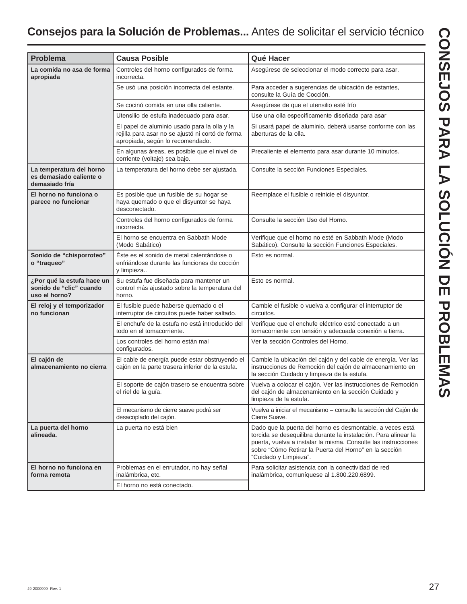## **Consejos para la Solución de Problemas...** Antes de solicitar el servicio técnico

| Problema                                                               | <b>Causa Posible</b>                                                                                                                 | Qué Hacer                                                                                                                                                                                                                                                                         |
|------------------------------------------------------------------------|--------------------------------------------------------------------------------------------------------------------------------------|-----------------------------------------------------------------------------------------------------------------------------------------------------------------------------------------------------------------------------------------------------------------------------------|
|                                                                        |                                                                                                                                      |                                                                                                                                                                                                                                                                                   |
| La comida no asa de forma<br>apropiada                                 | Controles del horno configurados de forma<br>incorrecta.                                                                             | Asegúrese de seleccionar el modo correcto para asar.                                                                                                                                                                                                                              |
|                                                                        | Se usó una posición incorrecta del estante.                                                                                          | Para acceder a sugerencias de ubicación de estantes,<br>consulte la Guía de Cocción.                                                                                                                                                                                              |
|                                                                        | Se cocinó comida en una olla caliente.                                                                                               | Asegúrese de que el utensilio esté frío                                                                                                                                                                                                                                           |
|                                                                        | Utensilio de estufa inadecuado para asar.                                                                                            | Use una olla específicamente diseñada para asar                                                                                                                                                                                                                                   |
|                                                                        | El papel de aluminio usado para la olla y la<br>rejilla para asar no se ajustó ni cortó de forma<br>apropiada, según lo recomendado. | Si usará papel de aluminio, deberá usarse conforme con las<br>aberturas de la olla.                                                                                                                                                                                               |
|                                                                        | En algunas áreas, es posible que el nivel de<br>corriente (voltaje) sea bajo.                                                        | Precaliente el elemento para asar durante 10 minutos.                                                                                                                                                                                                                             |
| La temperatura del horno<br>es demasiado caliente o<br>demasiado fría  | La temperatura del horno debe ser ajustada.                                                                                          | Consulte la sección Funciones Especiales.                                                                                                                                                                                                                                         |
| El horno no funciona o<br>parece no funcionar                          | Es posible que un fusible de su hogar se<br>haya quemado o que el disyuntor se haya<br>desconectado.                                 | Reemplace el fusible o reinicie el disyuntor.                                                                                                                                                                                                                                     |
|                                                                        | Controles del horno configurados de forma<br>incorrecta.                                                                             | Consulte la sección Uso del Horno.                                                                                                                                                                                                                                                |
|                                                                        | El horno se encuentra en Sabbath Mode<br>(Modo Sabático)                                                                             | Verifique que el horno no esté en Sabbath Mode (Modo<br>Sabático). Consulte la sección Funciones Especiales.                                                                                                                                                                      |
| Sonido de "chisporroteo"<br>o "traqueo"                                | Éste es el sonido de metal calentándose o<br>enfriándose durante las funciones de cocción<br>y limpieza                              | Esto es normal.                                                                                                                                                                                                                                                                   |
| ¿Por qué la estufa hace un<br>sonido de "clic" cuando<br>uso el horno? | Su estufa fue diseñada para mantener un<br>control más ajustado sobre la temperatura del<br>horno.                                   | Esto es normal.                                                                                                                                                                                                                                                                   |
| El reloj y el temporizador<br>no funcionan                             | El fusible puede haberse quemado o el<br>interruptor de circuitos puede haber saltado.                                               | Cambie el fusible o vuelva a configurar el interruptor de<br>circuitos.                                                                                                                                                                                                           |
|                                                                        | El enchufe de la estufa no está introducido del<br>todo en el tomacorriente.                                                         | Verifique que el enchufe eléctrico esté conectado a un<br>tomacorriente con tensión y adecuada conexión a tierra.                                                                                                                                                                 |
|                                                                        | Los controles del horno están mal<br>configurados.                                                                                   | Ver la sección Controles del Horno.                                                                                                                                                                                                                                               |
| El cajón de<br>almacenamiento no cierra                                | El cable de energía puede estar obstruyendo el<br>cajón en la parte trasera inferior de la estufa.                                   | Cambie la ubicación del cajón y del cable de energía. Ver las<br>instrucciones de Remoción del cajón de almacenamiento en<br>la sección Cuidado y limpieza de la estufa.                                                                                                          |
|                                                                        | El soporte de cajón trasero se encuentra sobre<br>el riel de la guía.                                                                | Vuelva a colocar el cajón. Ver las instrucciones de Remoción<br>del cajón de almacenamiento en la sección Cuidado y<br>limpieza de la estufa.                                                                                                                                     |
|                                                                        | El mecanismo de cierre suave podrá ser<br>desacoplado del cajón.                                                                     | Vuelva a iniciar el mecanismo - consulte la sección del Cajón de<br>Cierre Suave.                                                                                                                                                                                                 |
| La puerta del horno<br>alineada.                                       | La puerta no está bien                                                                                                               | Dado que la puerta del horno es desmontable, a veces está<br>torcida se desequilibra durante la instalación. Para alinear la<br>puerta, vuelva a instalar la misma. Consulte las instrucciones<br>sobre "Cómo Retirar la Puerta del Horno" en la sección<br>"Cuidado y Limpieza". |
| El horno no funciona en<br>forma remota                                | Problemas en el enrutador, no hay señal<br>inalámbrica, etc.<br>El horno no está conectado.                                          | Para solicitar asistencia con la conectividad de red<br>inalámbrica, comuníquese al 1.800.220.6899.                                                                                                                                                                               |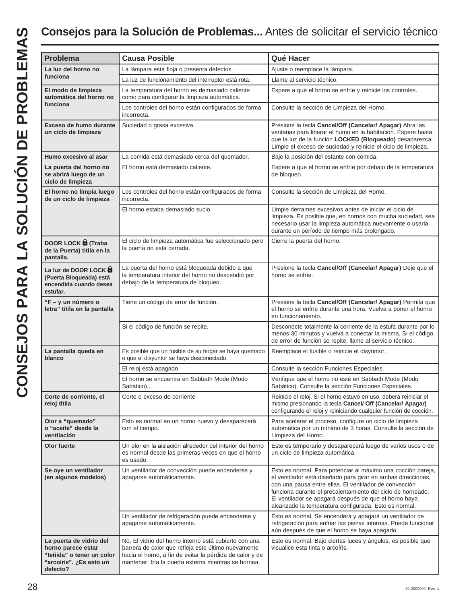| Problema                                                                                                          | <b>Causa Posible</b>                                                                                                                                                                                                            | Qué Hacer                                                                                                                                                                                                                                                                                                                                                               |  |
|-------------------------------------------------------------------------------------------------------------------|---------------------------------------------------------------------------------------------------------------------------------------------------------------------------------------------------------------------------------|-------------------------------------------------------------------------------------------------------------------------------------------------------------------------------------------------------------------------------------------------------------------------------------------------------------------------------------------------------------------------|--|
| La luz del horno no                                                                                               | La lámpara está floja o presenta defectos.                                                                                                                                                                                      | Ajuste o reemplace la lámpara.                                                                                                                                                                                                                                                                                                                                          |  |
| funciona                                                                                                          | La luz de funcionamiento del interruptor está rota.                                                                                                                                                                             | Llame al servicio técnico.                                                                                                                                                                                                                                                                                                                                              |  |
| El modo de limpieza<br>automática del horno no                                                                    | La temperatura del horno es demasiado caliente<br>como para configurar la limpieza automática.                                                                                                                                  | Espere a que el horno se enfríe y reinicie los controles.                                                                                                                                                                                                                                                                                                               |  |
| funciona                                                                                                          | Los controles del horno están configurados de forma<br>incorrecta.                                                                                                                                                              | Consulte la sección de Limpieza del Horno.                                                                                                                                                                                                                                                                                                                              |  |
| Exceso de humo durante<br>un ciclo de limpieza                                                                    | Suciedad o grasa excesiva.                                                                                                                                                                                                      | Presione la tecla Cancel/Off (Cancelar/ Apagar) Abra las<br>ventanas para liberar el humo en la habitación. Espere hasta<br>que la luz de la función LOCKED (Bloqueado) desaparezca.<br>Limpie el exceso de suciedad y reinicie el ciclo de limpieza.                                                                                                                   |  |
| Humo excesivo al asar                                                                                             | La comida está demasiado cerca del quemador.                                                                                                                                                                                    | Baje la posición del estante con comida.                                                                                                                                                                                                                                                                                                                                |  |
| La puerta del horno no<br>se abrirá luego de un<br>ciclo de limpieza                                              | El horno está demasiado caliente.                                                                                                                                                                                               | Espere a que el horno se enfríe por debajo de la temperatura<br>de bloqueo.                                                                                                                                                                                                                                                                                             |  |
| El horno no limpia luego<br>de un ciclo de limpieza                                                               | Los controles del horno están configurados de forma<br>incorrecta.                                                                                                                                                              | Consulte la sección de Limpieza del Horno.                                                                                                                                                                                                                                                                                                                              |  |
|                                                                                                                   | El horno estaba demasiado sucio.                                                                                                                                                                                                | Limpie derrames excesivos antes de iniciar el ciclo de<br>limpieza. Es posible que, en hornos con mucha suciedad, sea<br>necesario usar la limpieza automática nuevamente o usarla<br>durante un período de tiempo más prolongado.                                                                                                                                      |  |
| <b>DOOR LOCK D</b> (Traba<br>de la Puerta) titila en la<br>pantalla.                                              | El ciclo de limpieza automática fue seleccionado pero<br>la puerta no está cerrada.                                                                                                                                             | Cierre la puerta del horno.                                                                                                                                                                                                                                                                                                                                             |  |
| La luz de DOOR LOCK<br>(Puerta Bloqueada) está<br>encendida cuando desea<br>estufar.                              | La puerta del horno está bloqueada debido a que<br>la temperatura interior del horno no descendió por<br>debajo de la temperatura de bloqueo.                                                                                   | Presione la tecla Cancel/Off (Cancelar/ Apagar) Deje que el<br>horno se enfríe.                                                                                                                                                                                                                                                                                         |  |
| "F – y un número o<br>letra" titila en la pantalla                                                                | Tiene un código de error de función.                                                                                                                                                                                            | Presione la tecla Cancel/Off (Cancelar/ Apagar) Permita que<br>el horno se enfríe durante una hora. Vuelva a poner el horno<br>en funcionamiento.                                                                                                                                                                                                                       |  |
|                                                                                                                   | Si el código de función se repite.                                                                                                                                                                                              | Desconecte totalmente la corriente de la estufa durante por lo<br>menos 30 minutos y vuelva a conectar la misma. Si el código<br>de error de función se repite, llame al servicio técnico.                                                                                                                                                                              |  |
| La pantalla queda en<br>blanco                                                                                    | Es posible que un fusible de su hogar se haya quemado<br>o que el disyuntor se haya desconectado.                                                                                                                               | Reemplace el fusible o reinicie el disyuntor.                                                                                                                                                                                                                                                                                                                           |  |
|                                                                                                                   | El reloj está apagado.                                                                                                                                                                                                          | Consulte la sección Funciones Especiales.                                                                                                                                                                                                                                                                                                                               |  |
|                                                                                                                   | El horno se encuentra en Sabbath Mode (Modo<br>Sabático)                                                                                                                                                                        | Verifique que el horno no esté en Sabbath Mode (Modo<br>Sabático). Consulte la sección Funciones Especiales.                                                                                                                                                                                                                                                            |  |
| Corte de corriente, el<br>reloj titila                                                                            | Corte o exceso de corriente                                                                                                                                                                                                     | Reinicie el reloj. Si el horno estuvo en uso, deberá reiniciar el<br>mismo presionando la tecla Cancel/ Off (Cancelar/ Apagar)<br>configurando el reloj y reiniciando cualquier función de cocción.                                                                                                                                                                     |  |
| Olor a "quemado"<br>o "aceite" desde la<br>ventilación                                                            | Esto es normal en un horno nuevo y desaparecerá<br>con el tiempo.                                                                                                                                                               | Para acelerar el proceso, configure un ciclo de limpieza<br>automática por un mínimo de 3 horas. Consulte la sección de<br>Limpieza del Horno.                                                                                                                                                                                                                          |  |
| Olor fuerte                                                                                                       | Un olor en la aislación alrededor del interior del horno<br>es normal desde las primeras veces en que el horno<br>es usado.                                                                                                     | Esto es temporario y desaparecerá luego de varios usos o de<br>un ciclo de limpieza automática.                                                                                                                                                                                                                                                                         |  |
| Se oye un ventilador<br>(en algunos modelos)                                                                      | Un ventilador de convección puede encenderse y<br>apagarse automáticamente.                                                                                                                                                     | Esto es normal. Para potenciar al máximo una cocción pareja,<br>el ventilador está diseñado para girar en ambas direcciones,<br>con una pausa entre ellas. El ventilador de convección<br>funciona durante el precalentamiento del ciclo de horneado.<br>El ventilador se apagará después de que el horno haya<br>alcanzado la temperatura configurada. Esto es normal. |  |
|                                                                                                                   | Un ventilador de refrigeración puede encenderse y<br>apagarse automáticamente.                                                                                                                                                  | Esto es normal. Se encenderá y apagará un ventilador de<br>refrigeración para enfriar las piezas internas. Puede funcionar<br>aún después de que el horno se haya apagado.                                                                                                                                                                                              |  |
| La puerta de vidrio del<br>horno parece estar<br>"teñida" o tener un color<br>"arcoíris". ¿Es esto un<br>defecto? | No. El vidrio del horno interno está cubierto con una<br>barrera de calor que refleja este último nuevamente<br>hacia el horno, a fin de evitar la pérdida de calor y de<br>mantener fría la puerta externa mientras se hornea. | Esto es normal. Bajo ciertas luces y ángulos, es posible que<br>visualice esta tinta o arcoíris.                                                                                                                                                                                                                                                                        |  |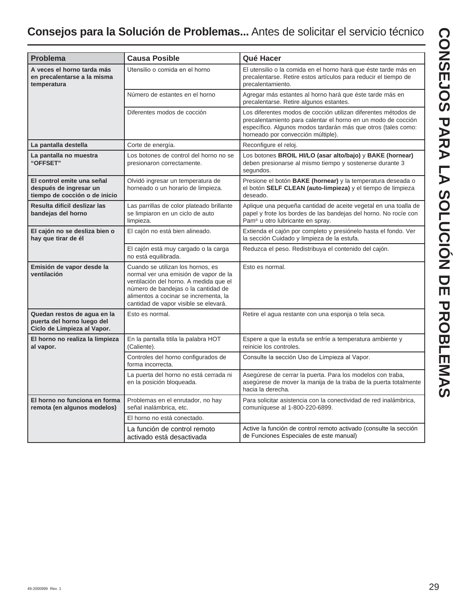## **Consejos para la Solución de Problemas...** Antes de solicitar el servicio técnico

| <b>Problema</b>                                                                          | <b>Causa Posible</b>                                                                                                                                                                                                                          | Qué Hacer                                                                                                                                                                                                                              |
|------------------------------------------------------------------------------------------|-----------------------------------------------------------------------------------------------------------------------------------------------------------------------------------------------------------------------------------------------|----------------------------------------------------------------------------------------------------------------------------------------------------------------------------------------------------------------------------------------|
| A veces el horno tarda más<br>en precalentarse a la misma<br>temperatura                 | Utensilio o comida en el horno                                                                                                                                                                                                                | El utensilio o la comida en el horno hará que éste tarde más en<br>precalentarse. Retire estos artículos para reducir el tiempo de<br>precalentamiento.                                                                                |
|                                                                                          | Número de estantes en el horno                                                                                                                                                                                                                | Agregar más estantes al horno hará que éste tarde más en<br>precalentarse. Retire algunos estantes.                                                                                                                                    |
|                                                                                          | Diferentes modos de cocción                                                                                                                                                                                                                   | Los diferentes modos de cocción utilizan diferentes métodos de<br>precalentamiento para calentar el horno en un modo de cocción<br>específico. Algunos modos tardarán más que otros (tales como:<br>horneado por convección múltiple). |
| La pantalla destella                                                                     | Corte de energía.                                                                                                                                                                                                                             | Reconfigure el reloj.                                                                                                                                                                                                                  |
| La pantalla no muestra<br>"OFFSET"                                                       | Los botones de control del horno no se<br>presionaron correctamente.                                                                                                                                                                          | Los botones BROIL HI/LO (asar alto/bajo) y BAKE (hornear)<br>deben presionarse al mismo tiempo y sostenerse durante 3<br>segundos.                                                                                                     |
| El control emite una señal<br>después de ingresar un<br>tiempo de cocción o de inicio    | Olvidó ingresar un temperatura de<br>horneado o un horario de limpieza.                                                                                                                                                                       | Presione el botón <b>BAKE</b> (hornear) y la temperatura deseada o<br>el botón SELF CLEAN (auto-limpieza) y el tiempo de limpieza<br>deseado.                                                                                          |
| Resulta difícil deslizar las<br>bandejas del horno                                       | Las parrillas de color plateado brillante<br>se limpiaron en un ciclo de auto<br>limpieza.                                                                                                                                                    | Aplique una pequeña cantidad de aceite vegetal en una toalla de<br>papel y frote los bordes de las bandejas del horno. No rocíe con<br>Pam <sup>®</sup> u otro lubricante en spray.                                                    |
| El cajón no se desliza bien o<br>hay que tirar de él                                     | El cajón no está bien alineado.                                                                                                                                                                                                               | Extienda el cajón por completo y presiónelo hasta el fondo. Ver<br>la sección Cuidado y limpieza de la estufa.                                                                                                                         |
|                                                                                          | El cajón está muy cargado o la carga<br>no está equilibrada.                                                                                                                                                                                  | Reduzca el peso. Redistribuya el contenido del cajón.                                                                                                                                                                                  |
| Emisión de vapor desde la<br>ventilación                                                 | Cuando se utilizan los hornos, es<br>normal ver una emisión de vapor de la<br>ventilación del horno. A medida que el<br>número de bandejas o la cantidad de<br>alimentos a cocinar se incrementa, la<br>cantidad de vapor visible se elevará. | Esto es normal.                                                                                                                                                                                                                        |
| Quedan restos de agua en la<br>puerta del horno luego del<br>Ciclo de Limpieza al Vapor. | Esto es normal.                                                                                                                                                                                                                               | Retire el agua restante con una esponja o tela seca.                                                                                                                                                                                   |
| El horno no realiza la limpieza<br>al vapor.                                             | En la pantalla titila la palabra HOT<br>(Caliente).                                                                                                                                                                                           | Espere a que la estufa se enfríe a temperatura ambiente y<br>reinicie los controles.                                                                                                                                                   |
|                                                                                          | Controles del horno configurados de<br>forma incorrecta.                                                                                                                                                                                      | Consulte la sección Uso de Limpieza al Vapor.                                                                                                                                                                                          |
|                                                                                          | La puerta del horno no está cerrada ni<br>en la posición bloqueada.                                                                                                                                                                           | Asegúrese de cerrar la puerta. Para los modelos con traba,<br>asegúrese de mover la manija de la traba de la puerta totalmente<br>hacia la derecha.                                                                                    |
| El horno no funciona en forma<br>remota (en algunos modelos)                             | Problemas en el enrutador, no hay<br>señal inalámbrica, etc.                                                                                                                                                                                  | Para solicitar asistencia con la conectividad de red inalámbrica,<br>comuníquese al 1-800-220-6899.                                                                                                                                    |
|                                                                                          | El horno no está conectado.                                                                                                                                                                                                                   |                                                                                                                                                                                                                                        |
|                                                                                          | La función de control remoto<br>activado está desactivada                                                                                                                                                                                     | Active la función de control remoto activado (consulte la sección<br>de Funciones Especiales de este manual)                                                                                                                           |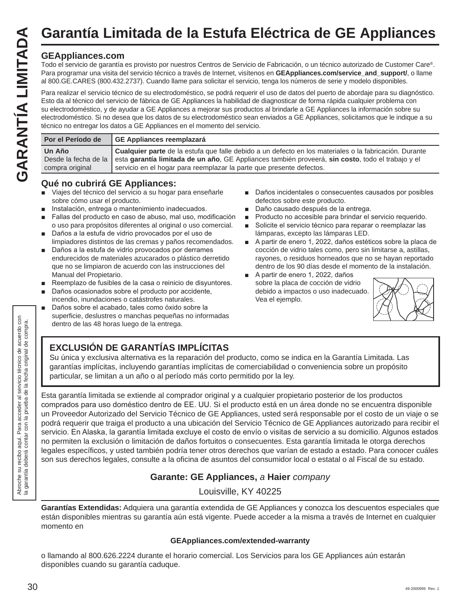# **Garantía Limitada de la Estufa Eléctrica de GE Appliances**

#### **GEAppliances.com**

Todo el servicio de garantía es provisto por nuestros Centros de Servicio de Fabricación, o un técnico autorizado de Customer Care®. Para programar una visita del servicio técnico a través de Internet, visítenos en **GEAppliances.com/service\_and\_support/**, o llame al 800.GE.CARES (800.432.2737). Cuando llame para solicitar el servicio, tenga los números de serie y modelo disponibles.

Para realizar el servicio técnico de su electrodoméstico, se podrá requerir el uso de datos del puerto de abordaje para su diagnóstico. Esto da al técnico del servicio de fábrica de GE Appliances la habilidad de diagnosticar de forma rápida cualquier problema con su electrodoméstico, y de ayudar a GE Appliances a mejorar sus productos al brindarle a GE Appliances la información sobre su electrodoméstico. Si no desea que los datos de su electrodoméstico sean enviados a GE Appliances, solicitamos que le indique a su técnico no entregar los datos a GE Appliances en el momento del servicio.

| Por el Período de         | GE Appliances reemplazará                                                                                                                                                                                                                                                                                       |
|---------------------------|-----------------------------------------------------------------------------------------------------------------------------------------------------------------------------------------------------------------------------------------------------------------------------------------------------------------|
| Un Año<br>compra original | <b>Cualquier parte</b> de la estufa que falle debido a un defecto en los materiales o la fabricación. Durante<br>Desde la fecha de la esta garantía limitada de un año, GE Appliances también proveerá, sin costo, todo el trabajo y el<br>servicio en el hogar para reemplazar la parte que presente defectos. |

#### **Qué no cubrirá GE Appliances:**

- Viajes del técnico del servicio a su hogar para enseñarle sobre cómo usar el producto.
- Instalación, entrega o mantenimiento inadecuados.
- Fallas del producto en caso de abuso, mal uso, modificación o uso para propósitos diferentes al original o uso comercial.
- Daños a la estufa de vidrio provocados por el uso de limpiadores distintos de las cremas y paños recomendados.
- Daños a la estufa de vidrio provocados por derrames endurecidos de materiales azucarados o plástico derretido que no se limpiaron de acuerdo con las instrucciones del Manual del Propietario.
- Reemplazo de fusibles de la casa o reinicio de disyuntores.
- Daños ocasionados sobre el producto por accidente, incendio, inundaciones o catástrofes naturales.
- Daños sobre el acabado, tales como óxido sobre la superficie, deslustres o manchas pequeñas no informadas dentro de las 48 horas luego de la entrega.
- Daños incidentales o consecuentes causados por posibles defectos sobre este producto.
- Daño causado después de la entrega.
- **Producto no accesible para brindar el servicio requerido.**
- Solicite el servicio técnico para reparar o reemplazar las lámparas, excepto las lámparas LED.
- A partir de enero 1, 2022, daños estéticos sobre la placa de cocción de vidrio tales como, pero sin limitarse a, astillas, rayones, o residuos horneados que no se hayan reportado dentro de los 90 días desde el momento de la instalación.
- A partir de enero 1, 2022, daños sobre la placa de cocción de vidrio debido a impactos o uso inadecuado. Vea el ejemplo.



#### **EXCLUSIÓN DE GARANTÍAS IMPLÍCITAS**

Su única y exclusiva alternativa es la reparación del producto, como se indica en la Garantía Limitada. Las garantías implícitas, incluyendo garantías implícitas de comerciabilidad o conveniencia sobre un propósito particular, se limitan a un año o al período más corto permitido por la ley.

Esta garantía limitada se extiende al comprador original y a cualquier propietario posterior de los productos comprados para uso doméstico dentro de EE. UU. Si el producto está en un área donde no se encuentra disponible un Proveedor Autorizado del Servicio Técnico de GE Appliances, usted será responsable por el costo de un viaje o se podrá requerir que traiga el producto a una ubicación del Servicio Técnico de GE Appliances autorizado para recibir el servicio. En Alaska, la garantía limitada excluye el costo de envío o visitas de servicio a su domicilio. Algunos estados no permiten la exclusión o limitación de daños fortuitos o consecuentes. Esta garantía limitada le otorga derechos legales específicos, y usted también podría tener otros derechos que varían de estado a estado. Para conocer cuáles son sus derechos legales, consulte a la oficina de asuntos del consumidor local o estatal o al Fiscal de su estado.

#### **Garante: GE Appliances,** *a* **Haier** *company*

Louisville, KY 40225

**Garantías Extendidas:** Adquiera una garantía extendida de GE Appliances y conozca los descuentos especiales que están disponibles mientras su garantía aún está vigente. Puede acceder a la misma a través de Internet en cualquier momento en

#### **GEAppliances.com/extended-warranty**

o llamando al 800.626.2224 durante el horario comercial. Los Servicios para los GE Appliances aún estarán disponibles cuando su garantía caduque.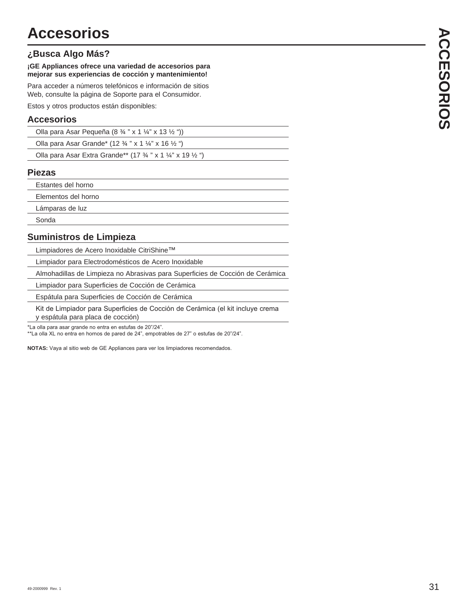#### **¿Busca Algo Más?**

#### **¡GE Appliances ofrece una variedad de accesorios para mejorar sus experiencias de cocción y mantenimiento!**

Para acceder a números telefónicos e información de sitios Web, consulte la página de Soporte para el Consumidor.

Estos y otros productos están disponibles:

#### **Accesorios**

| Olla para Asar Pequeña (8 $\frac{3}{4}$ " x 1 $\frac{1}{4}$ " x 13 $\frac{1}{2}$ ")  |  |
|--------------------------------------------------------------------------------------|--|
| Olla para Asar Grande* (12 $\frac{3}{4}$ " x 1 $\frac{1}{4}$ " x 16 $\frac{1}{2}$ ") |  |

| Olla para Asar Extra Grande** (17 3/4 " x 1 1/4" x 19 1/2 ") |  |  |
|--------------------------------------------------------------|--|--|
|--------------------------------------------------------------|--|--|

#### **Piezas**

Estantes del horno

Elementos del horno

Lámparas de luz

Sonda

#### **Suministros de Limpieza**

Limpiadores de Acero Inoxidable CitriShine™

Limpiador para Electrodomésticos de Acero Inoxidable

Almohadillas de Limpieza no Abrasivas para Superficies de Cocción de Cerámica

Limpiador para Superficies de Cocción de Cerámica

Espátula para Superficies de Cocción de Cerámica

Kit de Limpiador para Superficies de Cocción de Cerámica (el kit incluye crema y espátula para placa de cocción)

\*La olla para asar grande no entra en estufas de 20"/24".

\*\*La olla XL no entra en hornos de pared de 24", empotrables de 27" o estufas de 20"/24".

NOTAS: Vaya al sitio web de GE Appliances para ver los limpiadores recomendados.